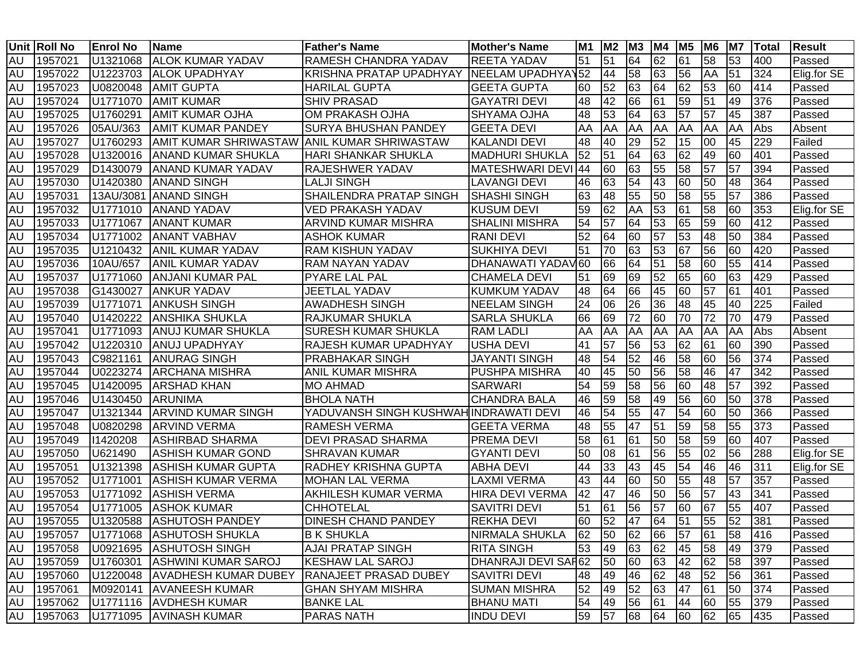|           | Unit Roll No | <b>Enrol No</b> | Name                                        | <b>Father's Name</b>                   | <b>Mother's Name</b>   | <b>M1</b> | M <sub>2</sub> | M <sub>3</sub> | M4 | M <sub>5</sub>  | M6              | M7 | Total | <b>Result</b> |
|-----------|--------------|-----------------|---------------------------------------------|----------------------------------------|------------------------|-----------|----------------|----------------|----|-----------------|-----------------|----|-------|---------------|
| AU        | 1957021      | U1321068        | <b>ALOK KUMAR YADAV</b>                     | RAMESH CHANDRA YADAV                   | <b>REETA YADAV</b>     | 51        | 51             | 64             | 62 | 61              | 58              | 53 | 400   | Passed        |
| <b>AU</b> | 1957022      | U1223703        | <b>ALOK UPADHYAY</b>                        | <b>KRISHNA PRATAP UPADHYAY</b>         | NEELAM UPADHYAY52      |           | 44             | 58             | 63 | 56              | AA              | 51 | 324   | Elig.for SE   |
| <b>AU</b> | 1957023      | U0820048        | <b>AMIT GUPTA</b>                           | <b>HARILAL GUPTA</b>                   | <b>GEETA GUPTA</b>     | 60        | 52             | 63             | 64 | 62              | 53              | 60 | 414   | Passed        |
| <b>AU</b> | 1957024      | U1771070        | <b>AMIT KUMAR</b>                           | <b>SHIV PRASAD</b>                     | <b>GAYATRI DEVI</b>    | 48        | 42             | 66             | 61 | 59              | 51              | 49 | 376   | Passed        |
| <b>AU</b> | 1957025      | U1760291        | <b>AMIT KUMAR OJHA</b>                      | OM PRAKASH OJHA                        | <b>SHYAMA OJHA</b>     | 48        | 53             | 64             | 63 | 57              | $\overline{57}$ | 45 | 387   | Passed        |
| <b>AU</b> | 1957026      | 05AU/363        | <b>AMIT KUMAR PANDEY</b>                    | <b>SURYA BHUSHAN PANDEY</b>            | <b>GEETA DEVI</b>      | AA        | AA             | AA             | AA | <b>AA</b>       | AA              | AA | Abs   | Absent        |
| <b>AU</b> | 1957027      | U1760293        | AMIT KUMAR SHRIWASTAW ANIL KUMAR SHRIWASTAW |                                        | <b>KALANDI DEVI</b>    | 48        | 40             | 29             | 52 | 15              | 00              | 45 | 229   | Failed        |
| <b>AU</b> | 1957028      | U1320016        | <b>ANAND KUMAR SHUKLA</b>                   | <b>HARI SHANKAR SHUKLA</b>             | <b>MADHURI SHUKLA</b>  | 52        | 51             | 64             | 63 | 62              | 49              | 60 | 401   | Passed        |
| <b>AU</b> | 1957029      | D1430079        | <b>ANAND KUMAR YADAV</b>                    | <b>RAJESHWER YADAV</b>                 | MATESHWARI DEVI 44     |           | 60             | 63             | 55 | 58              | $\overline{57}$ | 57 | 394   | Passed        |
| <b>AU</b> | 1957030      | U1420380        | <b>ANAND SINGH</b>                          | <b>LALJI SINGH</b>                     | <b>LAVANGI DEVI</b>    | 46        | 63             | 54             | 43 | 60              | 50              | 48 | 364   | Passed        |
| <b>AU</b> | 1957031      | 13AU/3081       | <b>ANAND SINGH</b>                          | SHAILENDRA PRATAP SINGH                | <b>SHASHI SINGH</b>    | 63        | 48             | 55             | 50 | 58              | 55              | 57 | 386   | Passed        |
| <b>AU</b> | 1957032      | U1771010        | <b>ANAND YADAV</b>                          | VED PRAKASH YADAV                      | <b>KUSUM DEVI</b>      | 59        | 62             | AA             | 53 | 61              | 58              | 60 | 353   | Elig.for SE   |
| <b>AU</b> | 1957033      | U1771067        | <b>ANANT KUMAR</b>                          | ARVIND KUMAR MISHRA                    | <b>SHALINI MISHRA</b>  | 54        | 57             | 64             | 53 | 65              | 59              | 60 | 412   | Passed        |
| <b>AU</b> | 1957034      | U1771002        | <b>ANANT VABHAV</b>                         | <b>ASHOK KUMAR</b>                     | <b>RANI DEVI</b>       | 52        | 64             | 60             | 57 | 53              | 48              | 50 | 384   | Passed        |
| <b>AU</b> | 1957035      | U1210432        | <b>ANIL KUMAR YADAV</b>                     | RAM KISHUN YADAV                       | <b>SUKHIYA DEVI</b>    | 51        | 70             | 63             | 53 | 67              | 56              | 60 | 420   | Passed        |
| <b>AU</b> | 1957036      | 10AU/657        | <b>ANIL KUMAR YADAV</b>                     | <b>RAM NAYAN YADAV</b>                 | DHANAWATI YADAV60      |           | 66             | 64             | 51 | 58              | 60              | 55 | 414   | Passed        |
| <b>AU</b> | 1957037      | U1771060        | <b>ANJANI KUMAR PAL</b>                     | <b>PYARE LAL PAL</b>                   | <b>CHAMELA DEVI</b>    | 51        | 69             | 69             | 52 | 65              | 60              | 63 | 429   | Passed        |
| <b>AU</b> | 1957038      | G1430027        | <b>ANKUR YADAV</b>                          | JEETLAL YADAV                          | <b>KUMKUM YADAV</b>    | 48        | 64             | 66             | 45 | 60              | 57              | 61 | 401   | Passed        |
| <b>AU</b> | 1957039      | U1771071        | <b>ANKUSH SINGH</b>                         | <b>AWADHESH SINGH</b>                  | <b>NEELAM SINGH</b>    | 24        | 06             | 26             | 36 | 48              | 45              | 40 | 225   | Failed        |
| <b>AU</b> | 1957040      | U1420222        | <b>ANSHIKA SHUKLA</b>                       | <b>RAJKUMAR SHUKLA</b>                 | <b>SARLA SHUKLA</b>    | 66        | 69             | 72             | 60 | 70              | 72              | 70 | 479   | Passed        |
| <b>AU</b> | 1957041      | U1771093        | <b>ANUJ KUMAR SHUKLA</b>                    | <b>SURESH KUMAR SHUKLA</b>             | <b>RAM LADLI</b>       | AA        | AA             | AA             | AA | <b>AA</b>       | AA              | AA | Abs   | Absent        |
| <b>AU</b> | 1957042      | U1220310        | <b>ANUJ UPADHYAY</b>                        | <b>RAJESH KUMAR UPADHYAY</b>           | <b>USHA DEVI</b>       | 41        | 57             | 56             | 53 | 62              | 61              | 60 | 390   | Passed        |
| <b>AU</b> | 1957043      | C9821161        | <b>ANURAG SINGH</b>                         | PRABHAKAR SINGH                        | <b>JAYANTI SINGH</b>   | 48        | 54             | 52             | 46 | 58              | 60              | 56 | 374   | Passed        |
| <b>AU</b> | 1957044      | U0223274        | <b>ARCHANA MISHRA</b>                       | <b>ANIL KUMAR MISHRA</b>               | <b>PUSHPA MISHRA</b>   | 40        | 45             | 50             | 56 | 58              | 46              | 47 | 342   | Passed        |
| AU        | 1957045      | U1420095        | <b>ARSHAD KHAN</b>                          | <b>MO AHMAD</b>                        | <b>SARWARI</b>         | 54        | 59             | 58             | 56 | 60              | 48              | 57 | 392   | Passed        |
| <b>AU</b> | 1957046      | U1430450        | <b>ARUNIMA</b>                              | <b>BHOLA NATH</b>                      | <b>CHANDRA BALA</b>    | 46        | 59             | 58             | 49 | 56              | 60              | 50 | 378   | Passed        |
| <b>AU</b> | 1957047      | U1321344        | <b>ARVIND KUMAR SINGH</b>                   | YADUVANSH SINGH KUSHWAH INDRAWATI DEVI |                        | 46        | 54             | 55             | 47 | 54              | 60              | 50 | 366   | Passed        |
| <b>AU</b> | 1957048      | U0820298        | <b>ARVIND VERMA</b>                         | <b>RAMESH VERMA</b>                    | <b>GEETA VERMA</b>     | 48        | 55             | 47             | 51 | 59              | 58              | 55 | 373   | Passed        |
| <b>AU</b> | 1957049      | 11420208        | <b>ASHIRBAD SHARMA</b>                      | <b>DEVI PRASAD SHARMA</b>              | <b>PREMA DEVI</b>      | 58        | 61             | 61             | 50 | 58              | 59              | 60 | 407   | Passed        |
| <b>AU</b> | 1957050      | U621490         | <b>ASHISH KUMAR GOND</b>                    | <b>SHRAVAN KUMAR</b>                   | <b>GYANTI DEVI</b>     | 50        | 08             | 61             | 56 | 55              | 02              | 56 | 288   | Elig.for SE   |
| <b>AU</b> | 1957051      | U1321398        | <b>ASHISH KUMAR GUPTA</b>                   | RADHEY KRISHNA GUPTA                   | <b>ABHA DEVI</b>       | 44        | 33             | 43             | 45 | 54              | 46              | 46 | 311   | Elig.for SE   |
| <b>AU</b> | 1957052      | U1771001        | <b>ASHISH KUMAR VERMA</b>                   | <b>MOHAN LAL VERMA</b>                 | <b>LAXMI VERMA</b>     | 43        | 44             | 60             | 50 | 55              | 48              | 57 | 357   | Passed        |
| <b>AU</b> | 1957053      | U1771092        | <b>ASHISH VERMA</b>                         | AKHILESH KUMAR VERMA                   | <b>HIRA DEVI VERMA</b> | 42        | 47             | 46             | 50 | 56              | 57              | 43 | 341   | Passed        |
| <b>AU</b> | 1957054      | U1771005        | <b>ASHOK KUMAR</b>                          | CHHOTELAL                              | <b>SAVITRI DEVI</b>    | 51        | 61             | 56             | 57 | 60              | 67              | 55 | 407   | Passed        |
| <b>AU</b> | 1957055      | U1320588        | <b>ASHUTOSH PANDEY</b>                      | <b>DINESH CHAND PANDEY</b>             | <b>REKHA DEVI</b>      | 60        | 52             | 47             | 64 | $\overline{51}$ | 55              | 52 | 381   | Passed        |
| AU        | 1957057      |                 | U1771068 ASHUTOSH SHUKLA                    | <b>B K SHUKLA</b>                      | NIRMALA SHUKLA         | 62        | 50             | 62             | 66 | 57              | 61              | 58 | 416   | Passed        |
| AU        | 1957058      | U0921695        | <b>ASHUTOSH SINGH</b>                       | AJAI PRATAP SINGH                      | <b>RITA SINGH</b>      | 53        | 49             | 63             | 62 | 45              | 58              | 49 | 379   | Passed        |
| AU        | 1957059      | U1760301        | <b>ASHWINI KUMAR SAROJ</b>                  | <b>KESHAW LAL SAROJ</b>                | DHANRAJI DEVI SAR62    |           | 50             | 60             | 63 | 42              | 62              | 58 | 397   | Passed        |
| AU        | 1957060      | U1220048        | <b>AVADHESH KUMAR DUBEY</b>                 | RANAJEET PRASAD DUBEY                  | <b>SAVITRI DEVI</b>    | 48        | 49             | 46             | 62 | 48              | 52              | 56 | 361   | Passed        |
| AU        | 1957061      | M0920141        | <b>AVANEESH KUMAR</b>                       | <b>GHAN SHYAM MISHRA</b>               | <b>SUMAN MISHRA</b>    | 52        | 49             | 52             | 63 | 47              | 61              | 50 | 374   | Passed        |
| AU        | 1957062      | U1771116        | <b>AVDHESH KUMAR</b>                        | <b>BANKE LAL</b>                       | <b>BHANU MATI</b>      | 54        | 49             | 56             | 61 | 44              | 60              | 55 | 379   | Passed        |
| <b>AU</b> | 1957063      | U1771095        | <b>AVINASH KUMAR</b>                        | <b>PARAS NATH</b>                      | <b>INDU DEVI</b>       | 59        | 57             | 68             | 64 | 60              | 62              | 65 | 435   | Passed        |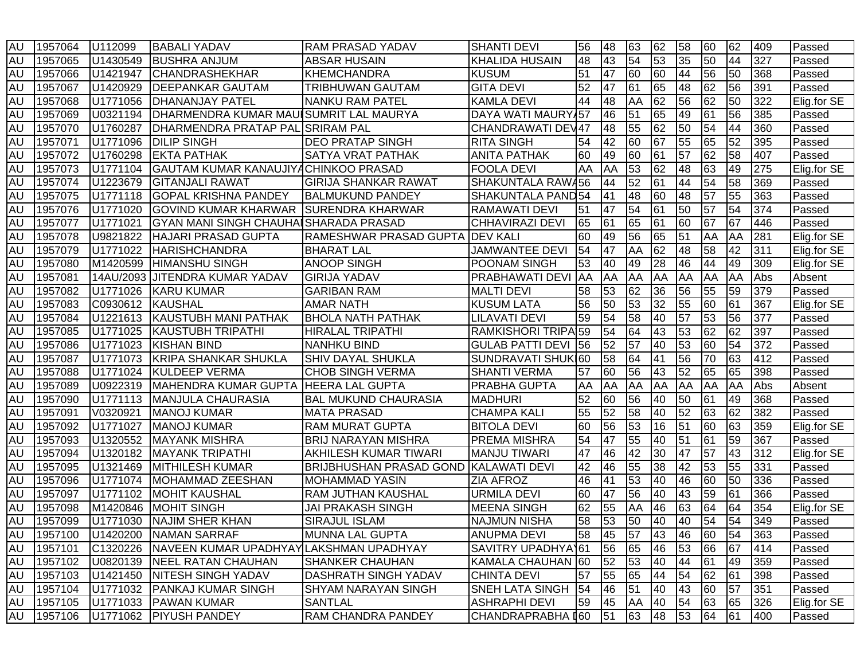| <b>AU</b> | 1957064    | U112099              | <b>BABALI YADAV</b>                             | <b>RAM PRASAD YADAV</b>        | <b>SHANTI DEVI</b>               | 56        | 48 | 63              | 62 | 58              | 60              | 62 | 409 | Passed      |
|-----------|------------|----------------------|-------------------------------------------------|--------------------------------|----------------------------------|-----------|----|-----------------|----|-----------------|-----------------|----|-----|-------------|
| <b>AU</b> | 1957065    | U1430549             | <b>BUSHRA ANJUM</b>                             | <b>ABSAR HUSAIN</b>            | <b>KHALIDA HUSAIN</b>            | 48        | 43 | 54              | 53 | 35              | 50              | 44 | 327 | Passed      |
| <b>AU</b> | 1957066    | U1421947             | <b>CHANDRASHEKHAR</b>                           | <b>KHEMCHANDRA</b>             | <b>KUSUM</b>                     | 51        | 47 | 60              | 60 | 44              | 56              | 50 | 368 | Passed      |
| <b>AU</b> | 1957067    | U1420929             | <b>DEEPANKAR GAUTAM</b>                         | TRIBHUWAN GAUTAM               | <b>GITA DEVI</b>                 | 52        | 47 | 61              | 65 | 48              | 62              | 56 | 391 | Passed      |
| <b>AU</b> | 1957068    | U1771056             | <b>IDHANANJAY PATEL</b>                         | <b>NANKU RAM PATEL</b>         | <b>KAMLA DEVI</b>                | 44        | 48 | AA              | 62 | 56              | 62              | 50 | 322 | Elig.for SE |
| <b>AU</b> | 1957069    | U0321194             | DHARMENDRA KUMAR MAUISUMRIT LAL MAURYA          |                                | DAYA WATI MAURY 57               |           | 46 | 51              | 65 | 49              | 61              | 56 | 385 | Passed      |
| <b>AU</b> | 1957070    | U1760287             | DHARMENDRA PRATAP PAL SRIRAM PAL                |                                | CHANDRAWATI DEV47                |           | 48 | 55              | 62 | 50              | 54              | 44 | 360 | Passed      |
| <b>AU</b> | 1957071    | U <sub>1771096</sub> | <b>DILIP SINGH</b>                              | <b>DEO PRATAP SINGH</b>        | <b>RITA SINGH</b>                | 54        | 42 | 60              | 67 | 55              | 65              | 52 | 395 | Passed      |
| <b>AU</b> | 1957072    | U1760298             | <b>EKTA PATHAK</b>                              | <b>SATYA VRAT PATHAK</b>       | <b>ANITA PATHAK</b>              | 60        | 49 | 60              | 61 | $\overline{57}$ | 62              | 58 | 407 | Passed      |
| <b>AU</b> | 1957073    | U1771104             | GAUTAM KUMAR KANAUJIYACHINKOO PRASAD            |                                | <b>FOOLA DEVI</b>                | AA        | AA | 53              | 62 | 48              | 63              | 49 | 275 | Elig.for SE |
| <b>AU</b> | 1957074    | U1223679             | <b>GITANJALI RAWAT</b>                          | <b>GIRIJA SHANKAR RAWAT</b>    | SHAKUNTALA RAW456                |           | 44 | 52              | 61 | 44              | 54              | 58 | 369 | Passed      |
| <b>AU</b> | 1957075    | U1771118             | <b>GOPAL KRISHNA PANDEY</b>                     | <b>BALMUKUND PANDEY</b>        | SHAKUNTALA PAND54                |           | 41 | 48              | 60 | 48              | $\overline{57}$ | 55 | 363 | Passed      |
| <b>AU</b> | 1957076    | U1771020             | <b>GOVIND KUMAR KHARWAR</b>                     | <b>SURENDRA KHARWAR</b>        | <b>RAMAWATI DEVI</b>             | 51        | 47 | 54              | 61 | 50              | 57              | 54 | 374 | Passed      |
| <b>AU</b> | 1957077    | U1771021             | GYAN MANI SINGH CHAUHAISHARADA PRASAD           |                                | <b>CHHAVIRAZI DEVI</b>           | 65        | 61 | 65              | 61 | 60              | 67              | 67 | 446 | Passed      |
| <b>AU</b> | 1957078    | U9821822             | <b>HAJARI PRASAD GUPTA</b>                      | RAMESHWAR PRASAD GUPTA         | <b>IDEV KALI</b>                 | 60        | 49 | 56              | 65 | 51              | AA              | AA | 281 | Elig.for SE |
| <b>AU</b> | 1957079    | U1771022             | <b>HARISHCHANDRA</b>                            | <b>BHARAT LAL</b>              | <b>JAMWANTEE DEVI</b>            | 54        | 47 | AA              | 62 | 48              | 58              | 42 | 311 | Elig.for SE |
| <b>AU</b> | 1957080    | M1420599             | <b>HIMANSHU SINGH</b>                           | <b>ANOOP SINGH</b>             | POONAM SINGH                     | 53        | 40 | 49              | 28 | 46              | 44              | 49 | 309 | Elig.for SE |
| <b>AU</b> | 1957081    | 14AU/2093            | <b>JITENDRA KUMAR YADAV</b>                     | <b>GIRIJA YADAV</b>            | <b>PRABHAWATI DEVI</b>           | <b>AA</b> | AA | AA              | AA | AA              | AA              | AA | Abs | Absent      |
| <b>AU</b> | 1957082    | U1771026             | <b>KARU KUMAR</b>                               | <b>GARIBAN RAM</b>             | <b>MALTI DEVI</b>                | 58        | 53 | 62              | 36 | 56              | 55              | 59 | 379 | Passed      |
| <b>AU</b> | 1957083    | C0930612             | KAUSHAL                                         | <b>AMAR NATH</b>               | <b>KUSUM LATA</b>                | 56        | 50 | 53              | 32 | 55              | 60              | 61 | 367 | Elig.for SE |
| <b>AU</b> | 1957084    | U1221613             | <b>KAUSTUBH MANI PATHAK</b>                     | <b>BHOLA NATH PATHAK</b>       | <b>LILAVATI DEVI</b>             | 59        | 54 | 58              | 40 | 57              | 53              | 56 | 377 | Passed      |
| <b>AU</b> | 1957085    | U1771025             | <b>KAUSTUBH TRIPATHI</b>                        | <b>HIRALAL TRIPATHI</b>        | RAMKISHORI TRIPA <sup>1</sup> 59 |           | 54 | 64              | 43 | 53              | $\overline{62}$ | 62 | 397 | Passed      |
| <b>AU</b> | 1957086    | U1771023             | <b>KISHAN BIND</b>                              | NANHKU BIND                    | <b>GULAB PATTI DEVI 56</b>       |           | 52 | 57              | 40 | 53              | 60              | 54 | 372 | Passed      |
| <b>AU</b> | 1957087    | U1771073             | <b>KRIPA SHANKAR SHUKLA</b>                     | <b>SHIV DAYAL SHUKLA</b>       | SUNDRAVATI SHUKI60               |           | 58 | 64              | 41 | 56              | 70              | 63 | 412 | Passed      |
| <b>AU</b> | 1957088    | U1771024             | <b>KULDEEP VERMA</b>                            | <b>CHOB SINGH VERMA</b>        | <b>SHANTI VERMA</b>              | 57        | 60 | 56              | 43 | 52              | 65              | 65 | 398 | Passed      |
| <b>AU</b> | 1957089    | U0922319             | MAHENDRA KUMAR GUPTA                            | <b>HEERA LAL GUPTA</b>         | <b>PRABHA GUPTA</b>              | AA        | AA | AA              | AA | AA              | AA              | AA | Abs | Absent      |
| <b>AU</b> | 1957090    | U1771113             | <b>MANJULA CHAURASIA</b>                        | <b>BAL MUKUND CHAURASIA</b>    | MADHURI                          | 52        | 60 | 56              | 40 | 50              | 61              | 49 | 368 | Passed      |
| AU        | 1957091    | V0320921             | <b>MANOJ KUMAR</b>                              | <b>MATA PRASAD</b>             | <b>CHAMPA KALI</b>               | 55        | 52 | 58              | 40 | 52              | 63              | 62 | 382 | Passed      |
| <b>AU</b> | 1957092    | U1771027             | <b>MANOJ KUMAR</b>                              | RAM MURAT GUPTA                | <b>BITOLA DEVI</b>               | 60        | 56 | 53              | 16 | 51              | 60              | 63 | 359 | Elig.for SE |
| <b>AU</b> | 1957093    | U1320552             | <b>MAYANK MISHRA</b>                            | <b>BRIJ NARAYAN MISHRA</b>     | <b>PREMA MISHRA</b>              | 54        | 47 | 55              | 40 | 51              | 61              | 59 | 367 | Passed      |
| <b>AU</b> | 1957094    | U1320182             | <b>MAYANK TRIPATHI</b>                          | AKHILESH KUMAR TIWARI          | <b>MANJU TIWARI</b>              | 47        | 46 | $\overline{42}$ | 30 | 47              | $\overline{57}$ | 43 | 312 | Elig.for SE |
| <b>AU</b> | 1957095    | U1321469             | <b>MITHILESH KUMAR</b>                          | <b>BRIJBHUSHAN PRASAD GOND</b> | KALAWATI DEVI                    | 42        | 46 | 55              | 38 | 42              | 53              | 55 | 331 | Passed      |
| <b>AU</b> | 1957096    | U1771074             | MOHAMMAD ZEESHAN                                | <b>MOHAMMAD YASIN</b>          | <b>ZIA AFROZ</b>                 | 46        | 41 | 53              | 40 | 46              | 60              | 50 | 336 | Passed      |
| <b>AU</b> | 1957097    | U1771102             | <b>MOHIT KAUSHAL</b>                            | RAM JUTHAN KAUSHAL             | <b>URMILA DEVI</b>               | 60        | 47 | 56              | 40 | 43              | 59              | 61 | 366 | Passed      |
| <b>AU</b> | 1957098    | M1420846             | <b>MOHIT SINGH</b>                              | <b>JAI PRAKASH SINGH</b>       | <b>MEENA SINGH</b>               | 62        | 55 | AA              | 46 | 63              | 64              | 64 | 354 | Elig.for SE |
| <b>AU</b> | 1957099    | U1771030             | <b>NAJIM SHER KHAN</b>                          | <b>SIRAJUL ISLAM</b>           | <b>NAJMUN NISHA</b>              | 58        | 53 | 50              | 40 | 40              | 54              | 54 | 349 | Passed      |
|           | AU 1957100 |                      | U1420200 NAMAN SARRAF                           | MUNNA LAL GUPTA                | <b>ANUPMA DEVI</b>               | 58        | 45 | 57              | 43 | 46              | 60              | 54 | 363 | Passed      |
| AU        | 1957101    |                      | C1320226 NAVEEN KUMAR UPADHYAYLAKSHMAN UPADHYAY |                                | SAVITRY UPADHYA161               |           | 56 | 65              | 46 | 53              | 66              | 67 | 414 | Passed      |
| AU        | 1957102    | U0820139             | <b>NEEL RATAN CHAUHAN</b>                       | SHANKER CHAUHAN                | KAMALA CHAUHAN 60                |           | 52 | 53              | 40 | 44              | 61              | 49 | 359 | Passed      |
| <b>AU</b> | 1957103    | U1421450             | <b>NITESH SINGH YADAV</b>                       | DASHRATH SINGH YADAV           | <b>CHINTA DEVI</b>               | 57        | 55 | 65              | 44 | 54              | 62              | 61 | 398 | Passed      |
| AU        | 1957104    | U1771032             | <b>PANKAJ KUMAR SINGH</b>                       | <b>SHYAM NARAYAN SINGH</b>     | <b>SNEH LATA SINGH</b>           | 54        | 46 | 51              | 40 | 43              | 60              | 57 | 351 | Passed      |
| AU        | 1957105    | U1771033             | <b>PAWAN KUMAR</b>                              | <b>SANTLAL</b>                 | <b>ASHRAPHI DEVI</b>             | 59        | 45 | AA              | 40 | 54              | 63              | 65 | 326 | Elig.for SE |
| AU        | 1957106    |                      | U1771062 PIYUSH PANDEY                          | RAM CHANDRA PANDEY             | CHANDRAPRABHA [60                |           | 51 | 63              | 48 | 53              | 64              | 61 | 400 | Passed      |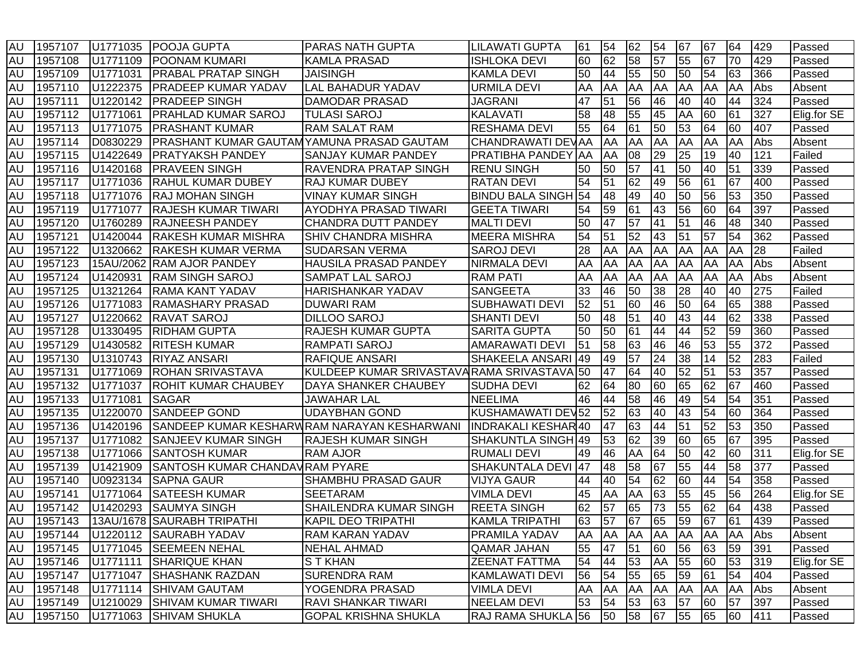| <b>AU</b> | 1957107    | U1771035  | <b>POOJA GUPTA</b>                               | <b>PARAS NATH GUPTA</b>                     | LILAWATI GUPTA             | 61 | 54         | 62        | 54        | 67        | 67 | 64              | 429 | Passed      |
|-----------|------------|-----------|--------------------------------------------------|---------------------------------------------|----------------------------|----|------------|-----------|-----------|-----------|----|-----------------|-----|-------------|
| <b>AU</b> | 1957108    | U1771109  | <b>POONAM KUMARI</b>                             | <b>KAMLA PRASAD</b>                         | <b>ISHLOKA DEVI</b>        | 60 | 62         | 58        | 57        | 55        | 67 | 70              | 429 | Passed      |
| <b>AU</b> | 1957109    | U1771031  | <b>PRABAL PRATAP SINGH</b>                       | <b>JAISINGH</b>                             | <b>KAMLA DEVI</b>          | 50 | 44         | 55        | 50        | 50        | 54 | 63              | 366 | Passed      |
| <b>AU</b> | 1957110    | U1222375  | <b>PRADEEP KUMAR YADAV</b>                       | <b>LAL BAHADUR YADAV</b>                    | <b>URMILA DEVI</b>         | AA | AA         | AA        | AA        | <b>AA</b> | AA | AA              | Abs | Absent      |
| <b>AU</b> | 1957111    | U1220142  | <b>PRADEEP SINGH</b>                             | IDAMODAR PRASAD                             | <b>JAGRANI</b>             | 47 | 51         | 56        | 46        | 40        | 40 | 44              | 324 | Passed      |
| <b>AU</b> | 1957112    | U1771061  | <b>PRAHLAD KUMAR SAROJ</b>                       | <b>TULASI SAROJ</b>                         | <b>KALAVATI</b>            | 58 | 48         | 55        | 45        | <b>AA</b> | 60 | 61              | 327 | Elig.for SE |
| <b>AU</b> | 1957113    | U1771075  | <b>PRASHANT KUMAR</b>                            | <b>RAM SALAT RAM</b>                        | <b>RESHAMA DEVI</b>        | 55 | 64         | 61        | 50        | 53        | 64 | 60              | 407 | Passed      |
| <b>AU</b> | 1957114    | D0830229  | <b>PRASHANT KUMAR GAUTAMYAMUNA PRASAD GAUTAM</b> |                                             | CHANDRAWATI DEVAA          |    | AA         | AA        | AA        | <b>AA</b> | AA | AA              | Abs | Absent      |
| <b>AU</b> | 1957115    | U1422649  | <b>PRATYAKSH PANDEY</b>                          | SANJAY KUMAR PANDEY                         | PRATIBHA PANDEY AA         |    | AA         | 08        | 29        | 25        | 19 | 40              | 121 | Failed      |
| <b>AU</b> | 1957116    | U1420168  | <b>PRAVEEN SINGH</b>                             | <b>RAVENDRA PRATAP SINGH</b>                | <b>RENU SINGH</b>          | 50 | 50         | 57        | 41        | 50        | 40 | 51              | 339 | Passed      |
| <b>AU</b> | 1957117    | U1771036  | <b>IRAHUL KUMAR DUBEY</b>                        | <b>RAJ KUMAR DUBEY</b>                      | <b>RATAN DEVI</b>          | 54 | 51         | 62        | 49        | 56        | 61 | 67              | 400 | Passed      |
| <b>AU</b> | 1957118    | U1771076  | <b>RAJ MOHAN SINGH</b>                           | <b>VINAY KUMAR SINGH</b>                    | <b>BINDU BALA SINGH 54</b> |    | 48         | 49        | 40        | 50        | 56 | 53              | 350 | Passed      |
| <b>AU</b> | 1957119    | U1771077  | <b>RAJESH KUMAR TIWARI</b>                       | AYODHYA PRASAD TIWARI                       | <b>GEETA TIWARI</b>        | 54 | 59         | 61        | 43        | 56        | 60 | 64              | 397 | Passed      |
| <b>AU</b> | 1957120    | U1760289  | <b>RAJNEESH PANDEY</b>                           | <b>CHANDRA DUTT PANDEY</b>                  | <b>MALTI DEVI</b>          | 50 | 47         | 57        | 41        | 51        | 46 | 48              | 340 | Passed      |
| <b>AU</b> | 1957121    | U1420044  | <b>RAKESH KUMAR MISHRA</b>                       | SHIV CHANDRA MISHRA                         | <b>MEERA MISHRA</b>        | 54 | 51         | 52        | 43        | 51        | 57 | 54              | 362 | Passed      |
| <b>AU</b> | 1957122    | U1320662  | <b>RAKESH KUMAR VERMA</b>                        | <b>SUDARSAN VERMA</b>                       | <b>SAROJ DEVI</b>          | 28 | AA         | AA        | AA        | <b>AA</b> | AA | AA              | 28  | Failed      |
| <b>AU</b> | 1957123    | 15AU/2062 | <b>RAM AJOR PANDEY</b>                           | <b>HAUSILA PRASAD PANDEY</b>                | NIRMALA DEVI               | AA | AA         | AA        | AA        | <b>AA</b> | AA | AA              | Abs | Absent      |
| <b>AU</b> | 1957124    | U1420931  | <b>RAM SINGH SAROJ</b>                           | <b>SAMPAT LAL SAROJ</b>                     | <b>RAM PATI</b>            | AA | AA         | AA        | AA        | AA        | AA | AA              | Abs | Absent      |
| <b>AU</b> | 1957125    | U1321264  | <b>RAMA KANT YADAV</b>                           | <b>HARISHANKAR YADAV</b>                    | <b>SANGEETA</b>            | 33 | 46         | 50        | 38        | 28        | 40 | 40              | 275 | Failed      |
| <b>AU</b> | 1957126    | U1771083  | <b>RAMASHARY PRASAD</b>                          | <b>DUWARI RAM</b>                           | <b>SUBHAWATI DEVI</b>      | 52 | 51         | 60        | 46        | 50        | 64 | 65              | 388 | Passed      |
| <b>AU</b> | 1957127    | U1220662  | <b>RAVAT SAROJ</b>                               | <b>DILLOO SAROJ</b>                         | <b>SHANTI DEVI</b>         | 50 | 48         | 51        | 40        | 43        | 44 | 62              | 338 | Passed      |
| <b>AU</b> | 1957128    | U1330495  | <b>RIDHAM GUPTA</b>                              | <b>RAJESH KUMAR GUPTA</b>                   | <b>SARITA GUPTA</b>        | 50 | 50         | 61        | 44        | 44        | 52 | 59              | 360 | Passed      |
| <b>AU</b> | 1957129    | U1430582  | <b>RITESH KUMAR</b>                              | <b>RAMPATI SAROJ</b>                        | <b>AMARAWATI DEVI</b>      | 51 | 58         | 63        | 46        | 46        | 53 | 55              | 372 | Passed      |
| <b>AU</b> | 1957130    | U1310743  | <b>RIYAZ ANSARI</b>                              | <b>RAFIQUE ANSARI</b>                       | SHAKEELA ANSARI 49         |    | 49         | 57        | 24        | 38        | 14 | 52              | 283 | Failed      |
| <b>AU</b> | 1957131    | U1771069  | <b>ROHAN SRIVASTAVA</b>                          | KULDEEP KUMAR SRIVASTAVARAMA SRIVASTAVA 50  |                            |    | 47         | 64        | 40        | 52        | 51 | 53              | 357 | Passed      |
| <b>AU</b> | 1957132    | U1771037  | <b>ROHIT KUMAR CHAUBEY</b>                       | DAYA SHANKER CHAUBEY                        | <b>SUDHA DEVI</b>          | 62 | 64         | 80        | 60        | 65        | 62 | 67              | 460 | Passed      |
| <b>AU</b> | 1957133    | U1771081  | <b>SAGAR</b>                                     | <b>JAWAHAR LAL</b>                          | NEELIMA                    | 46 | 44         | 58        | 46        | 49        | 54 | 54              | 351 | Passed      |
| AU        | 1957135    | U1220070  | <b>SANDEEP GOND</b>                              | <b>UDAYBHAN GOND</b>                        | KUSHAMAWATI DEV52          |    | 52         | 63        | 40        | 43        | 54 | 60              | 364 | Passed      |
| <b>AU</b> | 1957136    | U1420196  |                                                  | SANDEEP KUMAR KESHARWRAM NARAYAN KESHARWANI | <b>INDRAKALI KESHAR40</b>  |    | 47         | 63        | 44        | 51        | 52 | $\overline{53}$ | 350 | Passed      |
| <b>AU</b> | 1957137    | U1771082  | <b>SANJEEV KUMAR SINGH</b>                       | <b>RAJESH KUMAR SINGH</b>                   | SHAKUNTLA SINGH 49         |    | 53         | 62        | 39        | 60        | 65 | 67              | 395 | Passed      |
| <b>AU</b> | 1957138    | U1771066  | <b>SANTOSH KUMAR</b>                             | <b>RAM AJOR</b>                             | <b>RUMALI DEVI</b>         | 49 | 46         | AA        | 64        | 50        | 42 | 60              | 311 | Elig.for SE |
| <b>AU</b> | 1957139    | U1421909  | SANTOSH KUMAR CHANDAV RAM PYARE                  |                                             | <b>SHAKUNTALA DEVI</b>     | 47 | 48         | 58        | 67        | 55        | 44 | 58              | 377 | Passed      |
| <b>AU</b> | 1957140    | U0923134  | <b>SAPNA GAUR</b>                                | SHAMBHU PRASAD GAUR                         | <b>VIJYA GAUR</b>          | 44 | 40         | 54        | 62        | 60        | 44 | 54              | 358 | Passed      |
| <b>AU</b> | 1957141    | U1771064  | <b>SATEESH KUMAR</b>                             | <b>SEETARAM</b>                             | <b>VIMLA DEVI</b>          | 45 | AA         | AA        | 63        | 55        | 45 | 56              | 264 | Elig.for SE |
| <b>AU</b> | 1957142    | U1420293  | <b>SAUMYA SINGH</b>                              | <b>SHAILENDRA KUMAR SINGH</b>               | <b>REETA SINGH</b>         | 62 | 57         | 65        | 73        | 55        | 62 | 64              | 438 | Passed      |
| <b>AU</b> | 1957143    |           | 13AU/1678 SAURABH TRIPATHI                       | <b>KAPIL DEO TRIPATHI</b>                   | KAMLA TRIPATHI             | 63 | 57         | 67        | 65        | 59        | 67 | 61              | 439 | Passed      |
|           | AU 1957144 |           | U1220112 SAURABH YADAV                           | <b>RAM KARAN YADAV</b>                      | <b>PRAMILA YADAV</b>       | AA | <b>AA</b>  | <b>AA</b> | AA AA AA  |           |    | <b>AA</b>       | Abs | Absent      |
| AU        | 1957145    | U1771045  | <b>SEEMEEN NEHAL</b>                             | <b>NEHAL AHMAD</b>                          | <b>QAMAR JAHAN</b>         | 55 | 47         | 51        | 60        | 56        | 63 | 59              | 391 | Passed      |
| AU        | 1957146    | U1771111  | <b>SHARIQUE KHAN</b>                             | <b>STKHAN</b>                               | ZEENAT FATTMA              | 54 | 44         | 53        | AA        | 55        | 60 | 53              | 319 | Elig.for SE |
| AU        | 1957147    | U1771047  | <b>SHASHANK RAZDAN</b>                           | <b>SURENDRA RAM</b>                         | <b>KAMLAWATI DEVI</b>      | 56 | 54         | 55        | 65        | 59        | 61 | 54              | 404 | Passed      |
| AU        | 1957148    | U1771114  | <b>SHIVAM GAUTAM</b>                             | YOGENDRA PRASAD                             | <b>VIMLA DEVI</b>          | AA | <b>JAA</b> | AA        | <b>AA</b> | AA        | AA | AA              | Abs | Absent      |
| AU        | 1957149    | U1210029  | <b>SHIVAM KUMAR TIWARI</b>                       | <b>RAVI SHANKAR TIWARI</b>                  | NEELAM DEVI                | 53 | 54         | 53        | 63        | 57        | 60 | 57              | 397 | Passed      |
|           | AU 1957150 |           | U1771063 SHIVAM SHUKLA                           | <b>GOPAL KRISHNA SHUKLA</b>                 | RAJ RAMA SHUKLA 56         |    | 50         | 58        | 67        | 55        | 65 | 60              | 411 | Passed      |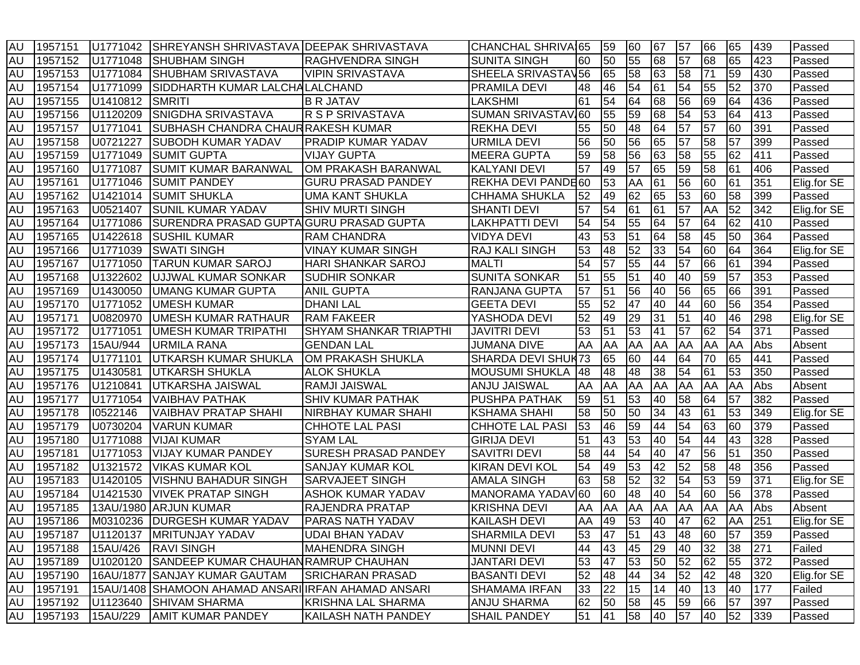| <b>AU</b> | 1957151 | U1771042  | ISHREYANSH SHRIVASTAVA IDEEPAK SHRIVASTAVA          |                               | <b>CHANCHAL SHRIVA165</b>    |    | 59        | 60 | 67        | 57              | 66              | 65 | 439 | Passed      |
|-----------|---------|-----------|-----------------------------------------------------|-------------------------------|------------------------------|----|-----------|----|-----------|-----------------|-----------------|----|-----|-------------|
| <b>AU</b> | 1957152 | U1771048  | <b>SHUBHAM SINGH</b>                                | <b>RAGHVENDRA SINGH</b>       | <b>SUNITA SINGH</b>          | 60 | 50        | 55 | 68        | 57              | 68              | 65 | 423 | Passed      |
| <b>AU</b> | 1957153 | U1771084  | <b>SHUBHAM SRIVASTAVA</b>                           | <b>VIPIN SRIVASTAVA</b>       | SHEELA SRIVASTAV56           |    | 65        | 58 | 63        | 58              | 71              | 59 | 430 | Passed      |
| <b>AU</b> | 1957154 | U1771099  | SIDDHARTH KUMAR LALCHALALCHAND                      |                               | <b>PRAMILA DEVI</b>          | 48 | 46        | 54 | 61        | 54              | 55              | 52 | 370 | Passed      |
| <b>AU</b> | 1957155 | U1410812  | <b>SMRITI</b>                                       | <b>B R JATAV</b>              | <b>LAKSHMI</b>               | 61 | 54        | 64 | 68        | 56              | 69              | 64 | 436 | Passed      |
| <b>AU</b> | 1957156 | U1120209  | SNIGDHA SRIVASTAVA                                  | R S P SRIVASTAVA              | SUMAN SRIVASTAV 60           |    | 55        | 59 | 68        | 54              | 53              | 64 | 413 | Passed      |
| <b>AU</b> | 1957157 | U1771041  | <b>SUBHASH CHANDRA CHAUR RAKESH KUMAR</b>           |                               | <b>REKHA DEVI</b>            | 55 | 50        | 48 | 64        | 57              | 57              | 60 | 391 | Passed      |
| <b>AU</b> | 1957158 | U0721227  | <b>SUBODH KUMAR YADAV</b>                           | <b>PRADIP KUMAR YADAV</b>     | <b>URMILA DEVI</b>           | 56 | 50        | 56 | 65        | 57              | 58              | 57 | 399 | Passed      |
| <b>AU</b> | 1957159 | U1771049  | <b>SUMIT GUPTA</b>                                  | <b>VIJAY GUPTA</b>            | <b>MEERA GUPTA</b>           | 59 | 58        | 56 | 63        | 58              | 55              | 62 | 411 | Passed      |
| <b>AU</b> | 1957160 | U1771087  | <b>SUMIT KUMAR BARANWAL</b>                         | OM PRAKASH BARANWAL           | <b>KALYANI DEVI</b>          | 57 | 49        | 57 | 65        | 59              | 58              | 61 | 406 | Passed      |
| <b>AU</b> | 1957161 | U1771046  | <b>SUMIT PANDEY</b>                                 | <b>GURU PRASAD PANDEY</b>     | REKHA DEVI PANDE60           |    | 53        | AA | 61        | 56              | 60              | 61 | 351 | Elig.for SE |
| <b>AU</b> | 1957162 | U1421014  | <b>SUMIT SHUKLA</b>                                 | <b>UMA KANT SHUKLA</b>        | <b>CHHAMA SHUKLA</b>         | 52 | 49        | 62 | 65        | 53              | 60              | 58 | 399 | Passed      |
| <b>AU</b> | 1957163 | U0521407  | <b>SUNIL KUMAR YADAV</b>                            | <b>SHIV MURTI SINGH</b>       | <b>SHANTI DEVI</b>           | 57 | 54        | 61 | 61        | $\overline{57}$ | AA              | 52 | 342 | Elig.for SE |
| <b>AU</b> | 1957164 | U1771086  | SURENDRA PRASAD GUPTA GURU PRASAD GUPTA             |                               | <b>LAKHPATTI DEVI</b>        | 54 | 54        | 55 | 64        | 57              | 64              | 62 | 410 | Passed      |
| <b>AU</b> | 1957165 | U1422618  | <b>SUSHIL KUMAR</b>                                 | <b>RAM CHANDRA</b>            | <b>VIDYA DEVI</b>            | 43 | 53        | 51 | 64        | 58              | 45              | 50 | 364 | Passed      |
| <b>AU</b> | 1957166 | U1771039  | <b>SWATI SINGH</b>                                  | VINAY KUMAR SINGH             | RAJ KALI SINGH               | 53 | 48        | 52 | 33        | 54              | 60              | 64 | 364 | Elig.for SE |
| <b>AU</b> | 1957167 | U1771050  | <b>TARUN KUMAR SAROJ</b>                            | <b>HARI SHANKAR SAROJ</b>     | <b>MALTI</b>                 | 54 | 57        | 55 | 44        | 57              | 66              | 61 | 394 | Passed      |
| <b>AU</b> | 1957168 | U1322602  | UJJWAL KUMAR SONKAR                                 | <b>SUDHIR SONKAR</b>          | <b>SUNITA SONKAR</b>         | 51 | 55        | 51 | 40        | 40              | 59              | 57 | 353 | Passed      |
| <b>AU</b> | 1957169 | U1430050  | <b>UMANG KUMAR GUPTA</b>                            | <b>ANIL GUPTA</b>             | RANJANA GUPTA                | 57 | 51        | 56 | 40        | 56              | 65              | 66 | 391 | Passed      |
| <b>AU</b> | 1957170 | U1771052  | <b>UMESH KUMAR</b>                                  | <b>DHANI LAL</b>              | <b>GEETA DEVI</b>            | 55 | 52        | 47 | 40        | 44              | $\overline{60}$ | 56 | 354 | Passed      |
| <b>AU</b> | 1957171 | U0820970  | <b>UMESH KUMAR RATHAUR</b>                          | <b>RAM FAKEER</b>             | YASHODA DEVI                 | 52 | 49        | 29 | 31        | 51              | 40              | 46 | 298 | Elig.for SE |
| <b>AU</b> | 1957172 | U1771051  | <b>UMESH KUMAR TRIPATHI</b>                         | <b>SHYAM SHANKAR TRIAPTHI</b> | <b>JAVITRI DEVI</b>          | 53 | 51        | 53 | 41        | 57              | 62              | 54 | 371 | Passed      |
| <b>AU</b> | 1957173 | 15AU/944  | <b>URMILA RANA</b>                                  | <b>GENDAN LAL</b>             | <b>JUMANA DIVE</b>           | AA | AA        | AA | <b>AA</b> | <b>JAA</b>      | AA              | AA | Abs | Absent      |
| <b>AU</b> | 1957174 | U1771101  | UTKARSH KUMAR SHUKLA                                | OM PRAKASH SHUKLA             | SHARDA DEVI SHUK73           |    | 65        | 60 | 44        | 64              | 70              | 65 | 441 | Passed      |
| <b>AU</b> | 1957175 | U1430581  | UTKARSH SHUKLA                                      | <b>ALOK SHUKLA</b>            | <b>MOUSUMI SHUKLA</b>        | 48 | 48        | 48 | 38        | 54              | 61              | 53 | 350 | Passed      |
| <b>AU</b> | 1957176 | U1210841  | UTKARSHA JAISWAL                                    | RAMJI JAISWAL                 | <b>ANJU JAISWAL</b>          | AA | <b>AA</b> | AA | AA        | AA              | AA              | AA | Abs | Absent      |
| <b>AU</b> | 1957177 | U1771054  | VAIBHAV PATHAK                                      | <b>SHIV KUMAR PATHAK</b>      | <b>PUSHPA PATHAK</b>         | 59 | 51        | 53 | 40        | 58              | 64              | 57 | 382 | Passed      |
| <b>AU</b> | 1957178 | 10522146  | <b>VAIBHAV PRATAP SHAHI</b>                         | <b>NIRBHAY KUMAR SHAHI</b>    | <b>KSHAMA SHAHI</b>          | 58 | 50        | 50 | 34        | 43              | 61              | 53 | 349 | Elig.for SE |
| <b>AU</b> | 1957179 | U0730204  | VARUN KUMAR                                         | <b>CHHOTE LAL PASI</b>        | <b>CHHOTE LAL PASI</b>       | 53 | 46        | 59 | 44        | 54              | 63              | 60 | 379 | Passed      |
| <b>AU</b> | 1957180 | U1771088  | VIJAI KUMAR                                         | <b>SYAM LAL</b>               | <b>GIRIJA DEVI</b>           | 51 | 43        | 53 | 40        | 54              | 44              | 43 | 328 | Passed      |
| <b>AU</b> | 1957181 | U1771053  | <b>VIJAY KUMAR PANDEY</b>                           | <b>SURESH PRASAD PANDEY</b>   | <b>SAVITRI DEVI</b>          | 58 | 44        | 54 | 40        | 47              | 56              | 51 | 350 | Passed      |
| <b>AU</b> | 1957182 | U1321572  | <b>VIKAS KUMAR KOL</b>                              | <b>SANJAY KUMAR KOL</b>       | <b>KIRAN DEVI KOL</b>        | 54 | 49        | 53 | 42        | 52              | 58              | 48 | 356 | Passed      |
| <b>AU</b> | 1957183 | U1420105  | <b>VISHNU BAHADUR SINGH</b>                         | <b>SARVAJEET SINGH</b>        | <b>AMALA SINGH</b>           | 63 | 58        | 52 | 32        | 54              | 53              | 59 | 371 | Elig.for SE |
| <b>AU</b> | 1957184 | U1421530  | <b>VIVEK PRATAP SINGH</b>                           | <b>ASHOK KUMAR YADAV</b>      | MANORAMA YADAV <sub>60</sub> |    | 60        | 48 | 40        | 54              | 60              | 56 | 378 | Passed      |
| <b>AU</b> | 1957185 |           | 13AU/1980 ARJUN KUMAR                               | <b>RAJENDRA PRATAP</b>        | <b>KRISHNA DEVI</b>          | AA | <b>AA</b> | AA | <b>AA</b> | <b>AA</b>       | AA              | AA | Abs | Absent      |
| <b>AU</b> | 1957186 |           | M0310236 DURGESH KUMAR YADAV                        | <b>PARAS NATH YADAV</b>       | <b>KAILASH DEVI</b>          | AA | 49        | 53 | 40        | 47              | 62              | AA | 251 | Elig.for SE |
| <b>AU</b> | 1957187 | U1120137  | <b>MRITUNJAY YADAV</b>                              | <b>UDAI BHAN YADAV</b>        | <b>SHARMILA DEVI</b>         | 53 | 47        | 51 | 43        | 48              | 60              | 57 | 359 | Passed      |
| <b>AU</b> | 1957188 | 15AU/426  | <b>RAVI SINGH</b>                                   | <b>MAHENDRA SINGH</b>         | <b>MUNNI DEVI</b>            | 44 | 43        | 45 | 29        | 40              | 32              | 38 | 271 | Failed      |
| <b>AU</b> | 1957189 | U1020120  | SANDEEP KUMAR CHAUHAN RAMRUP CHAUHAN                |                               | <b>JANTARI DEVI</b>          | 53 | 47        | 53 | 50        | $\sqrt{52}$     | 62              | 55 | 372 | Passed      |
| <b>AU</b> | 1957190 | 16AU/1877 | <b>SANJAY KUMAR GAUTAM</b>                          | <b>SRICHARAN PRASAD</b>       | <b>BASANTI DEVI</b>          | 52 | 48        | 44 | 34        | 52              | 42              | 48 | 320 | Elig.for SE |
| AU        | 1957191 |           | 15AU/1408 SHAMOON AHAMAD ANSARI IRFAN AHAMAD ANSARI |                               | <b>SHAMAMA IRFAN</b>         | 33 | 22        | 15 | 14        | 40              | 13              | 40 | 177 | Failed      |
| AU        | 1957192 | U1123640  | <b>SHIVAM SHARMA</b>                                | <b>KRISHNA LAL SHARMA</b>     | <b>ANJU SHARMA</b>           | 62 | 50        | 58 | 45        | 59              | 66              | 57 | 397 | Passed      |
| AU        | 1957193 | 15AU/229  | <b>AMIT KUMAR PANDEY</b>                            | KAILASH NATH PANDEY           | <b>SHAIL PANDEY</b>          | 51 | 41        | 58 | 40        | 57              | 40              | 52 | 339 | Passed      |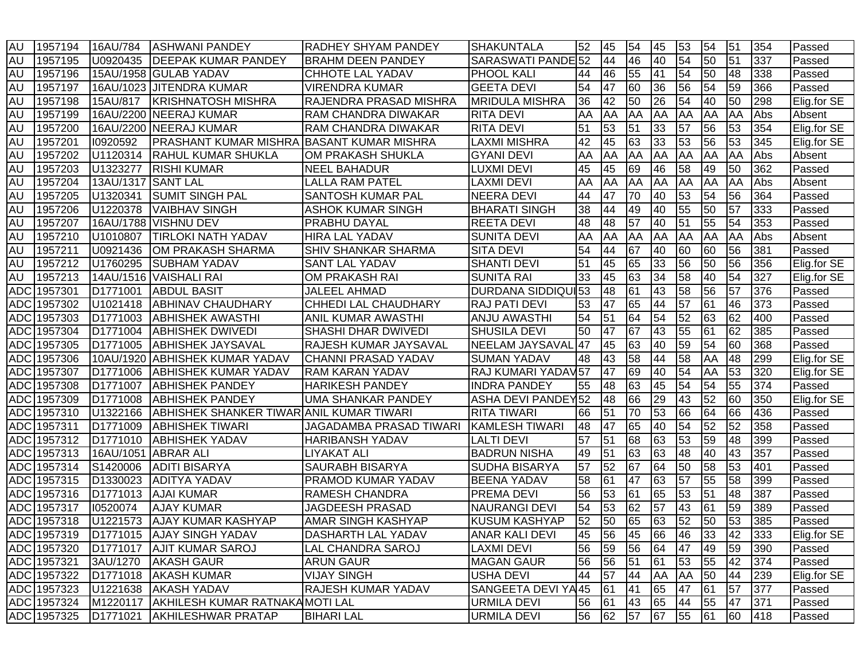| <b>AU</b>  | 1957194     | 16AU/784             | <b>ASHWANI PANDEY</b>                     | <b>RADHEY SHYAM PANDEY</b>     | <b>SHAKUNTALA</b>         | 52 | 45 | 54 | 45              | 53              | 54 | 51              | 354 | Passed      |
|------------|-------------|----------------------|-------------------------------------------|--------------------------------|---------------------------|----|----|----|-----------------|-----------------|----|-----------------|-----|-------------|
| <b>AU</b>  | 1957195     | U0920435             | <b>DEEPAK KUMAR PANDEY</b>                | <b>BRAHM DEEN PANDEY</b>       | SARASWATI PANDE 52        |    | 44 | 46 | 40              | 54              | 50 | 51              | 337 | Passed      |
| <b>AU</b>  | 1957196     |                      | 15AU/1958 GULAB YADAV                     | CHHOTE LAL YADAV               | <b>PHOOL KALI</b>         | 44 | 46 | 55 | 41              | 54              | 50 | 48              | 338 | Passed      |
| <b>AU</b>  | 1957197     |                      | 16AU/1023 JJITENDRA KUMAR                 | <b>VIRENDRA KUMAR</b>          | <b>GEETA DEVI</b>         | 54 | 47 | 60 | 36              | 56              | 54 | 59              | 366 | Passed      |
| <b>AU</b>  | 1957198     | 15AU/817             | <b>KRISHNATOSH MISHRA</b>                 | RAJENDRA PRASAD MISHRA         | <b>MRIDULA MISHRA</b>     | 36 | 42 | 50 | 26              | 54              | 40 | 50              | 298 | Elig.for SE |
| <b>AU</b>  | 1957199     |                      | 16AU/2200 NEERAJ KUMAR                    | <b>RAM CHANDRA DIWAKAR</b>     | <b>RITA DEVI</b>          | AA | AA | AA | AA              | AA              | AA | AA              | Abs | Absent      |
| <b>AU</b>  | 1957200     |                      | 16AU/2200 NEERAJ KUMAR                    | <b>RAM CHANDRA DIWAKAR</b>     | <b>RITA DEVI</b>          | 51 | 53 | 51 | 33              | 57              | 56 | 53              | 354 | Elig.for SE |
| <b>AU</b>  | 1957201     | 10920592             | PRASHANT KUMAR MISHRA BASANT KUMAR MISHRA |                                | <b>LAXMI MISHRA</b>       | 42 | 45 | 63 | 33              | 53              | 56 | 53              | 345 | Elig.for SE |
| <b>AU</b>  | 1957202     | U1120314             | <b>RAHUL KUMAR SHUKLA</b>                 | OM PRAKASH SHUKLA              | <b>GYANI DEVI</b>         | AA | AA | AA | AA              | AA              | AA | AA              | Abs | Absent      |
| <b>AU</b>  | 1957203     | U1323277             | <b>RISHI KUMAR</b>                        | <b>NEEL BAHADUR</b>            | <b>LUXMI DEVI</b>         | 45 | 45 | 69 | 46              | 58              | 49 | 50              | 362 | Passed      |
| <b>AU</b>  | 1957204     | 13AU/1317            | <b>SANT LAL</b>                           | <b>LALLA RAM PATEL</b>         | <b>LAXMI DEVI</b>         | AA | AA | AA | AA              | AA              | AA | AA              | Abs | Absent      |
| <b>AU</b>  | 1957205     | U1320341             | <b>SUMIT SINGH PAL</b>                    | SANTOSH KUMAR PAL              | <b>NEERA DEVI</b>         | 44 | 47 | 70 | 40              | 53              | 54 | 56              | 364 | Passed      |
| <b>AU</b>  | 1957206     | U1220378             | <b>VAIBHAV SINGH</b>                      | <b>ASHOK KUMAR SINGH</b>       | <b>BHARATI SINGH</b>      | 38 | 44 | 49 | 40              | 55              | 50 | 57              | 333 | Passed      |
| <b>AU</b>  | 1957207     |                      | 16AU/1788   VISHNU DEV                    | PRABHU DAYAL                   | <b>REETA DEVI</b>         | 48 | 48 | 57 | 40              | 51              | 55 | 54              | 353 | Passed      |
| <b>AU</b>  | 1957210     | U1010807             | <b>TIRLOKI NATH YADAV</b>                 | <b>HIRA LAL YADAV</b>          | <b>SUNITA DEVI</b>        | AA | AA | AA | AA              | AA              | AA | AA              | Abs | Absent      |
| <b>AU</b>  | 1957211     | U0921436             | OM PRAKASH SHARMA                         | SHIV SHANKAR SHARMA            | <b>SITA DEVI</b>          | 54 | 44 | 67 | 40              | 60              | 60 | 56              | 381 | Passed      |
| <b>AU</b>  | 1957212     | U1760295             | <b>SUBHAM YADAV</b>                       | <b>SANT LAL YADAV</b>          | <b>SHANTI DEVI</b>        | 51 | 45 | 65 | 33              | 56              | 50 | 56              | 356 | Elig.for SE |
| <b>AU</b>  | 1957213     |                      | 14AU/1516 VAISHALI RAI                    | OM PRAKASH RAI                 | <b>SUNITA RAI</b>         | 33 | 45 | 63 | 34              | 58              | 40 | 54              | 327 | Elig.for SE |
| <b>ADC</b> | 1957301     | D1771001             | <b>ABDUL BASIT</b>                        | JALEEL AHMAD                   | <b>DURDANA SIDDIQUI53</b> |    | 48 | 61 | 43              | 58              | 56 | 57              | 376 | Passed      |
| <b>ADC</b> | 1957302     | U1021418             | <b>ABHINAV CHAUDHARY</b>                  | <b>CHHEDI LAL CHAUDHARY</b>    | <b>RAJ PATI DEVI</b>      | 53 | 47 | 65 | 44              | $\overline{57}$ | 61 | 46              | 373 | Passed      |
|            | ADC 1957303 | D1771003             | <b>ABHISHEK AWASTHI</b>                   | <b>ANIL KUMAR AWASTHI</b>      | <b>ANJU AWASTHI</b>       | 54 | 51 | 64 | 54              | 52              | 63 | 62              | 400 | Passed      |
|            | ADC 1957304 | D1771004             | <b>ABHISHEK DWIVEDI</b>                   | SHASHI DHAR DWIVEDI            | <b>SHUSILA DEVI</b>       | 50 | 47 | 67 | 43              | 55              | 61 | 62              | 385 | Passed      |
|            | ADC 1957305 | D <sub>1771005</sub> | <b>ABHISHEK JAYSAVAL</b>                  | RAJESH KUMAR JAYSAVAL          | <b>NEELAM JAYSAVAL</b>    | 47 | 45 | 63 | 40              | 59              | 54 | 60              | 368 | Passed      |
|            | ADC 1957306 |                      | 10AU/1920 ABHISHEK KUMAR YADAV            | <b>CHANNI PRASAD YADAV</b>     | <b>SUMAN YADAV</b>        | 48 | 43 | 58 | 44              | 58              | AA | 48              | 299 | Elig.for SE |
| <b>ADC</b> | 1957307     | D1771006             | <b>ABHISHEK KUMAR YADAV</b>               | <b>RAM KARAN YADAV</b>         | RAJ KUMARI YADAV57        |    | 47 | 69 | 40              | 54              | AA | 53              | 320 | Elig.for SE |
| <b>ADC</b> | 1957308     | D <sub>1771007</sub> | <b>ABHISHEK PANDEY</b>                    | <b>HARIKESH PANDEY</b>         | <b>INDRA PANDEY</b>       | 55 | 48 | 63 | 45              | 54              | 54 | 55              | 374 | Passed      |
|            | ADC 1957309 | D <sub>1771008</sub> | <b>ABHISHEK PANDEY</b>                    | UMA SHANKAR PANDEY             | ASHA DEVI PANDEY52        |    | 48 | 66 | 29              | 43              | 52 | 60              | 350 | Elig.for SE |
| <b>ADC</b> | 1957310     | U1322166             | ABHISHEK SHANKER TIWAR ANIL KUMAR TIWARI  |                                | <b>RITA TIWARI</b>        | 66 | 51 | 70 | 53              | 66              | 64 | 66              | 436 | Passed      |
|            | ADC 1957311 | D1771009             | <b>ABHISHEK TIWARI</b>                    | <b>JAGADAMBA PRASAD TIWARI</b> | <b>KAMLESH TIWARI</b>     | 48 | 47 | 65 | 40              | 54              | 52 | $\overline{52}$ | 358 | Passed      |
|            | ADC 1957312 | D <sub>1771010</sub> | <b>ABHISHEK YADAV</b>                     | <b>HARIBANSH YADAV</b>         | <b>LALTI DEVI</b>         | 57 | 51 | 68 | 63              | 53              | 59 | 48              | 399 | Passed      |
|            | ADC 1957313 | 16AU/1051            | <b>ABRAR ALI</b>                          | <b>LIYAKAT ALI</b>             | <b>BADRUN NISHA</b>       | 49 | 51 | 63 | 63              | 48              | 40 | 43              | 357 | Passed      |
|            | ADC 1957314 | S1420006             | <b>ADITI BISARYA</b>                      | <b>SAURABH BISARYA</b>         | <b>SUDHA BISARYA</b>      | 57 | 52 | 67 | 64              | 50              | 58 | 53              | 401 | Passed      |
|            | ADC 1957315 | D <sub>1330023</sub> | <b>ADITYA YADAV</b>                       | PRAMOD KUMAR YADAV             | <b>BEENA YADAV</b>        | 58 | 61 | 47 | 63              | $\overline{57}$ | 55 | 58              | 399 | Passed      |
| <b>ADC</b> | 1957316     | D <sub>1771013</sub> | <b>AJAI KUMAR</b>                         | RAMESH CHANDRA                 | <b>PREMA DEVI</b>         | 56 | 53 | 61 | 65              | 53              | 51 | 48              | 387 | Passed      |
|            | ADC 1957317 | 10520074             | <b>AJAY KUMAR</b>                         | <b>JAGDEESH PRASAD</b>         | <b>NAURANGI DEVI</b>      | 54 | 53 | 62 | $\overline{57}$ | 43              | 61 | 59              | 389 | Passed      |
|            | ADC 1957318 | U1221573             | IAJAY KUMAR KASHYAP                       | AMAR SINGH KASHYAP             | <b>KUSUM KASHYAP</b>      | 52 | 50 | 65 | 63              | 52              | 50 | 53              | 385 | Passed      |
|            | ADC 1957319 |                      | D1771015 AJAY SINGH YADAV                 | <b>DASHARTH LAL YADAV</b>      | <b>ANAR KALI DEVI</b>     | 45 | 56 | 45 | 66              | 46              | 33 | 42              | 333 | Elig.for SE |
|            | ADC 1957320 | D1771017             | <b>AJIT KUMAR SAROJ</b>                   | LAL CHANDRA SAROJ              | <b>LAXMI DEVI</b>         | 56 | 59 | 56 | 64              | 47              | 49 | 59              | 390 | Passed      |
|            | ADC 1957321 | 3AU/1270             | <b>AKASH GAUR</b>                         | <b>ARUN GAUR</b>               | <b>MAGAN GAUR</b>         | 56 | 56 | 51 | 61              | 53              | 55 | 42              | 374 | Passed      |
|            | ADC 1957322 | D1771018             | <b>AKASH KUMAR</b>                        | <b>VIJAY SINGH</b>             | <b>USHA DEVI</b>          | 44 | 57 | 44 | AA              | AA              | 50 | 44              | 239 | Elig.for SE |
|            | ADC 1957323 | U1221638             | <b>AKASH YADAV</b>                        | <b>RAJESH KUMAR YADAV</b>      | SANGEETA DEVI YA45        |    | 61 | 41 | 65              | 47              | 61 | 57              | 377 | Passed      |
|            | ADC 1957324 | M1220117             | AKHILESH KUMAR RATNAKAMOTI LAL            |                                | <b>URMILA DEVI</b>        | 56 | 61 | 43 | 65              | 44              | 55 | 47              | 371 | Passed      |
|            | ADC 1957325 | D <sub>1771021</sub> | <b>AKHILESHWAR PRATAP</b>                 | <b>BIHARI LAL</b>              | <b>URMILA DEVI</b>        | 56 | 62 | 57 | 67              | 55              | 61 | 60              | 418 | Passed      |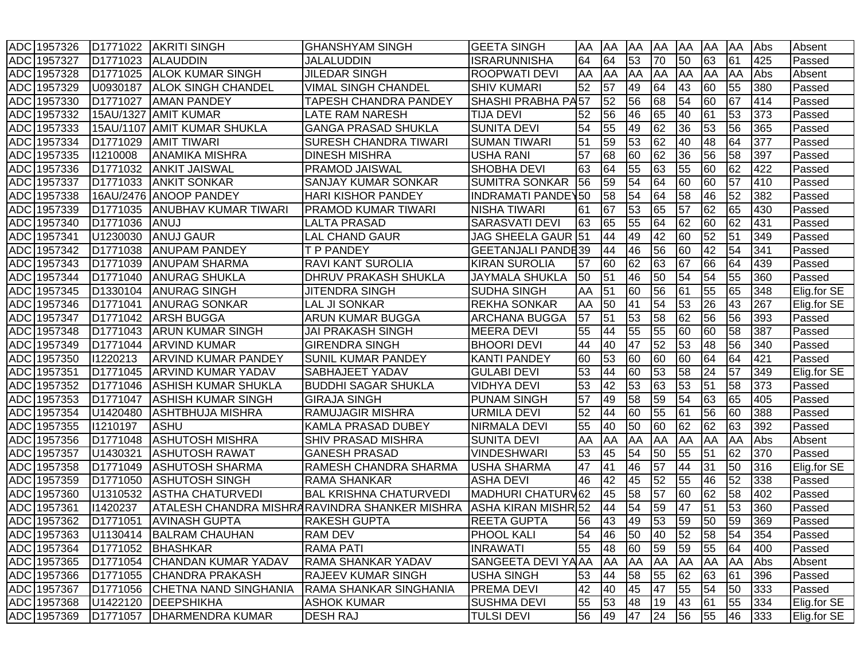| ADC 1957326           | D <sub>1771022</sub> | <b>AKRITI SINGH</b>          | <b>GHANSHYAM SINGH</b>                        | <b>GEETA SINGH</b>        | AA | AA | AA        | <b>AA</b> | <b>AA</b>       | AA              | AA              | Abs | Absent      |
|-----------------------|----------------------|------------------------------|-----------------------------------------------|---------------------------|----|----|-----------|-----------|-----------------|-----------------|-----------------|-----|-------------|
| ADC 1957327           | D <sub>1771023</sub> | <b>ALAUDDIN</b>              | JALALUDDIN                                    | <b>ISRARUNNISHA</b>       | 64 | 64 | 53        | 70        | 50              | 63              | 61              | 425 | Passed      |
| ADC 1957328           | D1771025             | <b>ALOK KUMAR SINGH</b>      | <b>JILEDAR SINGH</b>                          | <b>ROOPWATI DEVI</b>      | AA | AA | AA        | AA        | <b>AA</b>       | AA              | AA              | Abs | Absent      |
| <b>ADC</b><br>1957329 | U0930187             | <b>ALOK SINGH CHANDEL</b>    | <b>VIMAL SINGH CHANDEL</b>                    | <b>SHIV KUMARI</b>        | 52 | 57 | 49        | 64        | 43              | 60              | 55              | 380 | Passed      |
| ADC 1957330           | D1771027             | <b>AMAN PANDEY</b>           | TAPESH CHANDRA PANDEY                         | <b>SHASHI PRABHA PA57</b> |    | 52 | 56        | 68        | 54              | 60              | 67              | 414 | Passed      |
| ADC 1957332           | 15AU/1327            | <b>AMIT KUMAR</b>            | <b>LATE RAM NARESH</b>                        | <b>TIJA DEVI</b>          | 52 | 56 | 46        | 65        | 40              | 61              | 53              | 373 | Passed      |
| ADC 1957333           | 15AU/1107            | <b>AMIT KUMAR SHUKLA</b>     | <b>GANGA PRASAD SHUKLA</b>                    | <b>SUNITA DEVI</b>        | 54 | 55 | 49        | 62        | 36              | 53              | 56              | 365 | Passed      |
| ADC 1957334           | D1771029             | <b>AMIT TIWARI</b>           | <b>SURESH CHANDRA TIWARI</b>                  | <b>SUMAN TIWARI</b>       | 51 | 59 | 53        | 62        | 40              | 48              | 64              | 377 | Passed      |
| <b>ADC</b><br>1957335 | 11210008             | <b>ANAMIKA MISHRA</b>        | <b>DINESH MISHRA</b>                          | <b>USHA RANI</b>          | 57 | 68 | 60        | 62        | 36              | 56              | 58              | 397 | Passed      |
| <b>ADC</b><br>1957336 | D1771032             | <b>ANKIT JAISWAL</b>         | PRAMOD JAISWAL                                | <b>SHOBHA DEVI</b>        | 63 | 64 | 55        | 63        | 55              | 60              | 62              | 422 | Passed      |
| ADC 1957337           | D <sub>1771033</sub> | <b>ANKIT SONKAR</b>          | <b>SANJAY KUMAR SONKAR</b>                    | <b>SUMITRA SONKAR</b>     | 56 | 59 | 54        | 64        | 60              | 60              | $\overline{57}$ | 410 | Passed      |
| <b>ADC</b><br>1957338 |                      | 16AU/2476 ANOOP PANDEY       | <b>HARI KISHOR PANDEY</b>                     | <b>INDRAMATI PANDEY50</b> |    | 58 | 54        | 64        | 58              | 46              | $\overline{52}$ | 382 | Passed      |
| ADC 1957339           | D1771035             | <b>ANUBHAV KUMAR TIWARI</b>  | <b>PRAMOD KUMAR TIWARI</b>                    | <b>NISHA TIWARI</b>       | 61 | 67 | 53        | 65        | $\overline{57}$ | 62              | 65              | 430 | Passed      |
| ADC 1957340           | D1771036             | ANUJ                         | LALTA PRASAD                                  | <b>SARASVATI DEVI</b>     | 63 | 65 | 55        | 64        | 62              | 60              | 62              | 431 | Passed      |
| ADC 1957341           | U1230030             | <b>ANUJ GAUR</b>             | <b>LAL CHAND GAUR</b>                         | JAG SHEELA GAUR 51        |    | 44 | 49        | 42        | 60              | 52              | 51              | 349 | Passed      |
| ADC 1957342           | D1771038             | <b>ANUPAM PANDEY</b>         | T P PANDEY                                    | <b>GEETANJALI PANDE39</b> |    | 44 | 46        | 56        | 60              | 42              | 54              | 341 | Passed      |
| ADC 1957343           | D1771039             | <b>ANUPAM SHARMA</b>         | RAVI KANT SUROLIA                             | <b>KIRAN SUROLIA</b>      | 57 | 60 | 62        | 63        | 67              | 66              | 64              | 439 | Passed      |
| ADC 1957344           | D1771040             | <b>ANURAG SHUKLA</b>         | DHRUV PRAKASH SHUKLA                          | <b>JAYMALA SHUKLA</b>     | 50 | 51 | 46        | 50        | 54              | 54              | 55              | 360 | Passed      |
| ADC 1957345           | D <sub>1330104</sub> | <b>ANURAG SINGH</b>          | <b>JITENDRA SINGH</b>                         | <b>SUDHA SINGH</b>        | AA | 51 | 60        | 56        | 61              | 55              | 65              | 348 | Elig.for SE |
| ADC 1957346           | D <sub>1771041</sub> | <b>ANURAG SONKAR</b>         | <b>LAL JI SONKAR</b>                          | <b>REKHA SONKAR</b>       | AA | 50 | 41        | 54        | 53              | 26              | 43              | 267 | Elig.for SE |
| ADC 1957347           | D <sub>1771042</sub> | <b>JARSH BUGGA</b>           | ARUN KUMAR BUGGA                              | <b>ARCHANA BUGGA</b>      | 57 | 51 | 53        | 58        | $\overline{62}$ | 56              | 56              | 393 | Passed      |
| <b>ADC</b><br>1957348 | D1771043             | <b>ARUN KUMAR SINGH</b>      | <b>JAI PRAKASH SINGH</b>                      | <b>MEERA DEVI</b>         | 55 | 44 | 55        | 55        | 60              | 60              | 58              | 387 | Passed      |
| ADC 1957349           | D1771044             | <b>ARVIND KUMAR</b>          | <b>GIRENDRA SINGH</b>                         | <b>BHOORI DEVI</b>        | 44 | 40 | 47        | 52        | 53              | $\overline{48}$ | 56              | 340 | Passed      |
| ADC 1957350           | 11220213             | <b>ARVIND KUMAR PANDEY</b>   | SUNIL KUMAR PANDEY                            | <b>KANTI PANDEY</b>       | 60 | 53 | 60        | 60        | 60              | 64              | 64              | 421 | Passed      |
| <b>ADC</b><br>1957351 | D1771045             | <b>ARVIND KUMAR YADAV</b>    | SABHAJEET YADAV                               | <b>GULABI DEVI</b>        | 53 | 44 | 60        | 53        | 58              | 24              | 57              | 349 | Elig.for SE |
| <b>ADC</b><br>1957352 | D1771046             | <b>ASHISH KUMAR SHUKLA</b>   | <b>BUDDHI SAGAR SHUKLA</b>                    | <b>VIDHYA DEVI</b>        | 53 | 42 | 53        | 63        | 53              | 51              | 58              | 373 | Passed      |
| <b>ADC</b><br>1957353 | D1771047             | <b>ASHISH KUMAR SINGH</b>    | <b>GIRAJA SINGH</b>                           | <b>PUNAM SINGH</b>        | 57 | 49 | 58        | 59        | 54              | 63              | 65              | 405 | Passed      |
| <b>ADC</b><br>1957354 | U1420480             | <b>ASHTBHUJA MISHRA</b>      | <b>RAMUJAGIR MISHRA</b>                       | <b>URMILA DEVI</b>        | 52 | 44 | 60        | 55        | $\overline{61}$ | 56              | 60              | 388 | Passed      |
| ADC 1957355           | 11210197             | <b>ASHU</b>                  | KAMLA PRASAD DUBEY                            | <b>NIRMALA DEVI</b>       | 55 | 40 | 50        | 60        | 62              | 62              | 63              | 392 | Passed      |
| ADC 1957356           | D1771048             | <b>ASHUTOSH MISHRA</b>       | <b>SHIV PRASAD MISHRA</b>                     | <b>SUNITA DEVI</b>        | AA | AA | AA        | <b>AA</b> | AA              | AA              | AA              | Abs | Absent      |
| ADC 1957357           | U1430321             | <b>ASHUTOSH RAWAT</b>        | <b>GANESH PRASAD</b>                          | <b>VINDESHWARI</b>        | 53 | 45 | 54        | 50        | 55              | 51              | 62              | 370 | Passed      |
| ADC 1957358           | D1771049             | <b>ASHUTOSH SHARMA</b>       | <b>RAMESH CHANDRA SHARMA</b>                  | <b>USHA SHARMA</b>        | 47 | 41 | 46        | 57        | 44              | 31              | 50              | 316 | Elig.for SE |
| ADC 1957359           | D1771050             | <b>ASHUTOSH SINGH</b>        | <b>RAMA SHANKAR</b>                           | <b>ASHA DEVI</b>          | 46 | 42 | 45        | 52        | 55              | 46              | 52              | 338 | Passed      |
| <b>ADC</b><br>1957360 | U1310532             | <b>ASTHA CHATURVEDI</b>      | <b>BAL KRISHNA CHATURVEDI</b>                 | <b>MADHURI CHATURV62</b>  |    | 45 | 58        | 57        | 60              | 62              | 58              | 402 | Passed      |
| ADC 1957361           | 11420237             |                              | ATALESH CHANDRA MISHRARAVINDRA SHANKER MISHRA | ASHA KIRAN MISHR 52       |    | 44 | 54        | 59        | 47              | 51              | 53              | 360 | Passed      |
| ADC 1957362           | D <sub>1771051</sub> | <b>AVINASH GUPTA</b>         | <b>RAKESH GUPTA</b>                           | <b>REETA GUPTA</b>        | 56 | 43 | 49        | 53        | 59              | 50              | 59              | 369 | Passed      |
| ADC 1957363           |                      | U1130414 BALRAM CHAUHAN      | <b>RAM DEV</b>                                | <b>PHOOL KALI</b>         | 54 | 46 | 50        | 40        | 52              | 58              | 54              | 354 | Passed      |
| ADC 1957364           | D <sub>1771052</sub> | BHASHKAR                     | <b>RAMA PATI</b>                              | <b>INRAWATI</b>           | 55 | 48 | 60        | 59        | 59              | 55              | 64              | 400 | Passed      |
| ADC 1957365           | D1771054             | CHANDAN KUMAR YADAV          | RAMA SHANKAR YADAV                            | SANGEETA DEVI YA AA       |    | AA | <b>AA</b> | <b>AA</b> | AA              | AA              | <b>AA</b>       | Abs | Absent      |
| ADC 1957366           | D1771055             | <b>CHANDRA PRAKASH</b>       | <b>RAJEEV KUMAR SINGH</b>                     | <b>USHA SINGH</b>         | 53 | 44 | 58        | 55        | 62              | 63              | 61              | 396 | Passed      |
| ADC 1957367           | D <sub>1771056</sub> | <b>CHETNA NAND SINGHANIA</b> | RAMA SHANKAR SINGHANIA                        | <b>PREMA DEVI</b>         | 42 | 40 | 45        | 47        | 55              | 54              | 50              | 333 | Passed      |
| ADC 1957368           | U1422120             | <b>DEEPSHIKHA</b>            | <b>ASHOK KUMAR</b>                            | <b>SUSHMA DEVI</b>        | 55 | 53 | 48        | 19        | 43              | 61              | 55              | 334 | Elig.for SE |
| ADC 1957369           | D <sub>1771057</sub> | <b>DHARMENDRA KUMAR</b>      | <b>DESH RAJ</b>                               | <b>TULSI DEVI</b>         | 56 | 49 | 47        | 24        | 56              | 55              | 46              | 333 | Elig.for SE |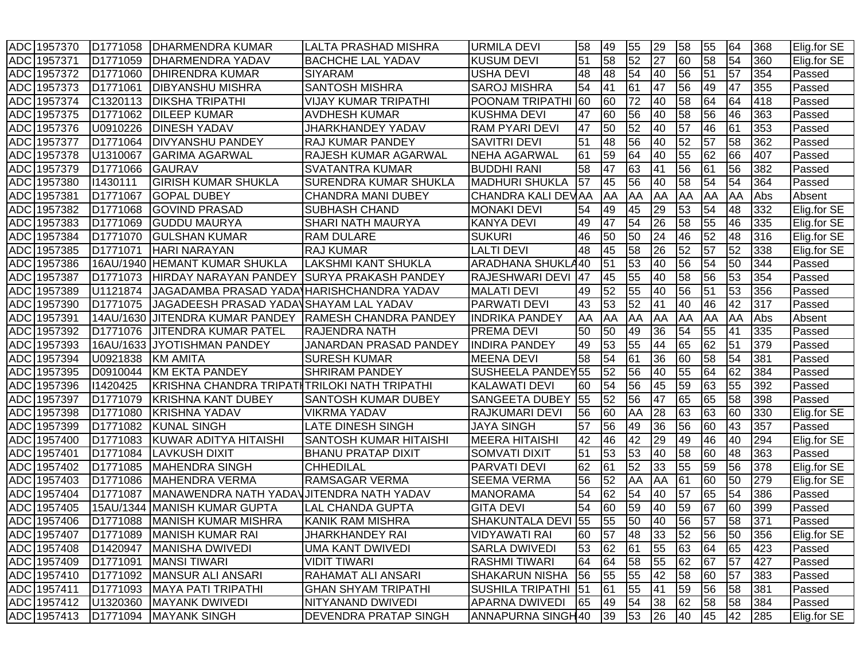|            | ADC 1957370 | D1771058             | DHARMENDRA KUMAR                              | <b>LALTA PRASHAD MISHRA</b>                            | <b>URMILA DEVI</b>            | 58 | 49 | 55              | 29              | 58         | 55              | 64 | 368 | Elig.for SE |
|------------|-------------|----------------------|-----------------------------------------------|--------------------------------------------------------|-------------------------------|----|----|-----------------|-----------------|------------|-----------------|----|-----|-------------|
|            | ADC 1957371 | D1771059             | IDHARMENDRA YADAV                             | <b>BACHCHE LAL YADAV</b>                               | <b>KUSUM DEVI</b>             | 51 | 58 | 52              | 27              | 60         | 58              | 54 | 360 | Elig.for SE |
| <b>ADC</b> | 1957372     | D <sub>1771060</sub> | DHIRENDRA KUMAR                               | <b>SIYARAM</b>                                         | <b>USHA DEVI</b>              | 48 | 48 | 54              | 40              | 56         | 51              | 57 | 354 | Passed      |
| <b>ADC</b> | 1957373     | D1771061             | DIBYANSHU MISHRA                              | <b>SANTOSH MISHRA</b>                                  | <b>SAROJ MISHRA</b>           | 54 | 41 | 61              | 47              | 56         | 49              | 47 | 355 | Passed      |
| <b>ADC</b> | 1957374     | C1320113             | <b>IDIKSHA TRIPATHI</b>                       | <b>VIJAY KUMAR TRIPATHI</b>                            | <b>POONAM TRIPATHI</b>        | 60 | 60 | 72              | 40              | 58         | 64              | 64 | 418 | Passed      |
|            | ADC 1957375 | D <sub>1771062</sub> | <b>DILEEP KUMAR</b>                           | <b>AVDHESH KUMAR</b>                                   | <b>KUSHMA DEVI</b>            | 47 | 60 | 56              | 40              | 58         | 56              | 46 | 363 | Passed      |
|            | ADC 1957376 | U0910226             | <b>DINESH YADAV</b>                           | JHARKHANDEY YADAV                                      | <b>RAM PYARI DEVI</b>         | 47 | 50 | 52              | 40              | 57         | 46              | 61 | 353 | Passed      |
|            | ADC 1957377 | D1771064             | <b>DIVYANSHU PANDEY</b>                       | <b>RAJ KUMAR PANDEY</b>                                | <b>SAVITRI DEVI</b>           | 51 | 48 | 56              | 40              | 52         | 57              | 58 | 362 | Passed      |
| <b>ADC</b> | 1957378     | U1310067             | <b>GARIMA AGARWAL</b>                         | RAJESH KUMAR AGARWAL                                   | <b>NEHA AGARWAL</b>           | 61 | 59 | 64              | 40              | 55         | $\overline{62}$ | 66 | 407 | Passed      |
| ADC        | 1957379     | D1771066             | <b>GAURAV</b>                                 | <b>SVATANTRA KUMAR</b>                                 | <b>BUDDHI RANI</b>            | 58 | 47 | 63              | 41              | 56         | 61              | 56 | 382 | Passed      |
| <b>ADC</b> | 1957380     | 11430111             | <b>GIRISH KUMAR SHUKLA</b>                    | SURENDRA KUMAR SHUKLA                                  | <b>MADHURI SHUKLA</b>         | 57 | 45 | 56              | 40              | 58         | 54              | 54 | 364 | Passed      |
| <b>ADC</b> | 1957381     | D <sub>1771067</sub> | <b>GOPAL DUBEY</b>                            | <b>CHANDRA MANI DUBEY</b>                              | CHANDRA KALI DEVAA            |    | AA | AA              | AA              | AA         | AA              | AA | Abs | Absent      |
| ADC        | 1957382     | D1771068             | <b>GOVIND PRASAD</b>                          | <b>SUBHASH CHAND</b>                                   | <b>MONAKI DEVI</b>            | 54 | 49 | 45              | 29              | 53         | 54              | 48 | 332 | Elig.for SE |
| ADC        | 1957383     | D1771069             | <b>GUDDU MAURYA</b>                           | <b>SHARI NATH MAURYA</b>                               | <b>KANYA DEVI</b>             | 49 | 47 | 54              | 26              | 58         | 55              | 46 | 335 | Elig.for SE |
| <b>ADC</b> | 1957384     | D1771070             | <b>GULSHAN KUMAR</b>                          | RAM DULARE                                             | <b>SUKURI</b>                 | 46 | 50 | 50              | $\overline{24}$ | 46         | 52              | 48 | 316 | Elig.for SE |
| <b>ADC</b> | 1957385     | D1771071             | <b>HARI NARAYAN</b>                           | RAJ KUMAR                                              | <b>LALTI DEVI</b>             | 48 | 45 | 58              | 26              | 52         | 57              | 52 | 338 | Elig.for SE |
| <b>ADC</b> | 1957386     | 16AU/1940            | <b>HEMANT KUMAR SHUKLA</b>                    | <b>LAKSHMI KANT SHUKLA</b>                             | <b>ARADHANA SHUKLA40</b>      |    | 51 | 53              | 40              | 56         | 54              | 50 | 344 | Passed      |
|            | ADC 1957387 | D1771073             | HIRDAY NARAYAN PANDEY                         | <b>SURYA PRAKASH PANDEY</b>                            | <b>RAJESHWARI DEVI</b>        | 47 | 45 | 55              | 40              | 58         | 56              | 53 | 354 | Passed      |
|            | ADC 1957389 | U1121874             | JAGADAMBA PRASAD YADA HARISHCHANDRA YADAV     |                                                        | <b>MALATI DEVI</b>            | 49 | 52 | 55              | 40              | 56         | 51              | 53 | 356 | Passed      |
|            | ADC 1957390 | D1771075             | JAGADEESH PRASAD YADA\SHAYAM LAL YADAV        |                                                        | <b>PARWATI DEVI</b>           | 43 | 53 | 52              | 41              | 40         | 46              | 42 | 317 | Passed      |
| <b>ADC</b> | 1957391     |                      |                                               | 14AU/1630 JJITENDRA KUMAR PANDEY RAMESH CHANDRA PANDEY | <b>INDRIKA PANDEY</b>         | AA | AA | AA              | AA              | <b>JAA</b> | AA              | AA | Abs | Absent      |
| <b>ADC</b> | 1957392     | D1771076             | <b>JITENDRA KUMAR PATEL</b>                   | <b>RAJENDRA NATH</b>                                   | <b>PREMA DEVI</b>             | 50 | 50 | 49              | 36              | 54         | 55              | 41 | 335 | Passed      |
| <b>ADC</b> | 1957393     |                      | 16AU/1633 JYOTISHMAN PANDEY                   | JANARDAN PRASAD PANDEY                                 | <b>INDIRA PANDEY</b>          | 49 | 53 | 55              | 44              | 65         | 62              | 51 | 379 | Passed      |
| <b>ADC</b> | 1957394     | U0921838             | <b>KM AMITA</b>                               | <b>SURESH KUMAR</b>                                    | <b>MEENA DEVI</b>             | 58 | 54 | 61              | 36              | 60         | 58              | 54 | 381 | Passed      |
| <b>ADC</b> | 1957395     | D0910044             | <b>KM EKTA PANDEY</b>                         | <b>SHRIRAM PANDEY</b>                                  | SUSHEELA PANDEY <sub>55</sub> |    | 52 | $\overline{56}$ | 40              | 55         | 64              | 62 | 384 | Passed      |
| <b>ADC</b> | 1957396     | 11420425             | KRISHNA CHANDRA TRIPATI TRILOKI NATH TRIPATHI |                                                        | <b>KALAWATI DEVI</b>          | 60 | 54 | 56              | 45              | 59         | 63              | 55 | 392 | Passed      |
| <b>ADC</b> | 1957397     | D <sub>1771079</sub> | KRISHNA KANT DUBEY                            | <b>SANTOSH KUMAR DUBEY</b>                             | <b>SANGEETA DUBEY</b>         | 55 | 52 | 56              | 47              | 65         | 65              | 58 | 398 | Passed      |
| <b>ADC</b> | 1957398     | D <sub>1771080</sub> | KRISHNA YADAV                                 | <b>VIKRMA YADAV</b>                                    | <b>RAJKUMARI DEVI</b>         | 56 | 60 | AA              | 28              | 63         | 63              | 60 | 330 | Elig.for SE |
| <b>ADC</b> | 1957399     | D1771082             | <b>KUNAL SINGH</b>                            | <b>LATE DINESH SINGH</b>                               | <b>JAYA SINGH</b>             | 57 | 56 | 49              | 36              | 56         | 60              | 43 | 357 | Passed      |
| <b>ADC</b> | 1957400     | D1771083             | KUWAR ADITYA HITAISHI                         | SANTOSH KUMAR HITAISHI                                 | <b>MEERA HITAISHI</b>         | 42 | 46 | 42              | 29              | 49         | 46              | 40 | 294 | Elig.for SE |
|            | ADC 1957401 | D1771084             | <b>LAVKUSH DIXIT</b>                          | <b>BHANU PRATAP DIXIT</b>                              | <b>SOMVATI DIXIT</b>          | 51 | 53 | $\overline{53}$ | 40              | 58         | 60              | 48 | 363 | Passed      |
|            | ADC 1957402 | D1771085             | <b>MAHENDRA SINGH</b>                         | <b>CHHEDILAL</b>                                       | <b>PARVATI DEVI</b>           | 62 | 61 | 52              | 33              | 55         | 59              | 56 | 378 | Elig.for SE |
|            | ADC 1957403 | D1771086             | MAHENDRA VERMA                                | <b>RAMSAGAR VERMA</b>                                  | <b>SEEMA VERMA</b>            | 56 | 52 | AA              | AA              | 61         | 60              | 50 | 279 | Elig.for SE |
| <b>ADC</b> | 1957404     | D <sub>1771087</sub> | MANAWENDRA NATH YADAVJITENDRA NATH YADAV      |                                                        | <b>MANORAMA</b>               | 54 | 62 | 54              | 40              | 57         | 65              | 54 | 386 | Passed      |
| <b>ADC</b> | 1957405     | 15AU/1344            | <b>MANISH KUMAR GUPTA</b>                     | <b>LAL CHANDA GUPTA</b>                                | <b>GITA DEVI</b>              | 54 | 60 | 59              | 40              | 59         | 67              | 60 | 399 | Passed      |
|            | ADC 1957406 | D <sub>1771088</sub> | <b>MANISH KUMAR MISHRA</b>                    | KANIK RAM MISHRA                                       | SHAKUNTALA DEVI 55            |    | 55 | 50              | 40              | 56         | 57              | 58 | 371 | Passed      |
|            | ADC 1957407 |                      | D1771089 MANISH KUMAR RAI                     | <b>JHARKHANDEY RAI</b>                                 | <b>VIDYAWATI RAI</b>          | 60 | 57 | 48              | 33              | 52         | 56              | 50 | 356 | Elig.for SE |
|            | ADC 1957408 | D1420947             | MANISHA DWIVEDI                               | <b>UMA KANT DWIVEDI</b>                                | <b>SARLA DWIVEDI</b>          | 53 | 62 | 61              | 55              | 63         | 64              | 65 | 423 | Passed      |
|            | ADC 1957409 | D <sub>1771091</sub> | <b>MANSI TIWARI</b>                           | <b>VIDIT TIWARI</b>                                    | <b>RASHMI TIWARI</b>          | 64 | 64 | 58              | 55              | 62         | 67              | 57 | 427 | Passed      |
|            | ADC 1957410 | D <sub>1771092</sub> | MANSUR ALI ANSARI                             | RAHAMAT ALI ANSARI                                     | <b>SHAKARUN NISHA</b>         | 56 | 55 | 55              | 42              | 58         | 60              | 57 | 383 | Passed      |
|            | ADC 1957411 | D1771093             | <b>MAYA PATI TRIPATHI</b>                     | <b>GHAN SHYAM TRIPATHI</b>                             | SUSHILA TRIPATHI 51           |    | 61 | 55              | 41              | 59         | 56              | 58 | 381 | Passed      |
|            | ADC 1957412 | U1320360             | <b>MAYANK DWIVEDI</b>                         | NITYANAND DWIVEDI                                      | APARNA DWIVEDI                | 65 | 49 | 54              | 38              | 62         | 58              | 58 | 384 | Passed      |
|            | ADC 1957413 | D1771094             | <b>MAYANK SINGH</b>                           | DEVENDRA PRATAP SINGH                                  | ANNAPURNA SINGH40             |    | 39 | 53              | 26              | 40         | 45              | 42 | 285 | Elig.for SE |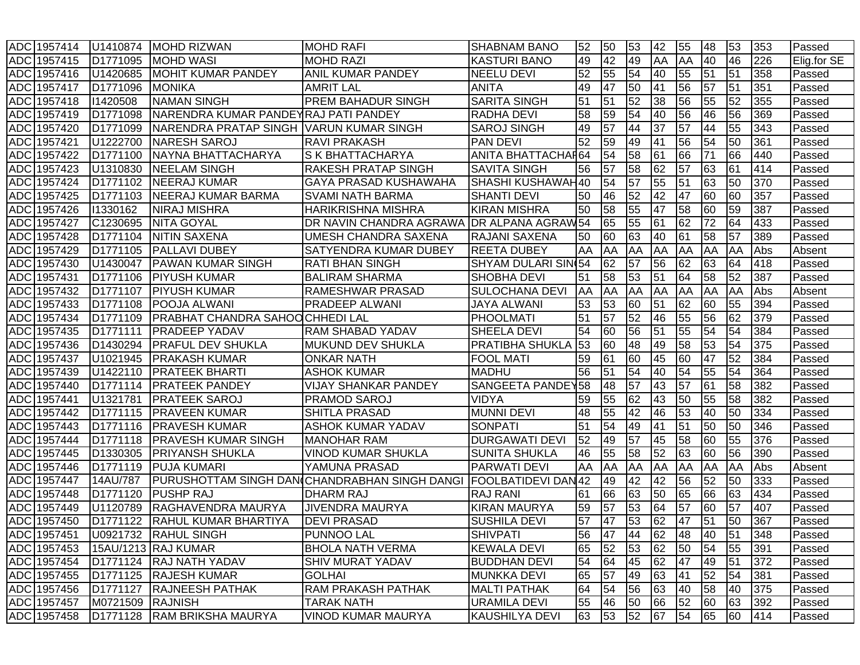|            | ADC 1957414 | U1410874             | <b>MOHD RIZWAN</b>                      | <b>MOHD RAFI</b>                              | <b>SHABNAM BANO</b>        | 52        | 50 | 53              | 42 | 55              | 48 | 53 | 353 | Passed      |
|------------|-------------|----------------------|-----------------------------------------|-----------------------------------------------|----------------------------|-----------|----|-----------------|----|-----------------|----|----|-----|-------------|
|            | ADC 1957415 | D <sub>1771095</sub> | <b>MOHD WASI</b>                        | <b>MOHD RAZI</b>                              | <b>KASTURI BANO</b>        | 49        | 42 | 49              | AA | <b>AA</b>       | 40 | 46 | 226 | Elig.for SE |
| ADC        | 1957416     | U1420685             | <b>MOHIT KUMAR PANDEY</b>               | ANIL KUMAR PANDEY                             | <b>NEELU DEVI</b>          | 52        | 55 | 54              | 40 | 55              | 51 | 51 | 358 | Passed      |
|            | ADC 1957417 | D1771096             | <b>MONIKA</b>                           | <b>AMRIT LAL</b>                              | <b>ANITA</b>               | 49        | 47 | 50              | 41 | 56              | 57 | 51 | 351 | Passed      |
|            | ADC 1957418 | 11420508             | <b>NAMAN SINGH</b>                      | <b>PREM BAHADUR SINGH</b>                     | <b>SARITA SINGH</b>        | 51        | 51 | $\overline{52}$ | 38 | 56              | 55 | 52 | 355 | Passed      |
|            | ADC 1957419 | D <sub>1771098</sub> | NARENDRA KUMAR PANDEYRAJ PATI PANDEY    |                                               | <b>RADHA DEVI</b>          | 58        | 59 | 54              | 40 | 56              | 46 | 56 | 369 | Passed      |
|            | ADC 1957420 | D1771099             | NARENDRA PRATAP SINGH VARUN KUMAR SINGH |                                               | <b>SAROJ SINGH</b>         | 49        | 57 | 44              | 37 | 57              | 44 | 55 | 343 | Passed      |
| ADC        | 1957421     | U1222700             | <b>NARESH SAROJ</b>                     | <b>RAVI PRAKASH</b>                           | <b>PAN DEVI</b>            | 52        | 59 | 49              | 41 | 56              | 54 | 50 | 361 | Passed      |
| <b>ADC</b> | 1957422     | D <sub>1771100</sub> | NAYNA BHATTACHARYA                      | S K BHATTACHARYA                              | <b>ANITA BHATTACHAF64</b>  |           | 54 | 58              | 61 | 66              | 71 | 66 | 440 | Passed      |
| <b>ADC</b> | 1957423     | U1310830             | <b>NEELAM SINGH</b>                     | <b>RAKESH PRATAP SINGH</b>                    | <b>SAVITA SINGH</b>        | 56        | 57 | 58              | 62 | 57              | 63 | 61 | 414 | Passed      |
| <b>ADC</b> | 1957424     | D1771102             | <b>NEERAJ KUMAR</b>                     | <b>GAYA PRASAD KUSHAWAHA</b>                  | SHASHI KUSHAWAH40          |           | 54 | 57              | 55 | $\overline{51}$ | 63 | 50 | 370 | Passed      |
| ADC        | 1957425     | D1771103             | NEERAJ KUMAR BARMA                      | <b>SVAMI NATH BARMA</b>                       | <b>SHANTI DEVI</b>         | 50        | 46 | 52              | 42 | 47              | 60 | 60 | 357 | Passed      |
| ADC        | 1957426     | 11330162             | <b>NIRAJ MISHRA</b>                     | <b>HARIKRISHNA MISHRA</b>                     | <b>KIRAN MISHRA</b>        | 50        | 58 | 55              | 47 | 58              | 60 | 59 | 387 | Passed      |
| ADC        | 1957427     | C1230695             | <b>NITA GOYAL</b>                       | DR NAVIN CHANDRA AGRAWA                       | <b>IDR ALPANA AGRAW54</b>  |           | 65 | 55              | 61 | 62              | 72 | 64 | 433 | Passed      |
| <b>ADC</b> | 1957428     | D1771104             | <b>NITIN SAXENA</b>                     | UMESH CHANDRA SAXENA                          | <b>RAJANI SAXENA</b>       | 50        | 60 | 63              | 40 | 61              | 58 | 57 | 389 | Passed      |
| <b>ADC</b> | 1957429     | D1771105             | <b>PALLAVI DUBEY</b>                    | SATYENDRA KUMAR DUBEY                         | <b>REETA DUBEY</b>         | AA        | AA | AA              | AA | <b>AA</b>       | AA | AA | Abs | Absent      |
| <b>ADC</b> | 1957430     | U1430047             | <b>PAWAN KUMAR SINGH</b>                | <b>RATI BHAN SINGH</b>                        | <b>SHYAM DULARI SINI54</b> |           | 62 | 57              | 56 | 62              | 63 | 64 | 418 | Passed      |
| <b>ADC</b> | 1957431     | D1771106             | <b>PIYUSH KUMAR</b>                     | <b>BALIRAM SHARMA</b>                         | <b>SHOBHA DEVI</b>         | 51        | 58 | 53              | 51 | 64              | 58 | 52 | 387 | Passed      |
| <b>ADC</b> | 1957432     | D1771107             | <b>PIYUSH KUMAR</b>                     | <b>RAMESHWAR PRASAD</b>                       | <b>SULOCHANA DEVI</b>      | <b>AA</b> | AA | AA              | AA | <b>AA</b>       | AA | AA | Abs | Absent      |
| <b>ADC</b> | 1957433     | D1771108             | <b>POOJA ALWANI</b>                     | <b>PRADEEP ALWANI</b>                         | <b>JAYA ALWANI</b>         | 53        | 53 | 60              | 51 | 62              | 60 | 55 | 394 | Passed      |
| <b>ADC</b> | 1957434     | D <sub>1771109</sub> | <b>PRABHAT CHANDRA SAHOOCHHEDI LAL</b>  |                                               | <b>PHOOLMATI</b>           | 51        | 57 | 52              | 46 | 55              | 56 | 62 | 379 | Passed      |
| <b>ADC</b> | 1957435     | D <sub>1771111</sub> | <b>PRADEEP YADAV</b>                    | <b>RAM SHABAD YADAV</b>                       | SHEELA DEVI                | 54        | 60 | 56              | 51 | 55              | 54 | 54 | 384 | Passed      |
| <b>ADC</b> | 1957436     | D1430294             | <b>PRAFUL DEV SHUKLA</b>                | MUKUND DEV SHUKLA                             | <b>PRATIBHA SHUKLA</b>     | 53        | 60 | 48              | 49 | 58              | 53 | 54 | 375 | Passed      |
| <b>ADC</b> | 1957437     | U1021945             | <b>PRAKASH KUMAR</b>                    | <b>ONKAR NATH</b>                             | <b>FOOL MATI</b>           | 59        | 61 | 60              | 45 | 60              | 47 | 52 | 384 | Passed      |
| <b>ADC</b> | 1957439     | U1422110             | <b>PRATEEK BHARTI</b>                   | <b>ASHOK KUMAR</b>                            | <b>MADHU</b>               | 56        | 51 | 54              | 40 | 54              | 55 | 54 | 364 | Passed      |
| ADC        | 1957440     | D1771114             | <b>PRATEEK PANDEY</b>                   | <b>VIJAY SHANKAR PANDEY</b>                   | SANGEETA PANDEY58          |           | 48 | 57              | 43 | 57              | 61 | 58 | 382 | Passed      |
| ADC        | 1957441     | U1321781             | <b>PRATEEK SAROJ</b>                    | <b>PRAMOD SAROJ</b>                           | <b>VIDYA</b>               | 59        | 55 | 62              | 43 | 50              | 55 | 58 | 382 | Passed      |
| <b>ADC</b> | 1957442     | D1771115             | PRAVEEN KUMAR                           | <b>SHITLA PRASAD</b>                          | <b>MUNNI DEVI</b>          | 48        | 55 | 42              | 46 | 53              | 40 | 50 | 334 | Passed      |
| <b>ADC</b> | 1957443     | D1771116             | <b>PRAVESH KUMAR</b>                    | <b>ASHOK KUMAR YADAV</b>                      | <b>SONPATI</b>             | 51        | 54 | 49              | 41 | 51              | 50 | 50 | 346 | Passed      |
|            | ADC 1957444 | D1771118             | <b>PRAVESH KUMAR SINGH</b>              | <b>MANOHAR RAM</b>                            | <b>DURGAWATI DEVI</b>      | 52        | 49 | 57              | 45 | 58              | 60 | 55 | 376 | Passed      |
|            | ADC 1957445 | D1330305             | <b>PRIYANSH SHUKLA</b>                  | <b>VINOD KUMAR SHUKLA</b>                     | <b>SUNITA SHUKLA</b>       | 46        | 55 | 58              | 52 | 63              | 60 | 56 | 390 | Passed      |
| <b>ADC</b> | 1957446     | D1771119             | <b>PUJA KUMARI</b>                      | YAMUNA PRASAD                                 | <b>PARWATI DEVI</b>        | AA        | AA | AA              | AA | <b>AA</b>       | AA | AA | Abs | Absent      |
| <b>ADC</b> | 1957447     | 14AU/787             |                                         | PURUSHOTTAM SINGH DAN(CHANDRABHAN SINGH DANGI | FOOLBATIDEVI DAN42         |           | 49 | 42              | 42 | 56              | 52 | 50 | 333 | Passed      |
| <b>ADC</b> | 1957448     | D1771120             | <b>PUSHP RAJ</b>                        | <b>DHARM RAJ</b>                              | <b>RAJ RANI</b>            | 61        | 66 | 63              | 50 | 65              | 66 | 63 | 434 | Passed      |
| <b>ADC</b> | 1957449     | U1120789             | RAGHAVENDRA MAURYA                      | <b>JIVENDRA MAURYA</b>                        | <b>KIRAN MAURYA</b>        | 59        | 57 | 53              | 64 | 57              | 60 | 57 | 407 | Passed      |
|            | ADC 1957450 | D <sub>1771122</sub> | <b>RAHUL KUMAR BHARTIYA</b>             | <b>IDEVI PRASAD</b>                           | <b>SUSHILA DEVI</b>        | 57        | 47 | 53              | 62 | 47              | 51 | 50 | 367 | Passed      |
|            | ADC 1957451 |                      | U0921732 RAHUL SINGH                    | <b>PUNNOO LAL</b>                             | <b>SHIVPATI</b>            | 56        | 47 | 44              | 62 | 48              | 40 | 51 | 348 | Passed      |
|            | ADC 1957453 |                      | 15AU/1213 RAJ KUMAR                     | <b>BHOLA NATH VERMA</b>                       | <b>KEWALA DEVI</b>         | 65        | 52 | 53              | 62 | 50              | 54 | 55 | 391 | Passed      |
|            | ADC 1957454 |                      | D1771124 RAJ NATH YADAV                 | <b>SHIV MURAT YADAV</b>                       | <b>BUDDHAN DEVI</b>        | 54        | 64 | 45              | 62 | 47              | 49 | 51 | 372 | Passed      |
|            | ADC 1957455 | D1771125             | <b>RAJESH KUMAR</b>                     | <b>GOLHAI</b>                                 | <b>MUNKKA DEVI</b>         | 65        | 57 | 49              | 63 | 41              | 52 | 54 | 381 | Passed      |
|            | ADC 1957456 | D1771127             | <b>RAJNEESH PATHAK</b>                  | RAM PRAKASH PATHAK                            | <b>MALTI PATHAK</b>        | 64        | 54 | 56              | 63 | 40              | 58 | 40 | 375 | Passed      |
|            | ADC 1957457 | M0721509 RAJNISH     |                                         | <b>TARAK NATH</b>                             | <b>URAMILA DEVI</b>        | 55        | 46 | 50              | 66 | 52              | 60 | 63 | 392 | Passed      |
|            | ADC 1957458 |                      | D1771128 RAM BRIKSHA MAURYA             | VINOD KUMAR MAURYA                            | <b>KAUSHILYA DEVI</b>      | 63        | 53 | 52              | 67 | 54              | 65 | 60 | 414 | Passed      |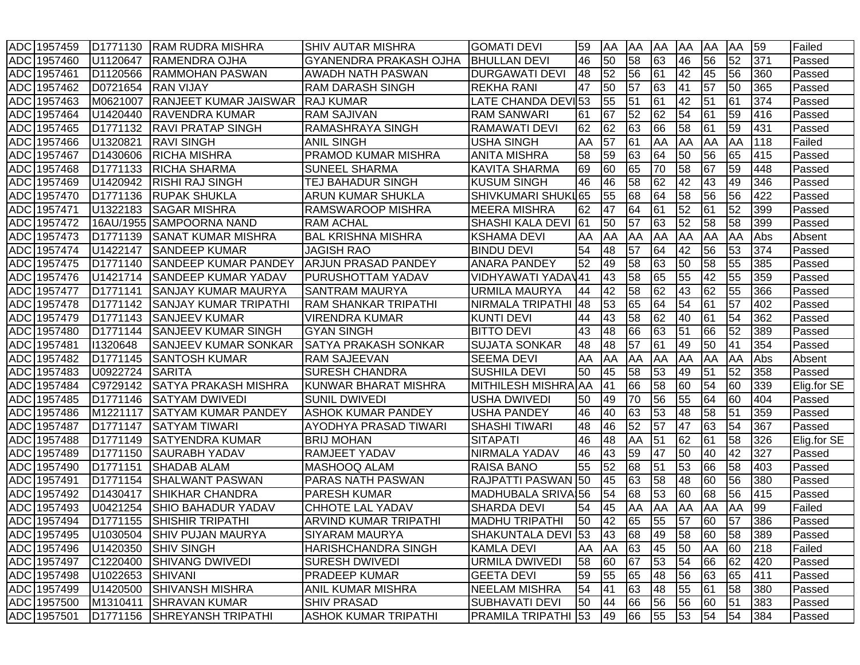|            | ADC 1957459 | D1771130             | <b>RAM RUDRA MISHRA</b>      | <b>SHIV AUTAR MISHRA</b>      | <b>GOMATI DEVI</b>      | 59 | AA | AA | AA | <b>AA</b>  | AA              | AA | 59  | Failed      |
|------------|-------------|----------------------|------------------------------|-------------------------------|-------------------------|----|----|----|----|------------|-----------------|----|-----|-------------|
|            | ADC 1957460 | U1120647             | <b>RAMENDRA OJHA</b>         | <b>GYANENDRA PRAKASH OJHA</b> | <b>BHULLAN DEVI</b>     | 46 | 50 | 58 | 63 | 46         | 56              | 52 | 371 | Passed      |
|            | ADC 1957461 | D <sub>1120566</sub> | <b>RAMMOHAN PASWAN</b>       | AWADH NATH PASWAN             | <b>DURGAWATI DEVI</b>   | 48 | 52 | 56 | 61 | 42         | 45              | 56 | 360 | Passed      |
| <b>ADC</b> | 1957462     | D0721654             | <b>RAN VIJAY</b>             | RAM DARASH SINGH              | <b>REKHA RANI</b>       | 47 | 50 | 57 | 63 | 41         | 57              | 50 | 365 | Passed      |
| <b>ADC</b> | 1957463     | M0621007             | <b>RANJEET KUMAR JAISWAR</b> | <b>RAJ KUMAR</b>              | LATE CHANDA DEVI53      |    | 55 | 51 | 61 | 42         | 51              | 61 | 374 | Passed      |
|            | ADC 1957464 | U1420440             | <b>RAVENDRA KUMAR</b>        | <b>RAM SAJIVAN</b>            | <b>RAM SANWARI</b>      | 61 | 67 | 52 | 62 | 54         | 61              | 59 | 416 | Passed      |
|            | ADC 1957465 | D1771132             | <b>RAVI PRATAP SINGH</b>     | <b>RAMASHRAYA SINGH</b>       | <b>RAMAWATI DEVI</b>    | 62 | 62 | 63 | 66 | 58         | 61              | 59 | 431 | Passed      |
|            | ADC 1957466 | U1320821             | <b>RAVI SINGH</b>            | <b>ANIL SINGH</b>             | <b>USHA SINGH</b>       | AA | 57 | 61 | AA | <b>AA</b>  | AA              | AA | 118 | Failed      |
|            | ADC 1957467 | D1430606             | <b>RICHA MISHRA</b>          | <b>PRAMOD KUMAR MISHRA</b>    | <b>ANITA MISHRA</b>     | 58 | 59 | 63 | 64 | 50         | 56              | 65 | 415 | Passed      |
| <b>ADC</b> | 1957468     | D1771133             | <b>RICHA SHARMA</b>          | <b>SUNEEL SHARMA</b>          | <b>KAVITA SHARMA</b>    | 69 | 60 | 65 | 70 | 58         | $\overline{67}$ | 59 | 448 | Passed      |
| <b>ADC</b> | 1957469     | U1420942             | <b>RISHI RAJ SINGH</b>       | TEJ BAHADUR SINGH             | <b>KUSUM SINGH</b>      | 46 | 46 | 58 | 62 | 42         | 43              | 49 | 346 | Passed      |
| <b>ADC</b> | 1957470     | D <sub>1771136</sub> | <b>RUPAK SHUKLA</b>          | ARUN KUMAR SHUKLA             | SHIVKUMARI SHUKL65      |    | 55 | 68 | 64 | 58         | 56              | 56 | 422 | Passed      |
|            | ADC 1957471 | U1322183             | <b>SAGAR MISHRA</b>          | <b>RAMSWAROOP MISHRA</b>      | <b>MEERA MISHRA</b>     | 62 | 47 | 64 | 61 | 52         | 61              | 52 | 399 | Passed      |
| ADC        | 1957472     | 16AU/1955            | <b>SAMPOORNA NAND</b>        | <b>RAM ACHAL</b>              | <b>SHASHI KALA DEVI</b> | 61 | 50 | 57 | 63 | 52         | 58              | 58 | 399 | Passed      |
| <b>ADC</b> | 1957473     | D1771139             | <b>SANAT KUMAR MISHRA</b>    | <b>BAL KRISHNA MISHRA</b>     | <b>KSHAMA DEVI</b>      | AA | AA | AA | AA | AA         | AA              | AA | Abs | Absent      |
| <b>ADC</b> | 1957474     | U1422147             | <b>SANDEEP KUMAR</b>         | <b>JAGISH RAO</b>             | <b>BINDU DEVI</b>       | 54 | 48 | 57 | 64 | 42         | 56              | 53 | 374 | Passed      |
| <b>ADC</b> | 1957475     | D1771140             | <b>SANDEEP KUMAR PANDEY</b>  | <b>ARJUN PRASAD PANDEY</b>    | <b>ANARA PANDEY</b>     | 52 | 49 | 58 | 63 | 50         | 58              | 55 | 385 | Passed      |
| <b>ADC</b> | 1957476     | U1421714             | <b>SANDEEP KUMAR YADAV</b>   | PURUSHOTTAM YADAV             | VIDHYAWATI YADAV41      |    | 43 | 58 | 65 | 55         | 42              | 55 | 359 | Passed      |
|            | ADC 1957477 | D1771141             | <b>SANJAY KUMAR MAURYA</b>   | <b>SANTRAM MAURYA</b>         | <b>URMILA MAURYA</b>    | 44 | 42 | 58 | 62 | 43         | $\overline{62}$ | 55 | 366 | Passed      |
|            | ADC 1957478 | D1771142             | SANJAY KUMAR TRIPATHI        | <b>RAM SHANKAR TRIPATHI</b>   | <b>NIRMALA TRIPATHI</b> | 48 | 53 | 65 | 64 | 54         | 61              | 57 | 402 | Passed      |
|            | ADC 1957479 | D1771143             | <b>SANJEEV KUMAR</b>         | <b>VIRENDRA KUMAR</b>         | <b>KUNTI DEVI</b>       | 44 | 43 | 58 | 62 | 40         | 61              | 54 | 362 | Passed      |
| <b>ADC</b> | 1957480     | D1771144             | <b>SANJEEV KUMAR SINGH</b>   | <b>GYAN SINGH</b>             | <b>BITTO DEVI</b>       | 43 | 48 | 66 | 63 | 51         | 66              | 52 | 389 | Passed      |
| <b>ADC</b> | 1957481     | 11320648             | <b>SANJEEV KUMAR SONKAR</b>  | <b>SATYA PRAKASH SONKAR</b>   | <b>SUJATA SONKAR</b>    | 48 | 48 | 57 | 61 | 49         | 50              | 41 | 354 | Passed      |
| <b>ADC</b> | 1957482     | D1771145             | <b>SANTOSH KUMAR</b>         | <b>RAM SAJEEVAN</b>           | <b>SEEMA DEVI</b>       | AA | AA | AA | AA | <b>JAA</b> | AA              | AA | Abs | Absent      |
|            | ADC 1957483 | U0922724             | <b>SARITA</b>                | <b>SURESH CHANDRA</b>         | <b>SUSHILA DEVI</b>     | 50 | 45 | 58 | 53 | 49         | 51              | 52 | 358 | Passed      |
|            | ADC 1957484 | C9729142             | <b>SATYA PRAKASH MISHRA</b>  | <b>KUNWAR BHARAT MISHRA</b>   | MITHILESH MISHRA AA     |    | 41 | 66 | 58 | 60         | 54              | 60 | 339 | Elig.for SE |
| ADC        | 1957485     | D1771146             | <b>SATYAM DWIVEDI</b>        | <b>SUNIL DWIVEDI</b>          | <b>USHA DWIVEDI</b>     | 50 | 49 | 70 | 56 | 55         | 64              | 60 | 404 | Passed      |
| ADC        | 1957486     | M1221117             | SATYAM KUMAR PANDEY          | <b>ASHOK KUMAR PANDEY</b>     | <b>USHA PANDEY</b>      | 46 | 40 | 63 | 53 | 48         | 58              | 51 | 359 | Passed      |
| <b>ADC</b> | 1957487     | D1771147             | <b>SATYAM TIWARI</b>         | AYODHYA PRASAD TIWARI         | <b>SHASHI TIWARI</b>    | 48 | 46 | 52 | 57 | 47         | 63              | 54 | 367 | Passed      |
| <b>ADC</b> | 1957488     | D1771149             | <b>SATYENDRA KUMAR</b>       | <b>BRIJ MOHAN</b>             | <b>SITAPATI</b>         | 46 | 48 | AA | 51 | 62         | 61              | 58 | 326 | Elig.for SE |
|            | ADC 1957489 | D <sub>1771150</sub> | <b>SAURABH YADAV</b>         | <b>RAMJEET YADAV</b>          | <b>NIRMALA YADAV</b>    | 46 | 43 | 59 | 47 | 50         | 40              | 42 | 327 | Passed      |
|            | ADC 1957490 | D1771151             | <b>SHADAB ALAM</b>           | MASHOOQ ALAM                  | <b>RAISA BANO</b>       | 55 | 52 | 68 | 51 | 53         | 66              | 58 | 403 | Passed      |
| <b>ADC</b> | 1957491     | D1771154             | <b>SHALWANT PASWAN</b>       | <b>PARAS NATH PASWAN</b>      | RAJPATTI PASWAN 50      |    | 45 | 63 | 58 | 48         | 60              | 56 | 380 | Passed      |
|            | ADC 1957492 | D1430417             | <b>SHIKHAR CHANDRA</b>       | <b>PARESH KUMAR</b>           | MADHUBALA SRIVA156      |    | 54 | 68 | 53 | 60         | 68              | 56 | 415 | Passed      |
|            | ADC 1957493 | U0421254             | <b>SHIO BAHADUR YADAV</b>    | CHHOTE LAL YADAV              | <b>SHARDA DEVI</b>      | 54 | 45 | AA | AA | <b>AA</b>  | AA              | AA | 99  | Failed      |
|            | ADC 1957494 | D <sub>1771155</sub> | <b>SHISHIR TRIPATHI</b>      | ARVIND KUMAR TRIPATHI         | <b>MADHU TRIPATHI</b>   | 50 | 42 | 65 | 55 | 57         | 60              | 57 | 386 | Passed      |
|            | ADC 1957495 |                      | U1030504 SHIV PUJAN MAURYA   | <b>SIYARAM MAURYA</b>         | SHAKUNTALA DEVI 53      |    | 43 | 68 | 49 | 58         | 60              | 58 | 389 | Passed      |
|            | ADC 1957496 | U1420350             | <b>SHIV SINGH</b>            | HARISHCHANDRA SINGH           | <b>KAMLA DEVI</b>       | AA | AA | 63 | 45 | 50         | AA              | 60 | 218 | Failed      |
|            | ADC 1957497 | C1220400             | <b>SHIVANG DWIVEDI</b>       | <b>SURESH DWIVEDI</b>         | <b>URMILA DWIVEDI</b>   | 58 | 60 | 67 | 53 | 54         | 66              | 62 | 420 | Passed      |
|            | ADC 1957498 | U1022653             | SHIVANI                      | PRADEEP KUMAR                 | <b>GEETA DEVI</b>       | 59 | 55 | 65 | 48 | 56         | 63              | 65 | 411 | Passed      |
|            | ADC 1957499 | U1420500             | <b>SHIVANSH MISHRA</b>       | ANIL KUMAR MISHRA             | <b>NEELAM MISHRA</b>    | 54 | 41 | 63 | 48 | 55         | 61              | 58 | 380 | Passed      |
|            | ADC 1957500 | M1310411             | <b>SHRAVAN KUMAR</b>         | <b>SHIV PRASAD</b>            | <b>SUBHAVATI DEVI</b>   | 50 | 44 | 66 | 56 | 56         | 60              | 51 | 383 | Passed      |
|            | ADC 1957501 | D <sub>1771156</sub> | <b>SHREYANSH TRIPATHI</b>    | <b>ASHOK KUMAR TRIPATHI</b>   | PRAMILA TRIPATHI 53     |    | 49 | 66 | 55 | 53         | 54              | 54 | 384 | Passed      |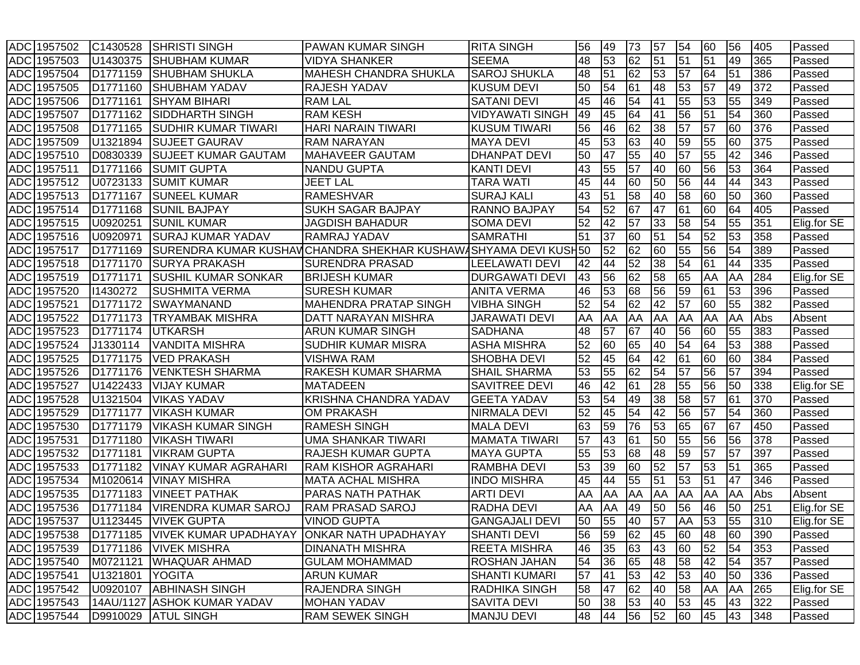| ADC 1957502 | C1430528             | <b>SHRISTI SINGH</b>                                  | <b>PAWAN KUMAR SINGH</b>                                        | <b>RITA SINGH</b>      | 56 | 49        | 73 | 57              | 54              | 60 | 56        | 405 | Passed      |
|-------------|----------------------|-------------------------------------------------------|-----------------------------------------------------------------|------------------------|----|-----------|----|-----------------|-----------------|----|-----------|-----|-------------|
| ADC 1957503 | U1430375             | <b>SHUBHAM KUMAR</b>                                  | <b>VIDYA SHANKER</b>                                            | <b>SEEMA</b>           | 48 | 53        | 62 | 51              | 51              | 51 | 49        | 365 | Passed      |
| ADC 1957504 | D <sub>1771159</sub> | <b>SHUBHAM SHUKLA</b>                                 | <b>MAHESH CHANDRA SHUKLA</b>                                    | <b>SAROJ SHUKLA</b>    | 48 | 51        | 62 | 53              | 57              | 64 | 51        | 386 | Passed      |
| ADC 1957505 | D1771160             | <b>SHUBHAM YADAV</b>                                  | RAJESH YADAV                                                    | <b>KUSUM DEVI</b>      | 50 | 54        | 61 | 48              | 53              | 57 | 49        | 372 | Passed      |
| ADC 1957506 | D <sub>1771161</sub> | <b>SHYAM BIHARI</b>                                   | <b>RAM LAL</b>                                                  | <b>SATANI DEVI</b>     | 45 | 46        | 54 | 41              | 55              | 53 | 55        | 349 | Passed      |
| ADC 1957507 | D <sub>1771162</sub> | <b>SIDDHARTH SINGH</b>                                | <b>RAM KESH</b>                                                 | <b>VIDYAWATI SINGH</b> | 49 | 45        | 64 | 41              | 56              | 51 | 54        | 360 | Passed      |
| ADC 1957508 | D <sub>1771165</sub> | <b>SUDHIR KUMAR TIWARI</b>                            | <b>HARI NARAIN TIWARI</b>                                       | <b>KUSUM TIWARI</b>    | 56 | 46        | 62 | 38              | 57              | 57 | 60        | 376 | Passed      |
| ADC 1957509 | U1321894             | <b>SUJEET GAURAV</b>                                  | <b>RAM NARAYAN</b>                                              | <b>MAYA DEVI</b>       | 45 | 53        | 63 | 40              | 59              | 55 | 60        | 375 | Passed      |
| ADC 1957510 | D0830339             | <b>SUJEET KUMAR GAUTAM</b>                            | <b>MAHAVEER GAUTAM</b>                                          | <b>DHANPAT DEVI</b>    | 50 | 47        | 55 | 40              | $\overline{57}$ | 55 | 42        | 346 | Passed      |
| ADC 1957511 | D <sub>1771166</sub> | <b>SUMIT GUPTA</b>                                    | NANDU GUPTA                                                     | <b>KANTI DEVI</b>      | 43 | 55        | 57 | 40              | 60              | 56 | 53        | 364 | Passed      |
| ADC 1957512 | U0723133             | <b>ISUMIT KUMAR</b>                                   | <b>JEET LAL</b>                                                 | <b>TARA WATI</b>       | 45 | 44        | 60 | 50              | 56              | 44 | 44        | 343 | Passed      |
| ADC 1957513 | D <sub>1771167</sub> | <b>SUNEEL KUMAR</b>                                   | <b>RAMESHVAR</b>                                                | <b>SURAJ KALI</b>      | 43 | 51        | 58 | 40              | 58              | 60 | 50        | 360 | Passed      |
| ADC 1957514 | D1771168             | <b>SUNIL BAJPAY</b>                                   | SUKH SAGAR BAJPAY                                               | <b>RANNO BAJPAY</b>    | 54 | 52        | 67 | 47              | $\overline{61}$ | 60 | 64        | 405 | Passed      |
| ADC 1957515 | U0920251             | <b>SUNIL KUMAR</b>                                    | <b>JAGDISH BAHADUR</b>                                          | <b>SOMA DEVI</b>       | 52 | 42        | 57 | 33              | 58              | 54 | 55        | 351 | Elig.for SE |
| ADC 1957516 | U0920971             | <b>SURAJ KUMAR YADAV</b>                              | RAMRAJ YADAV                                                    | <b>SAMRATHI</b>        | 51 | 37        | 60 | 51              | 54              | 52 | 53        | 358 | Passed      |
| ADC 1957517 | D1771169             |                                                       | SURENDRA KUMAR KUSHAV CHANDRA SHEKHAR KUSHAW∤SHYAMA DEVI KUSH50 |                        |    | 52        | 62 | 60              | 55              | 56 | 54        | 389 | Passed      |
| ADC 1957518 | D1771170             | <b>SURYA PRAKASH</b>                                  | <b>SURENDRA PRASAD</b>                                          | <b>LEELAWATI DEVI</b>  | 42 | 44        | 52 | 38              | 54              | 61 | 44        | 335 | Passed      |
| ADC 1957519 | D1771171             | <b>SUSHIL KUMAR SONKAR</b>                            | <b>BRIJESH KUMAR</b>                                            | <b>DURGAWATI DEVI</b>  | 43 | 56        | 62 | 58              | 65              | AA | AA        | 284 | Elig.for SE |
| ADC 1957520 | 11430272             | <b>SUSHMITA VERMA</b>                                 | <b>SURESH KUMAR</b>                                             | <b>ANITA VERMA</b>     | 46 | 53        | 68 | 56              | 59              | 61 | 53        | 396 | Passed      |
| ADC 1957521 | D <sub>1771172</sub> | SWAYMANAND                                            | <b>MAHENDRA PRATAP SINGH</b>                                    | <b>VIBHA SINGH</b>     | 52 | 54        | 62 | 42              | $\overline{57}$ | 60 | 55        | 382 | Passed      |
| ADC 1957522 | D <sub>1771173</sub> | <b>TRYAMBAK MISHRA</b>                                | DATT NARAYAN MISHRA                                             | <b>JARAWATI DEVI</b>   | AA | AA        | AA | AA              | AA              | AA | AA        | Abs | Absent      |
| ADC 1957523 | D <sub>1771174</sub> | <b>UTKARSH</b>                                        | <b>ARUN KUMAR SINGH</b>                                         | <b>SADHANA</b>         | 48 | 57        | 67 | 40              | 56              | 60 | 55        | 383 | Passed      |
| ADC 1957524 | J1330114             | <b>VANDITA MISHRA</b>                                 | SUDHIR KUMAR MISRA                                              | <b>ASHA MISHRA</b>     | 52 | 60        | 65 | 40              | 54              | 64 | 53        | 388 | Passed      |
| ADC 1957525 | D <sub>1771175</sub> | <b>VED PRAKASH</b>                                    | <b>VISHWA RAM</b>                                               | <b>SHOBHA DEVI</b>     | 52 | 45        | 64 | 42              | 61              | 60 | 60        | 384 | Passed      |
| ADC 1957526 | D <sub>1771176</sub> | <b>VENKTESH SHARMA</b>                                | RAKESH KUMAR SHARMA                                             | <b>SHAIL SHARMA</b>    | 53 | 55        | 62 | $\overline{54}$ | 57              | 56 | 57        | 394 | Passed      |
| ADC 1957527 | U1422433             | <b>VIJAY KUMAR</b>                                    | <b>MATADEEN</b>                                                 | <b>SAVITREE DEVI</b>   | 46 | 42        | 61 | 28              | 55              | 56 | 50        | 338 | Elig.for SE |
| ADC 1957528 | U1321504             | <b>VIKAS YADAV</b>                                    | KRISHNA CHANDRA YADAV                                           | <b>GEETA YADAV</b>     | 53 | 54        | 49 | 38              | 58              | 57 | 61        | 370 | Passed      |
| ADC 1957529 | D <sub>1771177</sub> | <b>VIKASH KUMAR</b>                                   | <b>OM PRAKASH</b>                                               | <b>NIRMALA DEVI</b>    | 52 | 45        | 54 | 42              | 56              | 57 | 54        | 360 | Passed      |
| ADC 1957530 | D <sub>1771179</sub> | VIKASH KUMAR SINGH                                    | <b>RAMESH SINGH</b>                                             | <b>MALA DEVI</b>       | 63 | 59        | 76 | 53              | 65              | 67 | 67        | 450 | Passed      |
| ADC 1957531 | D <sub>1771180</sub> | <b>VIKASH TIWARI</b>                                  | <b>UMA SHANKAR TIWARI</b>                                       | <b>MAMATA TIWARI</b>   | 57 | 43        | 61 | 50              | 55              | 56 | 56        | 378 | Passed      |
| ADC 1957532 | D1771181             | <b>VIKRAM GUPTA</b>                                   | RAJESH KUMAR GUPTA                                              | <b>MAYA GUPTA</b>      | 55 | 53        | 68 | 48              | 59              | 57 | 57        | 397 | Passed      |
| ADC 1957533 | D1771182             | <b>VINAY KUMAR AGRAHARI</b>                           | <b>RAM KISHOR AGRAHARI</b>                                      | RAMBHA DEVI            | 53 | 39        | 60 | 52              | 57              | 53 | 51        | 365 | Passed      |
| ADC 1957534 | M1020614             | <b>VINAY MISHRA</b>                                   | <b>MATA ACHAL MISHRA</b>                                        | <b>INDO MISHRA</b>     | 45 | 44        | 55 | 51              | 53              | 51 | 47        | 346 | Passed      |
| ADC 1957535 | D <sub>1771183</sub> | <b>VINEET PATHAK</b>                                  | <b>PARAS NATH PATHAK</b>                                        | <b>ARTI DEVI</b>       | AA | <b>AA</b> | AA | AA              | <b>AA</b>       | AA | <b>AA</b> | Abs | Absent      |
| ADC 1957536 | D <sub>1771184</sub> | <b>VIRENDRA KUMAR SAROJ</b>                           | <b>RAM PRASAD SAROJ</b>                                         | RADHA DEVI             | AA | AA        | 49 | 50              | 56              | 46 | 50        | 251 | Elig.for SE |
| ADC 1957537 | U1123445             | <b>IVIVEK GUPTA</b>                                   | VINOD GUPTA                                                     | <b>GANGAJALI DEVI</b>  | 50 | 55        | 40 | 57              | <b>AA</b>       | 53 | 55        | 310 | Elig.for SE |
| ADC 1957538 |                      | D1771185   VIVEK KUMAR UPADHAYAY ONKAR NATH UPADHAYAY |                                                                 | <b>SHANTI DEVI</b>     | 56 | 59        | 62 | 45              | 60              | 48 | 60        | 390 | Passed      |
| ADC 1957539 | D1771186             | <b>VIVEK MISHRA</b>                                   | <b>DINANATH MISHRA</b>                                          | <b>REETA MISHRA</b>    | 46 | 35        | 63 | 43              | 60              | 52 | 54        | 353 | Passed      |
| ADC 1957540 | M0721121             | <b>WHAQUAR AHMAD</b>                                  | <b>GULAM MOHAMMAD</b>                                           | ROSHAN JAHAN           | 54 | 36        | 65 | 48              | 58              | 42 | 54        | 357 | Passed      |
| ADC 1957541 | U1321801             | <b>YOGITA</b>                                         | <b>ARUN KUMAR</b>                                               | <b>SHANTI KUMARI</b>   | 57 | 41        | 53 | 42              | 53              | 40 | 50        | 336 | Passed      |
| ADC 1957542 | U0920107             | <b>ABHINASH SINGH</b>                                 | RAJENDRA SINGH                                                  | RADHIKA SINGH          | 58 | 47        | 62 | 40              | 58              | AA | <b>AA</b> | 265 | Elig.for SE |
| ADC 1957543 | 14AU/1127            | <b>ASHOK KUMAR YADAV</b>                              | <b>MOHAN YADAV</b>                                              | <b>SAVITA DEVI</b>     | 50 | 38        | 53 | 40              | 53              | 45 | 43        | 322 | Passed      |
| ADC 1957544 | D9910029             | <b>ATUL SINGH</b>                                     | <b>RAM SEWEK SINGH</b>                                          | <b>MANJU DEVI</b>      | 48 | 44        | 56 | 52              | 60              | 45 | 43        | 348 | Passed      |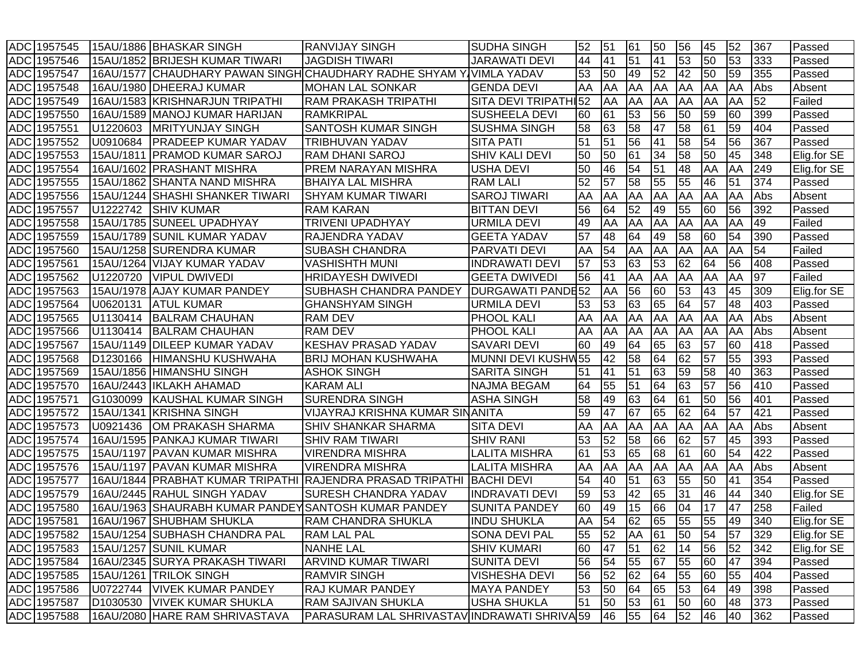|            | ADC 1957545 |           | 15AU/1886 BHASKAR SINGH                           | <b>RANVIJAY SINGH</b>                                         | <b>SUDHA SINGH</b>       | 52  | 51 | 61 | 50 | 56        | 45 | 52 | 367 | Passed      |
|------------|-------------|-----------|---------------------------------------------------|---------------------------------------------------------------|--------------------------|-----|----|----|----|-----------|----|----|-----|-------------|
|            | ADC 1957546 |           | 15AU/1852 BRIJESH KUMAR TIWARI                    | <b>JAGDISH TIWARI</b>                                         | JARAWATI DEVI            | 44  | 41 | 51 | 41 | 53        | 50 | 53 | 333 | Passed      |
| ADC        | 1957547     | 16AU/1577 |                                                   | CHAUDHARY PAWAN SINGH CHAUDHARY RADHE SHYAM                   | IVIMLA YADAV             | 53  | 50 | 49 | 52 | 42        | 50 | 59 | 355 | Passed      |
| <b>ADC</b> | 1957548     |           | 16AU/1980   DHEERAJ KUMAR                         | <b>MOHAN LAL SONKAR</b>                                       | <b>GENDA DEVI</b>        | ΙAΑ | AA | AA | AA | AA        | AA | AA | Abs | Absent      |
|            | ADC 1957549 |           | 16AU/1583 KRISHNARJUN TRIPATHI                    | <b>RAM PRAKASH TRIPATHI</b>                                   | SITA DEVI TRIPATHI52     |     | AA | AA | AA | <b>AA</b> | AA | AA | 52  | Failed      |
|            | ADC 1957550 |           | 16AU/1589 MANOJ KUMAR HARIJAN                     | RAMKRIPAL                                                     | <b>SUSHEELA DEVI</b>     | 60  | 61 | 53 | 56 | 50        | 59 | 60 | 399 | Passed      |
| <b>ADC</b> | 1957551     | U1220603  | <b>MRITYUNJAY SINGH</b>                           | SANTOSH KUMAR SINGH                                           | <b>SUSHMA SINGH</b>      | 58  | 63 | 58 | 47 | 58        | 61 | 59 | 404 | Passed      |
| <b>ADC</b> | 1957552     | U0910684  | <b>PRADEEP KUMAR YADAV</b>                        | TRIBHUVAN YADAV                                               | <b>SITA PATI</b>         | 51  | 51 | 56 | 41 | 58        | 54 | 56 | 367 | Passed      |
| <b>ADC</b> | 1957553     | 15AU/1811 | <b>PRAMOD KUMAR SAROJ</b>                         | <b>RAM DHANI SAROJ</b>                                        | <b>SHIV KALI DEVI</b>    | 50  | 50 | 61 | 34 | 58        | 50 | 45 | 348 | Elig.for SE |
| <b>ADC</b> | 1957554     |           | 16AU/1602 PRASHANT MISHRA                         | PREM NARAYAN MISHRA                                           | <b>USHA DEVI</b>         | 50  | 46 | 54 | 51 | 48        | AA | AA | 249 | Elig.for SE |
| <b>ADC</b> | 1957555     | 15AU/1862 | <b>SHANTA NAND MISHRA</b>                         | <b>BHAIYA LAL MISHRA</b>                                      | <b>RAM LALI</b>          | 52  | 57 | 58 | 55 | 55        | 46 | 51 | 374 | Passed      |
| <b>ADC</b> | 1957556     | 15AU/1244 | <b>SHASHI SHANKER TIWARI</b>                      | <b>SHYAM KUMAR TIWARI</b>                                     | <b>SAROJ TIWARI</b>      | AA  | AA | AA | AA | AA        | AA | AA | Abs | Absent      |
| <b>ADC</b> | 1957557     | U1222742  | <b>SHIV KUMAR</b>                                 | <b>RAM KARAN</b>                                              | <b>BITTAN DEVI</b>       | 56  | 64 | 52 | 49 | 55        | 60 | 56 | 392 | Passed      |
| ADC        | 1957558     | 15AU/1785 | <b>SUNEEL UPADHYAY</b>                            | <b>TRIVENI UPADHYAY</b>                                       | URMILA DEVI              | 49  | AA | AA | AA | AA        | AA | AA | 49  | Failed      |
| <b>ADC</b> | 1957559     |           | 15AU/1789 SUNIL KUMAR YADAV                       | RAJENDRA YADAV                                                | <b>GEETA YADAV</b>       | 57  | 48 | 64 | 49 | 58        | 60 | 54 | 390 | Passed      |
| <b>ADC</b> | 1957560     |           | 15AU/1258 SURENDRA KUMAR                          | <b>SUBASH CHANDRA</b>                                         | <b>PARVATI DEVI</b>      | AA  | 54 | AA | AA | AA        | AA | AA | 54  | Failed      |
| <b>ADC</b> | 1957561     |           | 15AU/1264 VIJAY KUMAR YADAV                       | <b>VASHISHTH MUNI</b>                                         | <b>INDRAWATI DEVI</b>    | 57  | 53 | 63 | 53 | 62        | 64 | 56 | 408 | Passed      |
| <b>ADC</b> | 1957562     | U1220720  | <b>VIPUL DWIVEDI</b>                              | <b>HRIDAYESH DWIVEDI</b>                                      | <b>GEETA DWIVEDI</b>     | 56  | 41 | AA | AA | AA        | AA | AA | 97  | Failed      |
| <b>ADC</b> | 1957563     |           | 15AU/1978 AJAY KUMAR PANDEY                       | SUBHASH CHANDRA PANDEY                                        | <b>DURGAWATI PANDE52</b> |     | AA | 56 | 60 | 53        | 43 | 45 | 309 | Elig.for SE |
| <b>ADC</b> | 1957564     | U0620131  | <b>ATUL KUMAR</b>                                 | <b>GHANSHYAM SINGH</b>                                        | <b>URMILA DEVI</b>       | 53  | 53 | 63 | 65 | 64        | 57 | 48 | 403 | Passed      |
| <b>ADC</b> | 1957565     | U1130414  | <b>BALRAM CHAUHAN</b>                             | <b>RAM DEV</b>                                                | <b>PHOOL KALI</b>        | AA  | AA | AA | AA | <b>AA</b> | AA | AA | Abs | Absent      |
| <b>ADC</b> | 1957566     | U1130414  | <b>BALRAM CHAUHAN</b>                             | <b>RAM DEV</b>                                                | <b>PHOOL KALI</b>        | AA  | AA | AA | AA | AA        | AA | AA | Abs | Absent      |
| <b>ADC</b> | 1957567     |           | 15AU/1149 DILEEP KUMAR YADAV                      | KESHAV PRASAD YADAV                                           | <b>SAVARI DEVI</b>       | 60  | 49 | 64 | 65 | 63        | 57 | 60 | 418 | Passed      |
| <b>ADC</b> | 1957568     | D1230166  | HIMANSHU KUSHWAHA                                 | <b>BRIJ MOHAN KUSHWAHA</b>                                    | MUNNI DEVI KUSHW55       |     | 42 | 58 | 64 | 62        | 57 | 55 | 393 | Passed      |
| <b>ADC</b> | 1957569     | 15AU/1856 | <b>HIMANSHU SINGH</b>                             | <b>ASHOK SINGH</b>                                            | <b>SARITA SINGH</b>      | 51  | 41 | 51 | 63 | 59        | 58 | 40 | 363 | Passed      |
| <b>ADC</b> | 1957570     |           | 16AU/2443   IKLAKH AHAMAD                         | <b>KARAM ALI</b>                                              | <b>NAJMA BEGAM</b>       | 64  | 55 | 51 | 64 | 63        | 57 | 56 | 410 | Passed      |
| <b>ADC</b> | 1957571     | G1030099  | KAUSHAL KUMAR SINGH                               | <b>SURENDRA SINGH</b>                                         | <b>ASHA SINGH</b>        | 58  | 49 | 63 | 64 | 61        | 50 | 56 | 401 | Passed      |
| <b>ADC</b> | 1957572     | 15AU/1341 | <b>KRISHNA SINGH</b>                              | VIJAYRAJ KRISHNA KUMAR SINANITA                               |                          | 59  | 47 | 67 | 65 | 62        | 64 | 57 | 421 | Passed      |
| <b>ADC</b> | 1957573     | U0921436  | OM PRAKASH SHARMA                                 | <b>SHIV SHANKAR SHARMA</b>                                    | <b>SITA DEVI</b>         | AA  | AA | AA | AA | AA        | AA | AA | Abs | Absent      |
|            | ADC 1957574 |           | 16AU/1595   PANKAJ KUMAR TIWARI                   | <b>SHIV RAM TIWARI</b>                                        | <b>SHIV RANI</b>         | 53  | 52 | 58 | 66 | 62        | 57 | 45 | 393 | Passed      |
| <b>ADC</b> | 1957575     | 15AU/1197 | <b>PAVAN KUMAR MISHRA</b>                         | <b>VIRENDRA MISHRA</b>                                        | <b>LALITA MISHRA</b>     | 61  | 53 | 65 | 68 | 61        | 60 | 54 | 422 | Passed      |
| <b>ADC</b> | 1957576     |           | 15AU/1197 PAVAN KUMAR MISHRA                      | <b>VIRENDRA MISHRA</b>                                        | <b>LALITA MISHRA</b>     | AA  | AA | AA | AA | <b>AA</b> | AA | AA | Abs | Absent      |
| <b>ADC</b> | 1957577     |           |                                                   | 16AU/1844   PRABHAT KUMAR TRIPATHI   RAJENDRA PRASAD TRIPATHI | <b>BACHI DEVI</b>        | 54  | 40 | 51 | 63 | 55        | 50 | 41 | 354 | Passed      |
| <b>ADC</b> | 1957579     |           | 16AU/2445 RAHUL SINGH YADAV                       | SURESH CHANDRA YADAV                                          | <b>INDRAVATI DEVI</b>    | 59  | 53 | 42 | 65 | 31        | 46 | 44 | 340 | Elig.for SE |
| <b>ADC</b> | 1957580     | 16AU/1963 | <b>SHAURABH KUMAR PANDEY SANTOSH KUMAR PANDEY</b> |                                                               | <b>SUNITA PANDEY</b>     | 60  | 49 | 15 | 66 | 04        | 17 | 47 | 258 | Failed      |
|            | ADC 1957581 |           | 16AU/1967 SHUBHAM SHUKLA                          | <b>RAM CHANDRA SHUKLA</b>                                     | <b>INDU SHUKLA</b>       | AA  | 54 | 62 | 65 | 55        | 55 | 49 | 340 | Elig.for SE |
|            | ADC 1957582 |           | 15AU/1254 SUBHASH CHANDRA PAL                     | <b>RAM LAL PAL</b>                                            | <b>SONA DEVI PAL</b>     | 55  | 52 | AA | 61 | 50        | 54 | 57 | 329 | Elig.for SE |
|            | ADC 1957583 |           | 15AU/1257 SUNIL KUMAR                             | <b>NANHE LAL</b>                                              | <b>SHIV KUMARI</b>       | 60  | 47 | 51 | 62 | 14        | 56 | 52 | 342 | Elig.for SE |
|            | ADC 1957584 |           | 16AU/2345 SURYA PRAKASH TIWARI                    | ARVIND KUMAR TIWARI                                           | <b>SUNITA DEVI</b>       | 56  | 54 | 55 | 67 | 55        | 60 | 47 | 394 | Passed      |
|            | ADC 1957585 |           | 15AU/1261 TRILOK SINGH                            | <b>RAMVIR SINGH</b>                                           | <b>VISHESHA DEVI</b>     | 56  | 52 | 62 | 64 | 55        | 60 | 55 | 404 | Passed      |
|            | ADC 1957586 |           | U0722744   VIVEK KUMAR PANDEY                     | RAJ KUMAR PANDEY                                              | <b>MAYA PANDEY</b>       | 53  | 50 | 64 | 65 | 53        | 64 | 49 | 398 | Passed      |
|            | ADC 1957587 |           | D1030530 VIVEK KUMAR SHUKLA                       | <b>RAM SAJIVAN SHUKLA</b>                                     | <b>USHA SHUKLA</b>       | 51  | 50 | 53 | 61 | 50        | 60 | 48 | 373 | Passed      |
|            | ADC 1957588 |           | 16AU/2080 HARE RAM SHRIVASTAVA                    | PARASURAM LAL SHRIVASTAV INDRAWATI SHRIVA 59                  |                          |     | 46 | 55 | 64 | 52        | 46 | 40 | 362 | Passed      |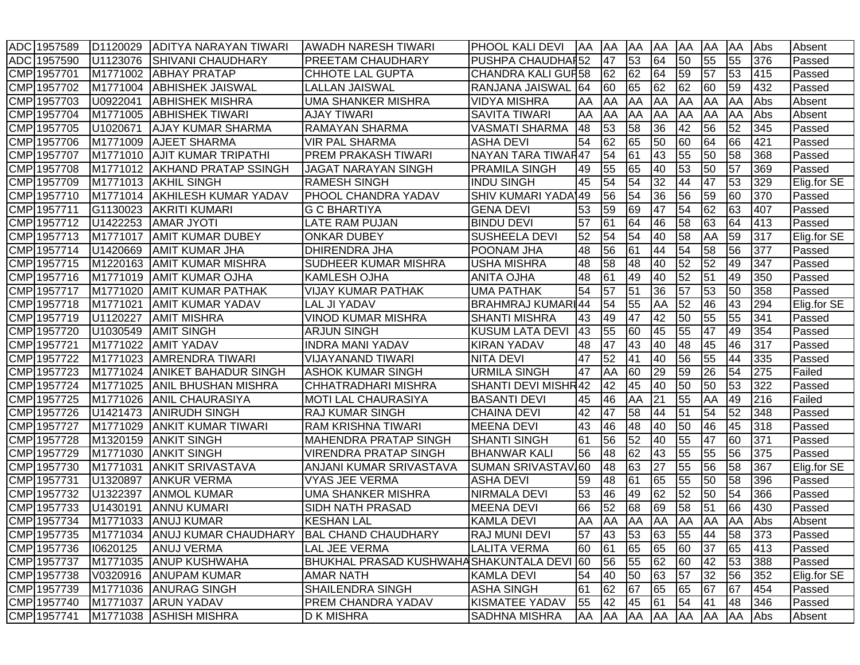| ADC 1957589 | D <sub>1120029</sub> | ADITYA NARAYAN TIWARI                             | <b>AWADH NARESH TIWARI</b>                | <b>PHOOL KALI DEVI</b>    | <b>AA</b> | AA        | AA        | <b>AA</b> | AA              | AA  | AA        | Abs | Absent      |
|-------------|----------------------|---------------------------------------------------|-------------------------------------------|---------------------------|-----------|-----------|-----------|-----------|-----------------|-----|-----------|-----|-------------|
| ADC 1957590 | U1123076             | <b>SHIVANI CHAUDHARY</b>                          | <b>PREETAM CHAUDHARY</b>                  | <b>PUSHPA CHAUDHAI52</b>  |           | 47        | 53        | 64        | 50              | 55  | 55        | 376 | Passed      |
| CMP 1957701 | M1771002             | <b>ABHAY PRATAP</b>                               | <b>CHHOTE LAL GUPTA</b>                   | <b>CHANDRA KALI GUF58</b> |           | 62        | 62        | 64        | 59              | 57  | 53        | 415 | Passed      |
| CMP 1957702 | M1771004             | <b>ABHISHEK JAISWAL</b>                           | <b>LALLAN JAISWAL</b>                     | RANJANA JAISWAL           | 64        | 60        | 65        | 62        | 62              | 60  | 59        | 432 | Passed      |
| CMP 1957703 | U0922041             | <b>ABHISHEK MISHRA</b>                            | <b>UMA SHANKER MISHRA</b>                 | <b>VIDYA MISHRA</b>       | AA        | AA        | AA        | AA        | AA              | AA  | AA        | Abs | Absent      |
| CMP 1957704 | M1771005             | <b>ABHISHEK TIWARI</b>                            | <b>AJAY TIWARI</b>                        | <b>SAVITA TIWARI</b>      | AA        | AA        | AA        | ΙAΑ       | AA              | AA  | AA        | Abs | Absent      |
| CMP 1957705 | U1020671             | <b>AJAY KUMAR SHARMA</b>                          | <b>RAMAYAN SHARMA</b>                     | <b>VASMATI SHARMA</b>     | 48        | 53        | 58        | 36        | 42              | 56  | 52        | 345 | Passed      |
| CMP 1957706 | M1771009             | <b>AJEET SHARMA</b>                               | <b>VIR PAL SHARMA</b>                     | <b>ASHA DEVI</b>          | 54        | 62        | 65        | 50        | 60              | 64  | 66        | 421 | Passed      |
| CMP 1957707 | M1771010             | <b>AJIT KUMAR TRIPATHI</b>                        | <b>PREM PRAKASH TIWARI</b>                | NAYAN TARA TIWAR47        |           | 54        | 61        | 43        | 55              | 50  | 58        | 368 | Passed      |
| CMP 1957708 | M1771012             | <b>AKHAND PRATAP SSINGH</b>                       | <b>JAGAT NARAYAN SINGH</b>                | <b>PRAMILA SINGH</b>      | 49        | 55        | 65        | 40        | 53              | 50  | 57        | 369 | Passed      |
| CMP 1957709 | M1771013             | <b>AKHIL SINGH</b>                                | <b>RAMESH SINGH</b>                       | <b>INDU SINGH</b>         | 45        | 54        | 54        | 32        | 44              | 47  | 53        | 329 | Elig.for SE |
| CMP 1957710 | M1771014             | <b>AKHILESH KUMAR YADAV</b>                       | <b>PHOOL CHANDRA YADAV</b>                | <b>SHIV KUMARI YADA</b> ' | 49        | 56        | 54        | 36        | 56              | 59  | 60        | 370 | Passed      |
| CMP 1957711 | G1130023             | <b>AKRITI KUMARI</b>                              | <b>G C BHARTIYA</b>                       | <b>GENA DEVI</b>          | 53        | 59        | 69        | 47        | 54              | 62  | 63        | 407 | Passed      |
| CMP 1957712 | U1422253             | <b>AMAR JYOTI</b>                                 | LATE RAM PUJAN                            | <b>BINDU DEVI</b>         | 57        | 61        | 64        | 46        | 58              | 63  | 64        | 413 | Passed      |
| CMP 1957713 | M1771017             | <b>AMIT KUMAR DUBEY</b>                           | <b>ONKAR DUBEY</b>                        | <b>SUSHEELA DEVI</b>      | 52        | 54        | 54        | 40        | 58              | AA  | 59        | 317 | Elig.for SE |
| CMP 1957714 | U1420669             | <b>AMIT KUMAR JHA</b>                             | DHIRENDRA JHA                             | <b>POONAM JHA</b>         | 48        | 56        | 61        | 44        | 54              | 58  | 56        | 377 | Passed      |
| CMP 1957715 | M1220163             | <b>AMIT KUMAR MISHRA</b>                          | SUDHEER KUMAR MISHRA                      | <b>USHA MISHRA</b>        | 48        | 58        | 48        | 40        | 52              | 52  | 49        | 347 | Passed      |
| CMP 1957716 | M1771019             | <b>AMIT KUMAR OJHA</b>                            | KAMLESH OJHA                              | <b>ANITA OJHA</b>         | 48        | 61        | 49        | 40        | 52              | 51  | 49        | 350 | Passed      |
| CMP 1957717 | M1771020             | <b>AMIT KUMAR PATHAK</b>                          | <b>VIJAY KUMAR PATHAK</b>                 | <b>UMA PATHAK</b>         | 54        | 57        | 51        | 36        | $\overline{57}$ | 53  | 50        | 358 | Passed      |
| CMP 1957718 | M1771021             | <b>AMIT KUMAR YADAV</b>                           | <b>LAL JI YADAV</b>                       | <b>BRAHMRAJ KUMARI44</b>  |           | 54        | 55        | AA        | 52              | 46  | 43        | 294 | Elig.for SE |
| CMP 1957719 | U1120227             | <b>AMIT MISHRA</b>                                | <b>VINOD KUMAR MISHRA</b>                 | <b>SHANTI MISHRA</b>      | 43        | 49        | 47        | 42        | 50              | 55  | 55        | 341 | Passed      |
| CMP 1957720 | U1030549             | <b>AMIT SINGH</b>                                 | <b>ARJUN SINGH</b>                        | <b>KUSUM LATA DEVI</b>    | 43        | 55        | 60        | 45        | 55              | 47  | 49        | 354 | Passed      |
| CMP 1957721 | M1771022             | <b>AMIT YADAV</b>                                 | <b>INDRA MANI YADAV</b>                   | <b>KIRAN YADAV</b>        | 48        | 47        | 43        | 40        | 48              | 45  | 46        | 317 | Passed      |
| CMP 1957722 | M1771023             | <b>AMRENDRA TIWARI</b>                            | <b>VIJAYANAND TIWARI</b>                  | <b>NITA DEVI</b>          | 47        | 52        | 41        | 40        | 56              | 55  | 44        | 335 | Passed      |
| CMP 1957723 | M1771024             | <b>ANIKET BAHADUR SINGH</b>                       | <b>ASHOK KUMAR SINGH</b>                  | <b>URMILA SINGH</b>       | 47        | AA        | 60        | 29        | 59              | 26  | 54        | 275 | Failed      |
| CMP 1957724 | M1771025             | <b>ANIL BHUSHAN MISHRA</b>                        | CHHATRADHARI MISHRA                       | SHANTI DEVI MISHR42       |           | 42        | 45        | 40        | 50              | 50  | 53        | 322 | Passed      |
| CMP 1957725 | M1771026             | <b>ANIL CHAURASIYA</b>                            | <b>MOTI LAL CHAURASIYA</b>                | <b>BASANTI DEVI</b>       | 45        | 46        | AA        | 21        | 55              | AA  | 49        | 216 | Failed      |
| CMP 1957726 | U1421473             | <b>ANIRUDH SINGH</b>                              | <b>RAJ KUMAR SINGH</b>                    | <b>CHAINA DEVI</b>        | 42        | 47        | 58        | 44        | 51              | 54  | 52        | 348 | Passed      |
| CMP 1957727 | M1771029             | <b>ANKIT KUMAR TIWARI</b>                         | <b>RAM KRISHNA TIWARI</b>                 | <b>MEENA DEVI</b>         | 43        | 46        | 48        | 40        | 50              | 46  | 45        | 318 | Passed      |
| CMP 1957728 | M1320159             | <b>ANKIT SINGH</b>                                | <b>MAHENDRA PRATAP SINGH</b>              | <b>SHANTI SINGH</b>       | 61        | 56        | 52        | 40        | 55              | 47  | 60        | 371 | Passed      |
| CMP 1957729 | M1771030             | <b>ANKIT SINGH</b>                                | <b>VIRENDRA PRATAP SINGH</b>              | <b>BHANWAR KALI</b>       | 56        | 48        | 62        | 43        | 55              | 55  | 56        | 375 | Passed      |
| CMP 1957730 | M1771031             | <b>ANKIT SRIVASTAVA</b>                           | ANJANI KUMAR SRIVASTAVA                   | <b>SUMAN SRIVASTAVI60</b> |           | 48        | 63        | 27        | 55              | 56  | 58        | 367 | Elig.for SE |
| CMP 1957731 | U1320897             | <b>ANKUR VERMA</b>                                | <b>VYAS JEE VERMA</b>                     | <b>ASHA DEVI</b>          | 59        | 48        | 61        | 65        | 55              | 50  | 58        | 396 | Passed      |
| CMP 1957732 | U1322397             | <b>ANMOL KUMAR</b>                                | <b>UMA SHANKER MISHRA</b>                 | <b>NIRMALA DEVI</b>       | 53        | 46        | 49        | 62        | 52              | 50  | 54        | 366 | Passed      |
| CMP 1957733 | U1430191             | <b>ANNU KUMARI</b>                                | SIDH NATH PRASAD                          | <b>MEENA DEVI</b>         | 66        | 52        | 68        | 69        | 58              | 51  | 66        | 430 | Passed      |
| CMP 1957734 | M1771033             | <b>JANUJ KUMAR</b>                                | <b>KESHAN LAL</b>                         | <b>KAMLA DEVI</b>         | AA        | <b>AA</b> | <b>AA</b> | <b>AA</b> | AA              | ΙAΑ | <b>AA</b> | Abs | Absent      |
| CMP 1957735 |                      | M1771034 ANUJ KUMAR CHAUDHARY BAL CHAND CHAUDHARY |                                           | <b>RAJ MUNI DEVI</b>      | 57        | 43        | 53        | 63        | 55              | 44  | 58        | 373 | Passed      |
| CMP 1957736 | 10620125             | <b>ANUJ VERMA</b>                                 | LAL JEE VERMA                             | <b>LALITA VERMA</b>       | 60        | 61        | 65        | 65        | 60              | 37  | 65        | 413 | Passed      |
| CMP 1957737 | M1771035             | <b>ANUP KUSHWAHA</b>                              | BHUKHAL PRASAD KUSHWAHASHAKUNTALA DEVI 60 |                           |           | 56        | 55        | 62        | 60              | 42  | 53        | 388 | Passed      |
| CMP 1957738 | V0320916             | <b>ANUPAM KUMAR</b>                               | <b>AMAR NATH</b>                          | <b>KAMLA DEVI</b>         | 54        | 40        | 50        | 63        | 57              | 32  | 56        | 352 | Elig.for SE |
| CMP 1957739 |                      | M1771036 ANURAG SINGH                             | SHAILENDRA SINGH                          | <b>ASHA SINGH</b>         | 61        | 62        | 67        | 65        | 65              | 67  | 67        | 454 | Passed      |
| CMP 1957740 | M1771037             | <b>ARUN YADAV</b>                                 | PREM CHANDRA YADAV                        | <b>KISMATEE YADAV</b>     | 55        | 42        | 45        | 61        | 54              | 41  | 48        | 346 | Passed      |
| CMP 1957741 |                      | M1771038 ASHISH MISHRA                            | <b>D K MISHRA</b>                         | SADHNA MISHRA             | AA AA     |           | <b>AA</b> | AA        | AA              | AA  | AA        | Abs | Absent      |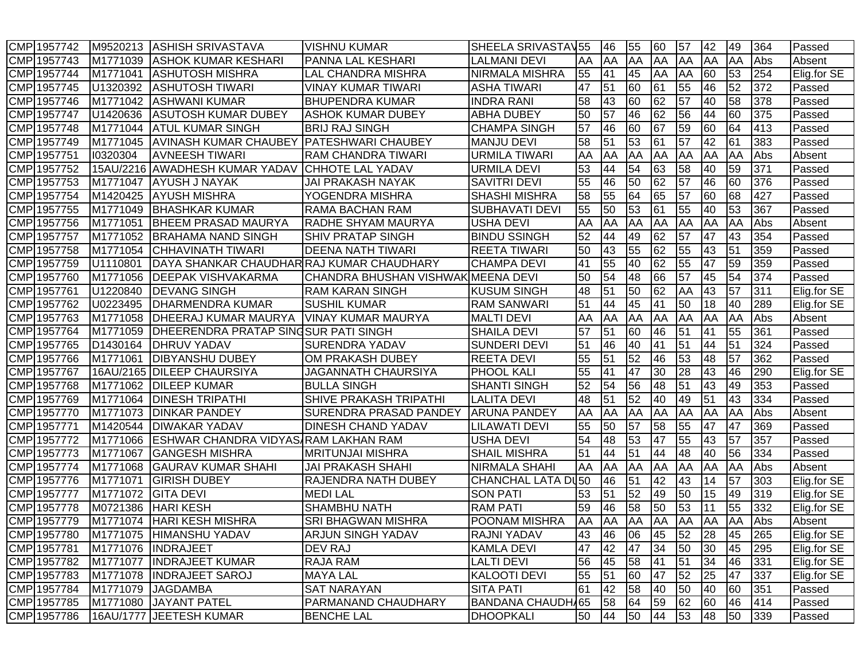| CMP 1957742 | M9520213  | ASHISH SRIVASTAVA                            | VISHNU KUMAR                  | SHEELA SRIVASTAV55    |    | 46        | 55              | 60              | 57              | 42              | 49 | 364 | Passed      |
|-------------|-----------|----------------------------------------------|-------------------------------|-----------------------|----|-----------|-----------------|-----------------|-----------------|-----------------|----|-----|-------------|
| CMP 1957743 | M1771039  | <b>ASHOK KUMAR KESHARI</b>                   | PANNA LAL KESHARI             | LALMANI DEVI          | AA | AA        | AA              | AA              | <b>AA</b>       | AA              | AA | Abs | Absent      |
| CMP 1957744 | M1771041  | IASHUTOSH MISHRA                             | LAL CHANDRA MISHRA            | NIRMALA MISHRA        | 55 | 41        | 45              | AA              | AA              | 60              | 53 | 254 | Elig.for SE |
| CMP 1957745 | U1320392  | <b>ASHUTOSH TIWARI</b>                       | VINAY KUMAR TIWARI            | <b>ASHA TIWARI</b>    | 47 | 51        | 60              | 61              | 55              | 46              | 52 | 372 | Passed      |
| CMP 1957746 | M1771042  | <b>JASHWANI KUMAR</b>                        | <b>BHUPENDRA KUMAR</b>        | <b>INDRA RANI</b>     | 58 | 43        | 60              | 62              | 57              | 40              | 58 | 378 | Passed      |
| CMP 1957747 | U1420636  | <b>ASUTOSH KUMAR DUBEY</b>                   | IASHOK KUMAR DUBEY            | <b>ABHA DUBEY</b>     | 50 | 57        | 46              | 62              | 56              | 44              | 60 | 375 | Passed      |
| CMP 1957748 | M1771044  | <b>ATUL KUMAR SINGH</b>                      | <b>BRIJ RAJ SINGH</b>         | <b>CHAMPA SINGH</b>   | 57 | 46        | 60              | 67              | 59              | 60              | 64 | 413 | Passed      |
| CMP 1957749 | M1771045  | <b>AVINASH KUMAR CHAUBEY</b>                 | <b>PATESHWARI CHAUBEY</b>     | <b>MANJU DEVI</b>     | 58 | 51        | 53              | 61              | 57              | 42              | 61 | 383 | Passed      |
| CMP 1957751 | 10320304  | <b>AVNEESH TIWARI</b>                        | <b>RAM CHANDRA TIWARI</b>     | <b>URMILA TIWARI</b>  | AA | AA        | AA              | AA              | <b>AA</b>       | AA              | AA | Abs | Absent      |
| CMP 1957752 |           | 15AU/2216 AWADHESH KUMAR YADAV               | <b>CHHOTE LAL YADAV</b>       | <b>URMILA DEVI</b>    | 53 | 44        | 54              | 63              | 58              | 40              | 59 | 371 | Passed      |
| CMP 1957753 | M1771047  | <b>AYUSH J NAYAK</b>                         | JAI PRAKASH NAYAK             | SAVITRI DEVI          | 55 | 46        | 50              | 62              | 57              | 46              | 60 | 376 | Passed      |
| CMP 1957754 | M1420425  | <b>AYUSH MISHRA</b>                          | YOGENDRA MISHRA               | <b>SHASHI MISHRA</b>  | 58 | 55        | 64              | 65              | $\overline{57}$ | 60              | 68 | 427 | Passed      |
| CMP 1957755 | M1771049  | <b>BHASHKAR KUMAR</b>                        | RAMA BACHAN RAM               | <b>SUBHAVATI DEVI</b> | 55 | 50        | 53              | 61              | 55              | 40              | 53 | 367 | Passed      |
| CMP 1957756 | M1771051  | <b>BHEEM PRASAD MAURYA</b>                   | RADHE SHYAM MAURYA            | USHA DEVI             | AA | AA        | AA              | AA              | AA              | AA              | AA | Abs | Absent      |
| CMP 1957757 | M1771052  | <b>BRAHAMA NAND SINGH</b>                    | <b>SHIV PRATAP SINGH</b>      | <b>BINDU SSINGH</b>   | 52 | 44        | 49              | 62              | 57              | 47              | 43 | 354 | Passed      |
| CMP 1957758 | M1771054  | CHHAVINATH TIWARI                            | <b>DEENA NATH TIWARI</b>      | <b>REETA TIWARI</b>   | 50 | 43        | 55              | 62              | 55              | 43              | 51 | 359 | Passed      |
| CMP 1957759 | U1110801  | DAYA SHANKAR CHAUDHAR RAJ KUMAR CHAUDHARY    |                               | <b>CHAMPA DEVI</b>    | 41 | 55        | 40              | 62              | 55              | 47              | 59 | 359 | Passed      |
| CMP 1957760 | M1771056  | <b>IDEEPAK VISHVAKARMA</b>                   | CHANDRA BHUSHAN VISHWAK       | <b>IMEENA DEVI</b>    | 50 | 54        | 48              | 66              | 57              | 45              | 54 | 374 | Passed      |
| CMP 1957761 | U1220840  | <b>DEVANG SINGH</b>                          | <b>RAM KARAN SINGH</b>        | <b>KUSUM SINGH</b>    | 48 | 51        | 50              | 62              | AA              | 43              | 57 | 311 | Elig.for SE |
| CMP 1957762 | U0223495  | <b>DHARMENDRA KUMAR</b>                      | <b>SUSHIL KUMAR</b>           | <b>RAM SANWARI</b>    | 51 | 44        | 45              | 41              | 50              | 18              | 40 | 289 | Elig.for SE |
| CMP 1957763 | M1771058  | <b>DHEERAJ KUMAR MAURYA</b>                  | <b>VINAY KUMAR MAURYA</b>     | <b>MALTI DEVI</b>     | AA | AA        | AA              | AA              | <b>AA</b>       | AA              | AA | Abs | Absent      |
| CMP 1957764 | M1771059  | <b>IDHEERENDRA PRATAP SINGSUR PATI SINGH</b> |                               | <b>SHAILA DEVI</b>    | 57 | 51        | 60              | 46              | 51              | 41              | 55 | 361 | Passed      |
| CMP 1957765 | D1430164  | <b>IDHRUV YADAV</b>                          | <b>SURENDRA YADAV</b>         | <b>SUNDERI DEVI</b>   | 51 | 46        | 40              | $\overline{41}$ | 51              | 44              | 51 | 324 | Passed      |
| CMP 1957766 | M1771061  | <b>IDIBYANSHU DUBEY</b>                      | OM PRAKASH DUBEY              | <b>REETA DEVI</b>     | 55 | 51        | 52              | 46              | 53              | 48              | 57 | 362 | Passed      |
| CMP 1957767 | 16AU/2165 | <b>DILEEP CHAURSIYA</b>                      | <b>JAGANNATH CHAURSIYA</b>    | <b>PHOOL KALI</b>     | 55 | 41        | 47              | 30              | 28              | 43              | 46 | 290 | Elig.for SE |
| CMP 1957768 | M1771062  | <b>DILEEP KUMAR</b>                          | <b>BULLA SINGH</b>            | <b>SHANTI SINGH</b>   | 52 | 54        | $\overline{56}$ | 48              | 51              | 43              | 49 | 353 | Passed      |
| CMP 1957769 | M1771064  | <b>DINESH TRIPATHI</b>                       | SHIVE PRAKASH TRIPATHI        | <b>LALITA DEVI</b>    | 48 | 51        | 52              | 40              | 49              | 51              | 43 | 334 | Passed      |
| CMP 1957770 | M1771073  | <b>DINKAR PANDEY</b>                         | <b>SURENDRA PRASAD PANDEY</b> | <b>ARUNA PANDEY</b>   | AA | AA        | AA              | AA              | ΙAΑ             | AA              | AA | Abs | Absent      |
| CMP 1957771 | M1420544  | <b>DIWAKAR YADAV</b>                         | DINESH CHAND YADAV            | LILAWATI DEVI         | 55 | 50        | 57              | 58              | 55              | 47              | 47 | 369 | Passed      |
| CMP 1957772 | M1771066  | ESHWAR CHANDRA VIDYAS RAM LAKHAN RAM         |                               | <b>USHA DEVI</b>      | 54 | 48        | 53              | 47              | 55              | 43              | 57 | 357 | Passed      |
| CMP 1957773 | M1771067  | GANGESH MISHRA                               | <b>MRITUNJAI MISHRA</b>       | <b>SHAIL MISHRA</b>   | 51 | 44        | 51              | 44              | 48              | 40              | 56 | 334 | Passed      |
| CMP 1957774 | M1771068  | <b>GAURAV KUMAR SHAHI</b>                    | <b>JAI PRAKASH SHAHI</b>      | <b>NIRMALA SHAHI</b>  | AA | AA        | AA              | AA              | AA              | AA              | AA | Abs | Absent      |
| CMP 1957776 | M1771071  | <b>GIRISH DUBEY</b>                          | RAJENDRA NATH DUBEY           | CHANCHAL LATA DU50    |    | 46        | 51              | 42              | 43              | 14              | 57 | 303 | Elig.for SE |
| CMP 1957777 | M1771072  | <b>GITA DEVI</b>                             | <b>MEDILAL</b>                | <b>SON PATI</b>       | 53 | 51        | 52              | 49              | 50              | 15              | 49 | 319 | Elig.for SE |
| CMP 1957778 | M0721386  | <b>HARI KESH</b>                             | <b>SHAMBHU NATH</b>           | <b>RAM PATI</b>       | 59 | 46        | 58              | 50              | 53              | 11              | 55 | 332 | Elig.for SE |
| CMP 1957779 | M1771074  | <b>HARI KESH MISHRA</b>                      | <b>SRI BHAGWAN MISHRA</b>     | <b>POONAM MISHRA</b>  | AA | <b>AA</b> | <b>AA</b>       | <b>AA</b>       | <b>AA</b>       | AA              | AA | Abs | Absent      |
| CMP 1957780 |           | M1771075 HIMANSHU YADAV                      | <b>ARJUN SINGH YADAV</b>      | <b>RAJNI YADAV</b>    | 43 | 46        | 06              | 45              | 52              | 28              | 45 | 265 | Elig.for SE |
| CMP 1957781 |           | M1771076 INDRAJEET                           | DEV RAJ                       | <b>KAMLA DEVI</b>     | 47 | 42        | 47              | 34              | 50              | 30 <sup>°</sup> | 45 | 295 | Elig.for SE |
| CMP 1957782 |           | M1771077  INDRAJEET KUMAR                    | RAJA RAM                      | <b>LALTI DEVI</b>     | 56 | 45        | 58              | 41              | 51              | 34              | 46 | 331 | Elig.for SE |
| CMP 1957783 |           | M1771078 INDRAJEET SAROJ                     | <b>MAYA LAL</b>               | <b>KALOOTI DEVI</b>   | 55 | 51        | 60              | 47              | $\overline{52}$ | 25              | 47 | 337 | Elig.for SE |
| CMP 1957784 | M1771079  | <b>JAGDAMBA</b>                              | <b>SAT NARAYAN</b>            | <b>SITA PATI</b>      | 61 | 42        | 58              | 40              | 50              | 40              | 60 | 351 | Passed      |
| CMP 1957785 |           | M1771080 JAYANT PATEL                        | PARMANAND CHAUDHARY           | BANDANA CHAUDH 65     |    | 58        | 64              | 59              | 62              | 60              | 46 | 414 | Passed      |
| CMP 1957786 |           | 16AU/1777 JEETESH KUMAR                      | <b>BENCHE LAL</b>             | <b>DHOOPKALI</b>      | 50 | 44        | 50              | 44              | 53              | 48              | 50 | 339 | Passed      |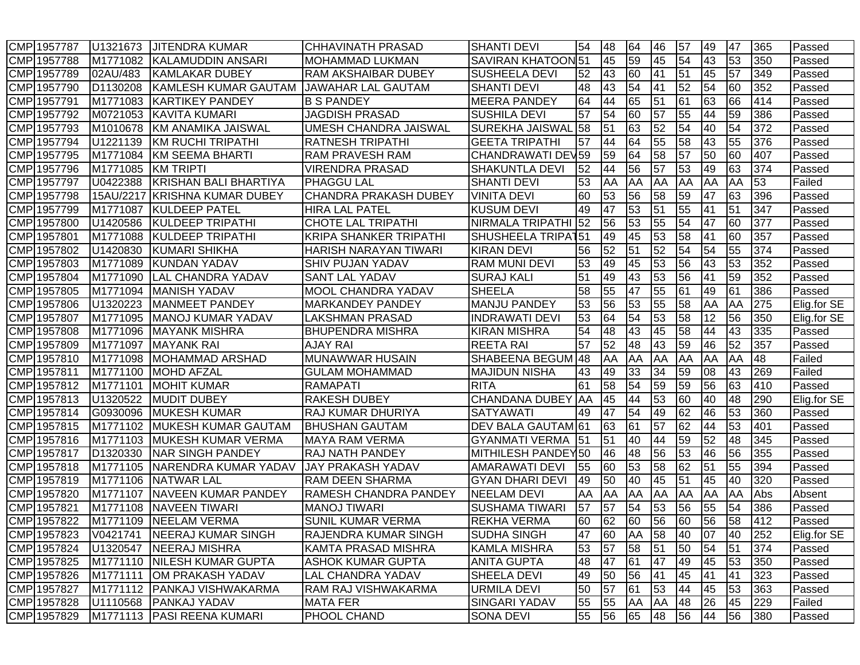| CMP 1957787 | U1321673  | <b>JITENDRA KUMAR</b>        | <b>CHHAVINATH PRASAD</b>      | <b>SHANTI DEVI</b>       | 54  | 48 | 64              | 46 | 57              | 49 | 47              | 365 | Passed      |
|-------------|-----------|------------------------------|-------------------------------|--------------------------|-----|----|-----------------|----|-----------------|----|-----------------|-----|-------------|
| CMP 1957788 | M1771082  | <b>KALAMUDDIN ANSARI</b>     | MOHAMMAD LUKMAN               | <b>SAVIRAN KHATOON51</b> |     | 45 | 59              | 45 | 54              | 43 | 53              | 350 | Passed      |
| CMP 1957789 | 02AU/483  | KAMLAKAR DUBEY               | RAM AKSHAIBAR DUBEY           | <b>SUSHEELA DEVI</b>     | 52  | 43 | 60              | 41 | 51              | 45 | 57              | 349 | Passed      |
| CMP 1957790 | D1130208  | KAMLESH KUMAR GAUTAM         | <b>JAWAHAR LAL GAUTAM</b>     | <b>SHANTI DEVI</b>       | 48  | 43 | 54              | 41 | 52              | 54 | 60              | 352 | Passed      |
| CMP 1957791 | M1771083  | <b>IKARTIKEY PANDEY</b>      | <b>B S PANDEY</b>             | <b>MEERA PANDEY</b>      | 64  | 44 | 65              | 51 | 61              | 63 | 66              | 414 | Passed      |
| CMP 1957792 | M0721053  | <b>KAVITA KUMARI</b>         | <b>JAGDISH PRASAD</b>         | <b>SUSHILA DEVI</b>      | 57  | 54 | 60              | 57 | 55              | 44 | 59              | 386 | Passed      |
| CMP 1957793 | M1010678  | <b>KM ANAMIKA JAISWAL</b>    | UMESH CHANDRA JAISWAL         | <b>SUREKHA JAISWAL</b>   | 58  | 51 | 63              | 52 | 54              | 40 | 54              | 372 | Passed      |
| CMP 1957794 | U1221139  | KM RUCHI TRIPATHI            | <b>RATNESH TRIPATHI</b>       | <b>GEETA TRIPATHI</b>    | 57  | 44 | 64              | 55 | 58              | 43 | 55              | 376 | Passed      |
| CMP 1957795 | M1771084  | KM SEEMA BHARTI              | RAM PRAVESH RAM               | CHANDRAWATI DEV59        |     | 59 | 64              | 58 | $\overline{57}$ | 50 | 60              | 407 | Passed      |
| CMP 1957796 | M1771085  | <b>KM TRIPTI</b>             | VIRENDRA PRASAD               | <b>SHAKUNTLA DEVI</b>    | 52  | 44 | 56              | 57 | 53              | 49 | 63              | 374 | Passed      |
| CMP 1957797 | U0422388  | <b>KRISHAN BALI BHARTIYA</b> | <b>PHAGGU LAL</b>             | <b>SHANTI DEVI</b>       | 53  | AA | AA              | AA | <b>AA</b>       | AA | AA              | 53  | Failed      |
| CMP 1957798 | 15AU/2217 | <b>KRISHNA KUMAR DUBEY</b>   | <b>CHANDRA PRAKASH DUBEY</b>  | <b>VINITA DEVI</b>       | 60  | 53 | 56              | 58 | 59              | 47 | 63              | 396 | Passed      |
| CMP 1957799 | M1771087  | <b>KULDEEP PATEL</b>         | <b>HIRA LAL PATEL</b>         | <b>KUSUM DEVI</b>        | 49  | 47 | 53              | 51 | 55              | 41 | 51              | 347 | Passed      |
| CMP 1957800 | U1420586  | <b>KULDEEP TRIPATHI</b>      | <b>CHOTE LAL TRIPATHI</b>     | NIRMALA TRIPATHI         | 52  | 56 | 53              | 55 | 54              | 47 | 60              | 377 | Passed      |
| CMP 1957801 | M1771088  | KULDEEP TRIPATHI             | <b>KRIPA SHANKER TRIPATHI</b> | <b>SHUSHEELA TRIPAT</b>  | 151 | 49 | 45              | 53 | 58              | 41 | 60              | 357 | Passed      |
| CMP 1957802 | U1420830  | <b>KUMARI SHIKHA</b>         | HARISH NARAYAN TIWARI         | <b>KIRAN DEVI</b>        | 56  | 52 | 51              | 52 | 54              | 54 | 55              | 374 | Passed      |
| CMP 1957803 | M1771089  | KUNDAN YADAV                 | <b>SHIV PUJAN YADAV</b>       | <b>RAM MUNI DEVI</b>     | 53  | 49 | 45              | 53 | 56              | 43 | 53              | 352 | Passed      |
| CMP 1957804 | M1771090  | <b>LAL CHANDRA YADAV</b>     | <b>SANT LAL YADAV</b>         | <b>SURAJ KALI</b>        | 51  | 49 | 43              | 53 | 56              | 41 | 59              | 352 | Passed      |
| CMP 1957805 | M1771094  | <b>MANISH YADAV</b>          | <b>MOOL CHANDRA YADAV</b>     | <b>SHEELA</b>            | 58  | 55 | 47              | 55 | 61              | 49 | 61              | 386 | Passed      |
| CMP 1957806 | U1320223  | <b>MANMEET PANDEY</b>        | <b>MARKANDEY PANDEY</b>       | <b>MANJU PANDEY</b>      | 53  | 56 | 53              | 55 | 58              | AA | AA              | 275 | Elig.for SE |
| CMP 1957807 | M1771095  | <b>MANOJ KUMAR YADAV</b>     | <b>LAKSHMAN PRASAD</b>        | <b>INDRAWATI DEVI</b>    | 53  | 64 | 54              | 53 | 58              | 12 | 56              | 350 | Elig.for SE |
| CMP 1957808 | M1771096  | <b>MAYANK MISHRA</b>         | <b>BHUPENDRA MISHRA</b>       | <b>KIRAN MISHRA</b>      | 54  | 48 | 43              | 45 | 58              | 44 | 43              | 335 | Passed      |
| CMP 1957809 | M1771097  | <b>MAYANK RAI</b>            | <b>AJAY RAI</b>               | <b>REETA RAI</b>         | 57  | 52 | $\overline{48}$ | 43 | 59              | 46 | $\overline{52}$ | 357 | Passed      |
| CMP 1957810 | M1771098  | <b>MOHAMMAD ARSHAD</b>       | MUNAWWAR HUSAIN               | SHABEENA BEGUM 48        |     | AA | AA              | AA | <b>AA</b>       | AA | AA              | 48  | Failed      |
| CMP 1957811 | M1771100  | <b>MOHD AFZAL</b>            | <b>GULAM MOHAMMAD</b>         | <b>MAJIDUN NISHA</b>     | 43  | 49 | 33              | 34 | 59              | 08 | 43              | 269 | Failed      |
| CMP 1957812 | M1771101  | <b>MOHIT KUMAR</b>           | <b>RAMAPATI</b>               | <b>RITA</b>              | 61  | 58 | 54              | 59 | 59              | 56 | 63              | 410 | Passed      |
| CMP 1957813 | U1320522  | <b>MUDIT DUBEY</b>           | <b>RAKESH DUBEY</b>           | <b>CHANDANA DUBEY AA</b> |     | 45 | 44              | 53 | 60              | 40 | 48              | 290 | Elig.for SE |
| CMP 1957814 | G0930096  | MUKESH KUMAR                 | RAJ KUMAR DHURIYA             | <b>SATYAWATI</b>         | 49  | 47 | 54              | 49 | 62              | 46 | 53              | 360 | Passed      |
| CMP 1957815 | M1771102  | <b>IMUKESH KUMAR GAUTAM</b>  | <b>BHUSHAN GAUTAM</b>         | DEV BALA GAUTAM 61       |     | 63 | 61              | 57 | 62              | 44 | 53              | 401 | Passed      |
| CMP 1957816 | M1771103  | <b>MUKESH KUMAR VERMA</b>    | <b>MAYA RAM VERMA</b>         | <b>GYANMATI VERMA</b>    | 51  | 51 | 40              | 44 | 59              | 52 | 48              | 345 | Passed      |
| CMP 1957817 | D1320330  | <b>NAR SINGH PANDEY</b>      | <b>RAJ NATH PANDEY</b>        | MITHILESH PANDEY50       |     | 46 | 48              | 56 | 53              | 46 | 56              | 355 | Passed      |
| CMP 1957818 | M1771105  | NARENDRA KUMAR YADAV         | <b>JAY PRAKASH YADAV</b>      | <b>AMARAWATI DEVI</b>    | 55  | 60 | 53              | 58 | 62              | 51 | 55              | 394 | Passed      |
| CMP 1957819 | M1771106  | <b>NATWAR LAL</b>            | <b>RAM DEEN SHARMA</b>        | <b>GYAN DHARI DEVI</b>   | 49  | 50 | 40              | 45 | 51              | 45 | 40              | 320 | Passed      |
| CMP 1957820 | M1771107  | <b>NAVEEN KUMAR PANDEY</b>   | <b>RAMESH CHANDRA PANDEY</b>  | <b>NEELAM DEVI</b>       | AA  | AA | AA              | AA | <b>JAA</b>      | AA | AA              | Abs | Absent      |
| CMP 1957821 | M1771108  | <b>NAVEEN TIWARI</b>         | <b>MANOJ TIWARI</b>           | <b>SUSHAMA TIWARI</b>    | 57  | 57 | 54              | 53 | 56              | 55 | 54              | 386 | Passed      |
| CMP 1957822 | M1771109  | <b>NEELAM VERMA</b>          | SUNIL KUMAR VERMA             | <b>REKHA VERMA</b>       | 60  | 62 | 60              | 56 | 60              | 56 | 58              | 412 | Passed      |
| CMP 1957823 | V0421741  | <b>NEERAJ KUMAR SINGH</b>    | <b>RAJENDRA KUMAR SINGH</b>   | <b>SUDHA SINGH</b>       | 47  | 60 | <b>AA</b>       | 58 | 40              | 07 | 40              | 252 | Elig.for SE |
| CMP 1957824 | U1320547  | <b>NEERAJ MISHRA</b>         | KAMTA PRASAD MISHRA           | <b>KAMLA MISHRA</b>      | 53  | 57 | 58              | 51 | 50              | 54 | 51              | 374 | Passed      |
| CMP 1957825 | M1771110  | <b>NILESH KUMAR GUPTA</b>    | <b>ASHOK KUMAR GUPTA</b>      | <b>ANITA GUPTA</b>       | 48  | 47 | 61              | 47 | 49              | 45 | 53              | 350 | Passed      |
| CMP 1957826 | M1771111  | OM PRAKASH YADAV             | <b>LAL CHANDRA YADAV</b>      | SHEELA DEVI              | 49  | 50 | 56              | 41 | 45              | 41 | 41              | 323 | Passed      |
| CMP 1957827 | M1771112  | <b>PANKAJ VISHWAKARMA</b>    | RAM RAJ VISHWAKARMA           | <b>URMILA DEVI</b>       | 50  | 57 | 61              | 53 | 44              | 45 | 53              | 363 | Passed      |
| CMP 1957828 | U1110568  | <b>PANKAJ YADAV</b>          | <b>MATA FER</b>               | <b>SINGARI YADAV</b>     | 55  | 55 | AA              | AA | 48              | 26 | 45              | 229 | Failed      |
| CMP 1957829 |           | M1771113 PASI REENA KUMARI   | PHOOL CHAND                   | <b>SONA DEVI</b>         | 55  | 56 | 65              | 48 | 56              | 44 | 56              | 380 | Passed      |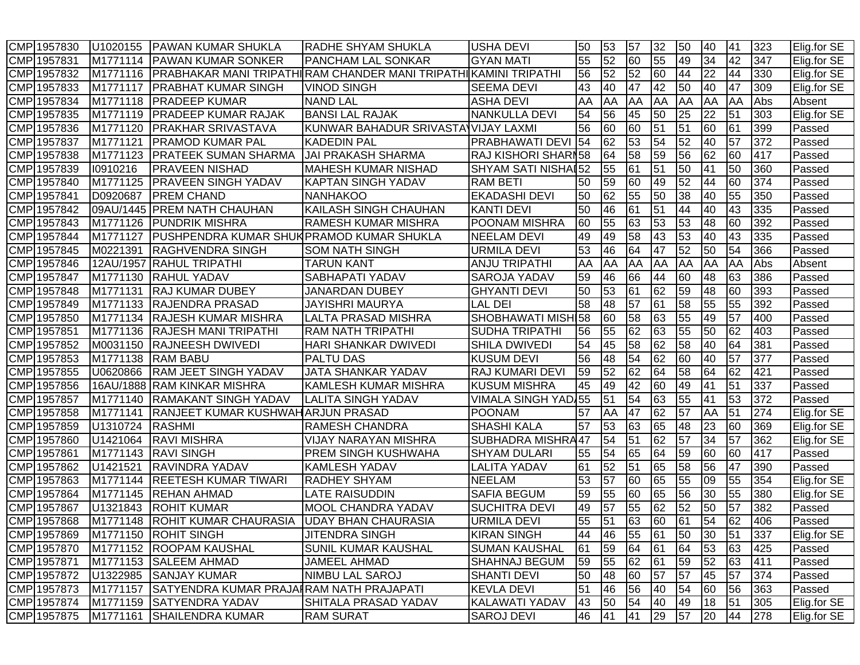| CMP 1957830 | U1020155  | PAWAN KUMAR SHUKLA                       | <b>RADHE SHYAM SHUKLA</b>                                         | <b>USHA DEVI</b>           | 50 | 53              | 57 | 32 | 50 | 40 | 41 | 323 | Elig.for SE |
|-------------|-----------|------------------------------------------|-------------------------------------------------------------------|----------------------------|----|-----------------|----|----|----|----|----|-----|-------------|
| CMP 1957831 | M1771114  | <b>PAWAN KUMAR SONKER</b>                | <b>PANCHAM LAL SONKAR</b>                                         | <b>GYAN MATI</b>           | 55 | 52              | 60 | 55 | 49 | 34 | 42 | 347 | Elig.for SE |
| CMP 1957832 | M1771116  |                                          | PRABHAKAR MANI TRIPATHI RAM CHANDER MANI TRIPATHI∣KAMINI TRIPATHI |                            | 56 | 52              | 52 | 60 | 44 | 22 | 44 | 330 | Elig.for SE |
| CMP 1957833 | M1771117  | <b>PRABHAT KUMAR SINGH</b>               | <b>VINOD SINGH</b>                                                | <b>SEEMA DEVI</b>          | 43 | 40              | 47 | 42 | 50 | 40 | 47 | 309 | Elig.for SE |
| CMP 1957834 | M1771118  | <b>PRADEEP KUMAR</b>                     | <b>NAND LAL</b>                                                   | <b>ASHA DEVI</b>           | AA | AA              | AA | AA | AA | AA | AA | Abs | Absent      |
| CMP 1957835 | M1771119  | <b>PRADEEP KUMAR RAJAK</b>               | <b>BANSI LAL RAJAK</b>                                            | <b>NANKULLA DEVI</b>       | 54 | 56              | 45 | 50 | 25 | 22 | 51 | 303 | Elig.for SE |
| CMP 1957836 | M1771120  | <b>PRAKHAR SRIVASTAVA</b>                | KUNWAR BAHADUR SRIVASTA VIJAY LAXMI                               |                            | 56 | 60              | 60 | 51 | 51 | 60 | 61 | 399 | Passed      |
| CMP 1957837 | M1771121  | <b>PRAMOD KUMAR PAL</b>                  | <b>KADEDIN PAL</b>                                                | PRABHAWATI DEVI            | 54 | 62              | 53 | 54 | 52 | 40 | 57 | 372 | Passed      |
| CMP 1957838 | M1771123  | <b>PRATEEK SUMAN SHARMA</b>              | <b>JAI PRAKASH SHARMA</b>                                         | RAJ KISHORI SHARI58        |    | 64              | 58 | 59 | 56 | 62 | 60 | 417 | Passed      |
| CMP 1957839 | 10910216  | PRAVEEN NISHAD                           | <b>MAHESH KUMAR NISHAD</b>                                        | SHYAM SATI NISHAI52        |    | 55              | 61 | 51 | 50 | 41 | 50 | 360 | Passed      |
| CMP 1957840 | M1771125  | <b>PRAVEEN SINGH YADAV</b>               | <b>KAPTAN SINGH YADAV</b>                                         | <b>RAM BETI</b>            | 50 | 59              | 60 | 49 | 52 | 44 | 60 | 374 | Passed      |
| CMP 1957841 | D0920687  | <b>PREM CHAND</b>                        | <b>NANHAKOO</b>                                                   | <b>EKADASHI DEVI</b>       | 50 | 62              | 55 | 50 | 38 | 40 | 55 | 350 | Passed      |
| CMP 1957842 | 09AU/1445 | <b>PREM NATH CHAUHAN</b>                 | KAILASH SINGH CHAUHAN                                             | <b>KANTI DEVI</b>          | 50 | 46              | 61 | 51 | 44 | 40 | 43 | 335 | Passed      |
| CMP 1957843 | M1771126  | PUNDRIK MISHRA                           | RAMESH KUMAR MISHRA                                               | <b>POONAM MISHRA</b>       | 60 | 55              | 63 | 53 | 53 | 48 | 60 | 392 | Passed      |
| CMP 1957844 | M1771127  | PUSHPENDRA KUMAR SHUKPRAMOD KUMAR SHUKLA |                                                                   | <b>NEELAM DEVI</b>         | 49 | 49              | 58 | 43 | 53 | 40 | 43 | 335 | Passed      |
| CMP 1957845 | M0221391  | RAGHVENDRA SINGH                         | <b>SOM NATH SINGH</b>                                             | URMILA DEVI                | 53 | 46              | 64 | 47 | 52 | 50 | 54 | 366 | Passed      |
| CMP 1957846 | 12AU/1957 | RAHUL TRIPATHI                           | <b>TARUN KANT</b>                                                 | <b>ANJU TRIPATHI</b>       | AA | AA              | AA | AA | AA | AA | AA | Abs | Absent      |
| CMP 1957847 | M1771130  | <b>RAHUL YADAV</b>                       | SABHAPATI YADAV                                                   | <b>SAROJA YADAV</b>        | 59 | 46              | 66 | 44 | 60 | 48 | 63 | 386 | Passed      |
| CMP 1957848 | M1771131  | <b>IRAJ KUMAR DUBEY</b>                  | <b>JANARDAN DUBEY</b>                                             | <b>GHYANTI DEVI</b>        | 50 | 53              | 61 | 62 | 59 | 48 | 60 | 393 | Passed      |
| CMP 1957849 | M1771133  | <b>RAJENDRA PRASAD</b>                   | <b>JAYISHRI MAURYA</b>                                            | LAL DEI                    | 58 | 48              | 57 | 61 | 58 | 55 | 55 | 392 | Passed      |
| CMP 1957850 | M1771134  | <b>RAJESH KUMAR MISHRA</b>               | <b>LALTA PRASAD MISHRA</b>                                        | SHOBHAWATI MISHI58         |    | 60              | 58 | 63 | 55 | 49 | 57 | 400 | Passed      |
| CMP 1957851 | M1771136  | IRAJESH MANI TRIPATHI                    | <b>RAM NATH TRIPATHI</b>                                          | <b>SUDHA TRIPATHI</b>      | 56 | 55              | 62 | 63 | 55 | 50 | 62 | 403 | Passed      |
| CMP 1957852 | M0031150  | <b>RAJNEESH DWIVEDI</b>                  | HARI SHANKAR DWIVEDI                                              | <b>SHILA DWIVEDI</b>       | 54 | 45              | 58 | 62 | 58 | 40 | 64 | 381 | Passed      |
| CMP 1957853 | M1771138  | <b>RAM BABU</b>                          | <b>PALTU DAS</b>                                                  | <b>KUSUM DEVI</b>          | 56 | 48              | 54 | 62 | 60 | 40 | 57 | 377 | Passed      |
| CMP 1957855 | U0620866  | <b>RAM JEET SINGH YADAV</b>              | <b>JATA SHANKAR YADAV</b>                                         | <b>RAJ KUMARI DEVI</b>     | 59 | $\overline{52}$ | 62 | 64 | 58 | 64 | 62 | 421 | Passed      |
| CMP 1957856 | 16AU/1888 | <b>RAM KINKAR MISHRA</b>                 | KAMLESH KUMAR MISHRA                                              | <b>KUSUM MISHRA</b>        | 45 | 49              | 42 | 60 | 49 | 41 | 51 | 337 | Passed      |
| CMP 1957857 | M1771140  | RAMAKANT SINGH YADAV                     | <b>LALITA SINGH YADAV</b>                                         | <b>VIMALA SINGH YAD 55</b> |    | 51              | 54 | 63 | 55 | 41 | 53 | 372 | Passed      |
| CMP 1957858 | M1771141  | RANJEET KUMAR KUSHWAH ARJUN PRASAD       |                                                                   | <b>POONAM</b>              | 57 | AA              | 47 | 62 | 57 | AA | 51 | 274 | Elig.for SE |
| CMP 1957859 | U1310724  | RASHMI                                   | RAMESH CHANDRA                                                    | <b>SHASHI KALA</b>         | 57 | 53              | 63 | 65 | 48 | 23 | 60 | 369 | Elig.for SE |
| CMP 1957860 | U1421064  | <b>RAVI MISHRA</b>                       | <b>VIJAY NARAYAN MISHRA</b>                                       | <b>SUBHADRA MISHRA47</b>   |    | 54              | 51 | 62 | 57 | 34 | 57 | 362 | Elig.for SE |
| CMP 1957861 | M1771143  | <b>RAVI SINGH</b>                        | <b>PREM SINGH KUSHWAHA</b>                                        | <b>SHYAM DULARI</b>        | 55 | 54              | 65 | 64 | 59 | 60 | 60 | 417 | Passed      |
| CMP 1957862 | U1421521  | <b>RAVINDRA YADAV</b>                    | <b>KAMLESH YADAV</b>                                              | <b>LALITA YADAV</b>        | 61 | 52              | 51 | 65 | 58 | 56 | 47 | 390 | Passed      |
| CMP 1957863 | M1771144  | <b>REETESH KUMAR TIWARI</b>              | <b>RADHEY SHYAM</b>                                               | <b>NEELAM</b>              | 53 | 57              | 60 | 65 | 55 | 09 | 55 | 354 | Elig.for SE |
| CMP 1957864 | M1771145  | <b>REHAN AHMAD</b>                       | <b>LATE RAISUDDIN</b>                                             | <b>SAFIA BEGUM</b>         | 59 | 55              | 60 | 65 | 56 | 30 | 55 | 380 | Elig.for SE |
| CMP 1957867 | U1321843  | <b>ROHIT KUMAR</b>                       | <b>MOOL CHANDRA YADAV</b>                                         | <b>SUCHITRA DEVI</b>       | 49 | 57              | 55 | 62 | 52 | 50 | 57 | 382 | Passed      |
| CMP 1957868 | M1771148  | IROHIT KUMAR CHAURASIA                   | UDAY BHAN CHAURASIA                                               | URMILA DEVI                | 55 | 51              | 63 | 60 | 61 | 54 | 62 | 406 | Passed      |
| CMP 1957869 |           | M1771150 ROHIT SINGH                     | <b>JITENDRA SINGH</b>                                             | <b>KIRAN SINGH</b>         | 44 | 46              | 55 | 61 | 50 | 30 | 51 | 337 | Elig.for SE |
| CMP 1957870 |           | M1771152 ROOPAM KAUSHAL                  | SUNIL KUMAR KAUSHAL                                               | <b>SUMAN KAUSHAL</b>       | 61 | 59              | 64 | 61 | 64 | 53 | 63 | 425 | Passed      |
| CMP 1957871 | M1771153  | <b>SALEEM AHMAD</b>                      | JAMEEL AHMAD                                                      | SHAHNAJ BEGUM              | 59 | 55              | 62 | 61 | 59 | 52 | 63 | 411 | Passed      |
| CMP 1957872 | U1322985  | <b>SANJAY KUMAR</b>                      | <b>NIMBU LAL SAROJ</b>                                            | <b>SHANTI DEVI</b>         | 50 | 48              | 60 | 57 | 57 | 45 | 57 | 374 | Passed      |
| CMP 1957873 | M1771157  | SATYENDRA KUMAR PRAJAIRAM NATH PRAJAPATI |                                                                   | <b>KEVLA DEVI</b>          | 51 | 46              | 56 | 40 | 54 | 60 | 56 | 363 | Passed      |
| CMP 1957874 | M1771159  | <b>SATYENDRA YADAV</b>                   | SHITALA PRASAD YADAV                                              | KALAWATI YADAV             | 43 | 50              | 54 | 40 | 49 | 18 | 51 | 305 | Elig.for SE |
| CMP 1957875 | M1771161  | <b>SHAILENDRA KUMAR</b>                  | <b>RAM SURAT</b>                                                  | <b>SAROJ DEVI</b>          | 46 | 41              | 41 | 29 | 57 | 20 | 44 | 278 | Elig.for SE |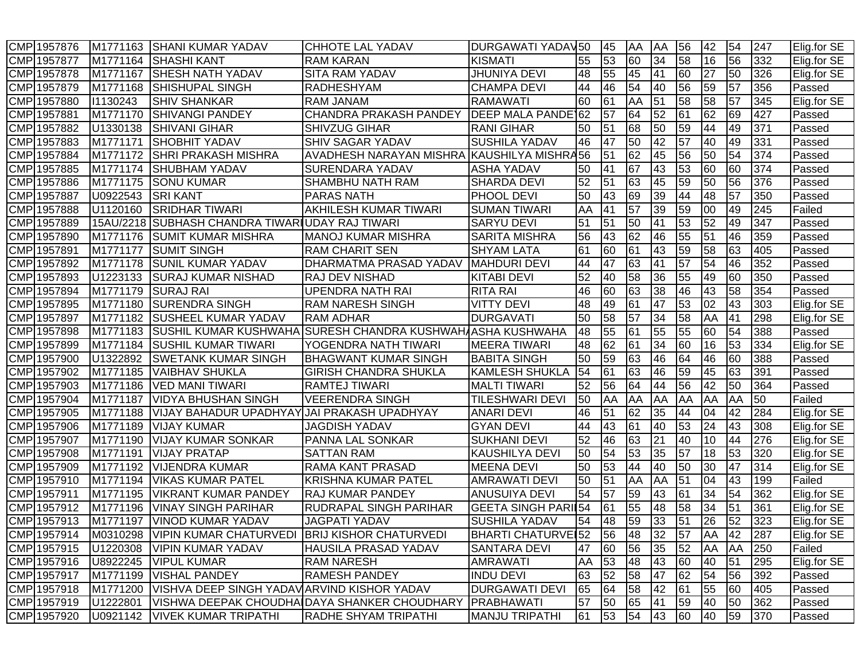| CMP 1957876 | M1771163  | <b>SHANI KUMAR YADAV</b>                               | <b>CHHOTE LAL YADAV</b>                                    | <b>DURGAWATI YADAV50</b>   |    | 45 | AA              | <b>AA</b> | 56              | 42    | 54        | 247 | Elig.for SE |
|-------------|-----------|--------------------------------------------------------|------------------------------------------------------------|----------------------------|----|----|-----------------|-----------|-----------------|-------|-----------|-----|-------------|
| CMP 1957877 | M1771164  | <b>SHASHI KANT</b>                                     | <b>RAM KARAN</b>                                           | <b>KISMATI</b>             | 55 | 53 | 60              | 34        | 58              | 16    | 56        | 332 | Elig.for SE |
| CMP 1957878 | M1771167  | <b>SHESH NATH YADAV</b>                                | SITA RAM YADAV                                             | <b>JHUNIYA DEVI</b>        | 48 | 55 | 45              | 41        | 60              | 27    | 50        | 326 | Elig.for SE |
| CMP 1957879 | M1771168  | <b>SHISHUPAL SINGH</b>                                 | RADHESHYAM                                                 | <b>CHAMPA DEVI</b>         | 44 | 46 | 54              | 40        | 56              | 59    | 57        | 356 | Passed      |
| CMP 1957880 | 11130243  | <b>SHIV SHANKAR</b>                                    | <b>RAM JANAM</b>                                           | <b>RAMAWATI</b>            | 60 | 61 | AA              | 51        | 58              | 58    | 57        | 345 | Elig.for SE |
| CMP 1957881 | M1771170  | <b>SHIVANGI PANDEY</b>                                 | <b>CHANDRA PRAKASH PANDEY</b>                              | DEEP MALA PANDE 62         |    | 57 | 64              | 52        | $\overline{61}$ | 62    | 69        | 427 | Passed      |
| CMP 1957882 | U1330138  | <b>SHIVANI GIHAR</b>                                   | <b>SHIVZUG GIHAR</b>                                       | <b>RANI GIHAR</b>          | 50 | 51 | 68              | 50        | 59              | 44    | 49        | 371 | Passed      |
| CMP 1957883 | M1771171  | <b>SHOBHIT YADAV</b>                                   | <b>SHIV SAGAR YADAV</b>                                    | <b>SUSHILA YADAV</b>       | 46 | 47 | 50              | 42        | $\overline{57}$ | 40    | 49        | 331 | Passed      |
| CMP 1957884 | M1771172  | <b>SHRI PRAKASH MISHRA</b>                             | AVADHESH NARAYAN MISHRA KAUSHILYA MISHRA56                 |                            |    | 51 | 62              | 45        | 56              | 50    | 54        | 374 | Passed      |
| CMP 1957885 | M1771174  | <b>SHUBHAM YADAV</b>                                   | SURENDARA YADAV                                            | <b>ASHA YADAV</b>          | 50 | 41 | 67              | 43        | 53              | 60    | 60        | 374 | Passed      |
| CMP 1957886 | M1771175  | <b>SONU KUMAR</b>                                      | <b>SHAMBHU NATH RAM</b>                                    | <b>SHARDA DEVI</b>         | 52 | 51 | 63              | 45        | 59              | 50    | 56        | 376 | Passed      |
| CMP 1957887 | U0922543  | <b>SRI KANT</b>                                        | <b>PARAS NATH</b>                                          | <b>PHOOL DEVI</b>          | 50 | 43 | 69              | 39        | 44              | 48    | 57        | 350 | Passed      |
| CMP 1957888 | U1120160  | <b>SRIDHAR TIWARI</b>                                  | AKHILESH KUMAR TIWARI                                      | <b>SUMAN TIWARI</b>        | AA | 41 | 57              | 39        | 59              | 00    | 49        | 245 | Failed      |
| CMP 1957889 | 15AU/2218 | SUBHASH CHANDRA TIWARIUDAY RAJ TIWARI                  |                                                            | <b>SARYU DEVI</b>          | 51 | 51 | 50              | 41        | 53              | 52    | 49        | 347 | Passed      |
| CMP 1957890 | M1771176  | <b>SUMIT KUMAR MISHRA</b>                              | MANOJ KUMAR MISHRA                                         | <b>SARITA MISHRA</b>       | 56 | 43 | 62              | 46        | 55              | 51    | 46        | 359 | Passed      |
| CMP 1957891 | M1771177  | <b>SUMIT SINGH</b>                                     | <b>RAM CHARIT SEN</b>                                      | SHYAM LATA                 | 61 | 60 | 61              | 43        | 59              | 58    | 63        | 405 | Passed      |
| CMP 1957892 | M1771178  | <b>SUNIL KUMAR YADAV</b>                               | DHARMATMA PRASAD YADAV                                     | <b>MAHDURI DEVI</b>        | 44 | 47 | 63              | 41        | 57              | 54    | 46        | 352 | Passed      |
| CMP 1957893 | U1223133  | <b>SURAJ KUMAR NISHAD</b>                              | <b>RAJ DEV NISHAD</b>                                      | <b>KITABI DEVI</b>         | 52 | 40 | 58              | 36        | 55              | 49    | 60        | 350 | Passed      |
| CMP 1957894 | M1771179  | <b>SURAJ RAI</b>                                       | UPENDRA NATH RAI                                           | <b>RITA RAI</b>            | 46 | 60 | 63              | 38        | 46              | 43    | 58        | 354 | Passed      |
| CMP 1957895 | M1771180  | <b>SURENDRA SINGH</b>                                  | <b>RAM NARESH SINGH</b>                                    | <b>VITTY DEVI</b>          | 48 | 49 | 61              | 47        | 53              | 02    | 43        | 303 | Elig.for SE |
| CMP 1957897 | M1771182  | <b>SUSHEEL KUMAR YADAV</b>                             | <b>RAM ADHAR</b>                                           | <b>DURGAVATI</b>           | 50 | 58 | 57              | 34        | 58              | AA    | 41        | 298 | Elig.for SE |
| CMP 1957898 | M1771183  |                                                        | SUSHIL KUMAR KUSHWAHA SURESH CHANDRA KUSHWAHAASHA KUSHWAHA |                            | 48 | 55 | 61              | 55        | 55              | 60    | 54        | 388 | Passed      |
| CMP 1957899 | M1771184  | <b>SUSHIL KUMAR TIWARI</b>                             | YOGENDRA NATH TIWARI                                       | <b>MEERA TIWARI</b>        | 48 | 62 | 61              | 34        | 60              | 16    | 53        | 334 | Elig.for SE |
| CMP 1957900 | U1322892  | <b>SWETANK KUMAR SINGH</b>                             | <b>BHAGWANT KUMAR SINGH</b>                                | <b>BABITA SINGH</b>        | 50 | 59 | 63              | 46        | 64              | 46    | 60        | 388 | Passed      |
| CMP 1957902 | M1771185  | <b>VAIBHAV SHUKLA</b>                                  | <b>GIRISH CHANDRA SHUKLA</b>                               | <b>KAMLESH SHUKLA</b>      | 54 | 61 | 63              | 46        | 59              | 45    | 63        | 391 | Passed      |
| CMP 1957903 | M1771186  | <b>VED MANI TIWARI</b>                                 | <b>RAMTEJ TIWARI</b>                                       | <b>MALTI TIWARI</b>        | 52 | 56 | 64              | 44        | 56              | 42    | 50        | 364 | Passed      |
| CMP 1957904 | M1771187  | <b>VIDYA BHUSHAN SINGH</b>                             | <b>VEERENDRA SINGH</b>                                     | <b>TILESHWARI DEVI</b>     | 50 | AA | AA              | AA        | AA              | AA    | AA        | 50  | Failed      |
| CMP 1957905 | M1771188  | <b>VIJAY BAHADUR UPADHYAY</b>                          | JAI PRAKASH UPADHYAY                                       | <b>ANARI DEVI</b>          | 46 | 51 | 62              | 35        | 44              | 04    | 42        | 284 | Elig.for SE |
| CMP 1957906 | M1771189  | <b>VIJAY KUMAR</b>                                     | <b>JAGDISH YADAV</b>                                       | <b>GYAN DEVI</b>           | 44 | 43 | 61              | 40        | 53              | 24    | 43        | 308 | Elig.for SE |
| CMP 1957907 | M1771190  | <b>VIJAY KUMAR SONKAR</b>                              | <b>PANNA LAL SONKAR</b>                                    | SUKHANI DEVI               | 52 | 46 | 63              | 21        | 40              | 10    | 44        | 276 | Elig.for SE |
| CMP 1957908 | M1771191  | <b>VIJAY PRATAP</b>                                    | <b>SATTAN RAM</b>                                          | KAUSHILYA DEVI             | 50 | 54 | $\overline{53}$ | 35        | 57              | 18    | 53        | 320 | Elig.for SE |
| CMP 1957909 | M1771192  | <b>VIJENDRA KUMAR</b>                                  | <b>RAMA KANT PRASAD</b>                                    | <b>MEENA DEVI</b>          | 50 | 53 | 44              | 40        | 50              | 30    | 47        | 314 | Elig.for SE |
| CMP 1957910 | M1771194  | <b>VIKAS KUMAR PATEL</b>                               | KRISHNA KUMAR PATEL                                        | <b>AMRAWATI DEVI</b>       | 50 | 51 | AA              | AA        | 51              | 04    | 43        | 199 | Failed      |
| CMP 1957911 | M1771195  | <b>VIKRANT KUMAR PANDEY</b>                            | <b>RAJ KUMAR PANDEY</b>                                    | <b>ANUSUIYA DEVI</b>       | 54 | 57 | 59              | 43        | 61              | 34    | 54        | 362 | Elig.for SE |
| CMP 1957912 | M1771196  | <b>VINAY SINGH PARIHAR</b>                             | <b>RUDRAPAL SINGH PARIHAR</b>                              | <b>GEETA SINGH PARII54</b> |    | 61 | 55              | 48        | 58              | 34    | 51        | 361 | Elig.for SE |
| CMP 1957913 | M1771197  | <b>VINOD KUMAR YADAV</b>                               | <b>JAGPATI YADAV</b>                                       | <b>SUSHILA YADAV</b>       | 54 | 48 | 59              | 33        | 51              | 26    | 52        | 323 | Elig.for SE |
| CMP 1957914 |           | M0310298 VIPIN KUMAR CHATURVEDI BRIJ KISHOR CHATURVEDI |                                                            | BHARTI CHATURVEI52         |    | 56 | 48              | 32        | 57              | AA 42 |           | 287 | Elig.for SE |
| CMP 1957915 | U1220308  | <b>VIPIN KUMAR YADAV</b>                               | <b>HAUSILA PRASAD YADAV</b>                                | <b>SANTARA DEVI</b>        | 47 | 60 | 56              | 35        | 52              | AA    | <b>AA</b> | 250 | Failed      |
| CMP 1957916 | U8922245  | <b>VIPUL KUMAR</b>                                     | <b>RAM NARESH</b>                                          | <b>AMRAWATI</b>            | AA | 53 | 48              | 43        | 60              | 40    | 51        | 295 | Elig.for SE |
| CMP 1957917 | M1771199  | <b>VISHAL PANDEY</b>                                   | <b>RAMESH PANDEY</b>                                       | <b>INDU DEVI</b>           | 63 | 52 | 58              | 47        | 62              | 54    | 56        | 392 | Passed      |
| CMP 1957918 | M1771200  | VISHVA DEEP SINGH YADAVARVIND KISHOR YADAV             |                                                            | <b>DURGAWATI DEVI</b>      | 65 | 64 | 58              | 42        | 61              | 55    | 60        | 405 | Passed      |
| CMP 1957919 | U1222801  |                                                        | VISHWA DEEPAK CHOUDHAIDAYA SHANKER CHOUDHARY               | PRABHAWATI                 | 57 | 50 | 65              | 41        | 59              | 40    | 50        | 362 | Passed      |
| CMP 1957920 |           | U0921142   VIVEK KUMAR TRIPATHI                        | <b>RADHE SHYAM TRIPATHI</b>                                | MANJU TRIPATHI             | 61 | 53 | 54              | 43        | 60              | 40    | 59        | 370 | Passed      |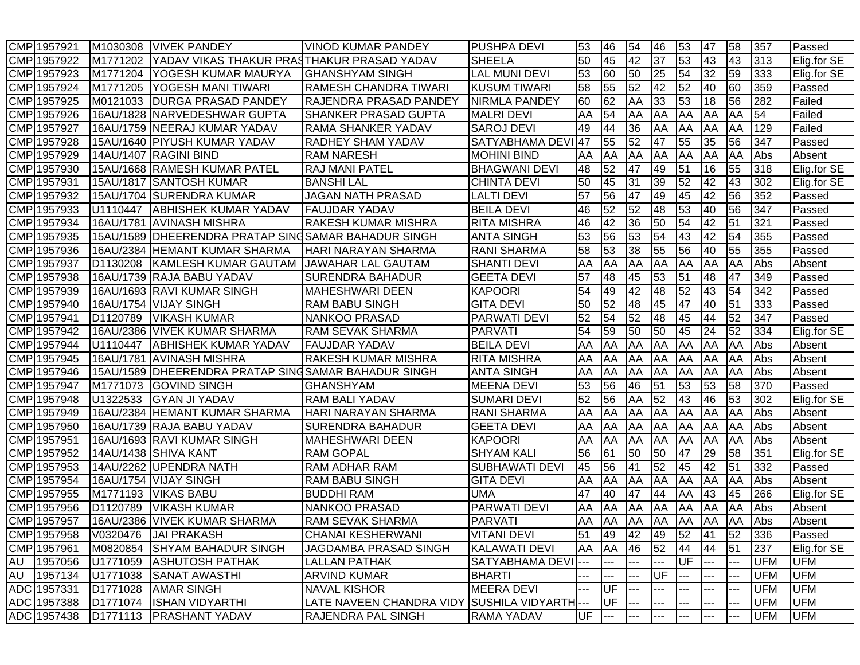|            | CMP 1957921 | M1030308             | <b>VIVEK PANDEY</b>                               | <b>VINOD KUMAR PANDEY</b>    | <b>PUSHPA DEVI</b>      | 53        | 46                   | 54              | 46        | 53         | 47  | 58  | 357        | Passed      |
|------------|-------------|----------------------|---------------------------------------------------|------------------------------|-------------------------|-----------|----------------------|-----------------|-----------|------------|-----|-----|------------|-------------|
|            | CMP 1957922 | M1771202             | YADAV VIKAS THAKUR PRASTHAKUR PRASAD YADAV        |                              | <b>SHEELA</b>           | 50        | 45                   | 42              | 37        | 53         | 43  | 43  | 313        | Elig.for SE |
|            | CMP 1957923 | M1771204             | YOGESH KUMAR MAURYA                               | <b>GHANSHYAM SINGH</b>       | <b>LAL MUNI DEVI</b>    | 53        | 60                   | 50              | 25        | 54         | 32  | 59  | 333        | Elig.for SE |
|            | CMP 1957924 | M1771205             | <b>YOGESH MANI TIWARI</b>                         | <b>RAMESH CHANDRA TIWARI</b> | <b>KUSUM TIWARI</b>     | 58        | 55                   | $\overline{52}$ | 42        | 52         | 40  | 60  | 359        | Passed      |
|            | CMP 1957925 | M0121033             | <b>DURGA PRASAD PANDEY</b>                        | RAJENDRA PRASAD PANDEY       | <b>NIRMLA PANDEY</b>    | 60        | 62                   | AA              | 33        | 53         | 18  | 56  | 282        | Failed      |
|            | CMP 1957926 |                      | 16AU/1828 NARVEDESHWAR GUPTA                      | SHANKER PRASAD GUPTA         | <b>MALRI DEVI</b>       | AA        | 54                   | AA              | AA        | <b>AA</b>  | AA  | AA  | 54         | Failed      |
|            | CMP 1957927 |                      | 16AU/1759 NEERAJ KUMAR YADAV                      | <b>RAMA SHANKER YADAV</b>    | <b>SAROJ DEVI</b>       | 49        | 44                   | 36              | AA        | <b>JAA</b> | AA  | AA  | 129        | Failed      |
|            | CMP 1957928 |                      | 15AU/1640 PIYUSH KUMAR YADAV                      | <b>RADHEY SHAM YADAV</b>     | SATYABHAMA DEVI 47      |           | 55                   | 52              | 47        | 55         | 35  | 56  | 347        | Passed      |
|            | CMP 1957929 |                      | 14AU/1407 RAGINI BIND                             | <b>RAM NARESH</b>            | <b>MOHINI BIND</b>      | AA        | AA                   | AA              | AA        | <b>AA</b>  | AA  | AA  | Abs        | Absent      |
|            | CMP 1957930 |                      | 15AU/1668 RAMESH KUMAR PATEL                      | <b>RAJ MANI PATEL</b>        | <b>BHAGWANI DEVI</b>    | 48        | 52                   | 47              | 49        | 51         | 16  | 55  | 318        | Elig.for SE |
|            | CMP 1957931 | 15AU/1817            | <b>SANTOSH KUMAR</b>                              | <b>BANSHI LAL</b>            | <b>CHINTA DEVI</b>      | 50        | 45                   | 31              | 39        | 52         | 42  | 43  | 302        | Elig.for SE |
|            | CMP 1957932 | 15AU/1704            | <b>SURENDRA KUMAR</b>                             | <b>JAGAN NATH PRASAD</b>     | <b>LALTI DEVI</b>       | 57        | 56                   | 47              | 49        | 45         | 42  | 56  | 352        | Passed      |
|            | CMP 1957933 | U1110447             | ABHISHEK KUMAR YADAV                              | <b>FAUJDAR YADAV</b>         | <b>BEILA DEVI</b>       | 46        | 52                   | 52              | 48        | 53         | 40  | 56  | 347        | Passed      |
|            | CMP 1957934 | 16AU/1781            | <b>AVINASH MISHRA</b>                             | RAKESH KUMAR MISHRA          | <b>RITA MISHRA</b>      | 46        | 42                   | 36              | 50        | 54         | 42  | 51  | 321        | Passed      |
| <b>CMP</b> | 1957935     | 15AU/1589            | <b>IDHEERENDRA PRATAP SING</b>                    | <b>SAMAR BAHADUR SINGH</b>   | <b>ANTA SINGH</b>       | 53        | 56                   | 53              | 54        | 43         | 42  | 54  | 355        | Passed      |
|            | CMP 1957936 |                      | 16AU/2384 HEMANT KUMAR SHARMA                     | HARI NARAYAN SHARMA          | <b>RANI SHARMA</b>      | 58        | 53                   | 38              | 55        | 56         | 40  | 55  | 355        | Passed      |
|            | CMP 1957937 | D1130208             | <b>KAMLESH KUMAR GAUTAM</b>                       | <b>JAWAHAR LAL GAUTAM</b>    | <b>SHANTI DEVI</b>      | AA        | AA                   | AA              | AA        | AA         | AA  | AA  | Abs        | Absent      |
|            | CMP 1957938 |                      | 16AU/1739 RAJA BABU YADAV                         | <b>SURENDRA BAHADUR</b>      | <b>GEETA DEVI</b>       | 57        | 48                   | 45              | 53        | 51         | 48  | 47  | 349        | Passed      |
|            | CMP 1957939 |                      | 16AU/1693 RAVI KUMAR SINGH                        | <b>MAHESHWARI DEEN</b>       | <b>KAPOORI</b>          | 54        | 49                   | 42              | 48        | 52         | 43  | 54  | 342        | Passed      |
|            | CMP 1957940 |                      | 16AU/1754 VIJAY SINGH                             | <b>RAM BABU SINGH</b>        | <b>GITA DEVI</b>        | 50        | 52                   | $\overline{48}$ | 45        | 47         | 40  | 51  | 333        | Passed      |
|            | CMP 1957941 | D1120789             | <b>VIKASH KUMAR</b>                               | <b>NANKOO PRASAD</b>         | <b>PARWATI DEVI</b>     | 52        | 54                   | $\overline{52}$ | 48        | 45         | 44  | 52  | 347        | Passed      |
|            | CMP 1957942 |                      | 16AU/2386 VIVEK KUMAR SHARMA                      | <b>RAM SEVAK SHARMA</b>      | PARVATI                 | 54        | 59                   | 50              | 50        | 45         | 24  | 52  | 334        | Elig.for SE |
|            | CMP 1957944 | U1110447             | <b>ABHISHEK KUMAR YADAV</b>                       | <b>FAUJDAR YADAV</b>         | <b>BEILA DEVI</b>       | AA        | AA                   | AA              | AA        | AA         | AA  | AA  | Abs        | Absent      |
|            | CMP 1957945 | 16AU/1781            | <b>AVINASH MISHRA</b>                             | <b>RAKESH KUMAR MISHRA</b>   | <b>RITA MISHRA</b>      | AA        | AA                   | AA              | AA        | <b>AA</b>  | AA  | AA  | Abs        | Absent      |
|            | CMP 1957946 | 15AU/1589            | <b>IDHEERENDRA PRATAP SINGSAMAR BAHADUR SINGH</b> |                              | <b>ANTA SINGH</b>       | AA        | AA                   | AA              | AA        | AA         | AA  | AA  | Abs        | Absent      |
|            | CMP 1957947 | M1771073             | <b>GOVIND SINGH</b>                               | <b>GHANSHYAM</b>             | <b>MEENA DEVI</b>       | 53        | 56                   | 46              | 51        | 53         | 53  | 58  | 370        | Passed      |
|            | CMP 1957948 | U1322533             | <b>GYAN JI YADAV</b>                              | RAM BALI YADAV               | <b>SUMARI DEVI</b>      | 52        | 56                   | AA              | 52        | 43         | 46  | 53  | 302        | Elig.for SE |
|            | CMP 1957949 |                      | 16AU/2384 HEMANT KUMAR SHARMA                     | <b>HARI NARAYAN SHARMA</b>   | <b>RANI SHARMA</b>      | AA        | AA                   | AA              | AA        | AA         | AA  | AA  | Abs        | Absent      |
|            | CMP 1957950 |                      | 16AU/1739 RAJA BABU YADAV                         | <b>SURENDRA BAHADUR</b>      | <b>GEETA DEVI</b>       | AA        | AA                   | AA              | AA        | AA         | AA  | AA  | Abs        | Absent      |
|            | CMP 1957951 |                      | 16AU/1693 RAVI KUMAR SINGH                        | <b>MAHESHWARI DEEN</b>       | <b>KAPOORI</b>          | AA        | AA                   | AA              | AA        | <b>JAA</b> | AA  | AA  | Abs        | Absent      |
|            | CMP 1957952 |                      | 14AU/1438 SHIVA KANT                              | <b>RAM GOPAL</b>             | <b>SHYAM KALI</b>       | 56        | 61                   | 50              | 50        | 47         | 29  | 58  | 351        | Elig.for SE |
|            | CMP 1957953 |                      | 14AU/2262 UPENDRA NATH                            | <b>RAM ADHAR RAM</b>         | <b>SUBHAWATI DEVI</b>   | 45        | 56                   | 41              | 52        | 45         | 42  | 51  | 332        | Passed      |
|            | CMP 1957954 |                      | 16AU/1754 VIJAY SINGH                             | <b>RAM BABU SINGH</b>        | <b>GITA DEVI</b>        | AA        | AA                   | AA              | AA        | <b>AA</b>  | AA  | AA  | Abs        | Absent      |
|            | CMP 1957955 | M1771193             | <b>VIKAS BABU</b>                                 | <b>BUDDHI RAM</b>            | <b>UMA</b>              | 47        | 40                   | 47              | 44        | <b>AA</b>  | 43  | 45  | 266        | Elig.for SE |
|            | CMP 1957956 | D1120789             | <b>VIKASH KUMAR</b>                               | <b>NANKOO PRASAD</b>         | <b>PARWATI DEVI</b>     | AA        | AA                   | AA              | AA        | AA         | AA  | AA  | Abs        | Absent      |
|            | CMP 1957957 |                      | 16AU/2386 VIVEK KUMAR SHARMA                      | <b>RAM SEVAK SHARMA</b>      | PARVATI                 | <b>AA</b> | <b>AA</b>            | <b>AA</b>       | <b>AA</b> | AA         | AA  | AA  | Abs        | Absent      |
|            | CMP 1957958 | V0320476             | JAI PRAKASH                                       | <b>CHANAI KESHERWANI</b>     | <b>VITANI DEVI</b>      | 51        | 49                   | 42              | 49        | 52         | 41  | 52  | 336        | Passed      |
|            | CMP 1957961 | M0820854             | <b>SHYAM BAHADUR SINGH</b>                        | JAGDAMBA PRASAD SINGH        | <b>KALAWATI DEVI</b>    | AA        | <b>AA</b>            | 46              | 52        | 44         | 44  | 51  | 237        | Elig.for SE |
|            | AU 1957056  | U1771059             | <b>ASHUTOSH PATHAK</b>                            | <b>LALLAN PATHAK</b>         | SATYABHAMA DEVI ---     |           | ---                  |                 |           | UF         | --- | --- | <b>UFM</b> | <b>UFM</b>  |
| AU         | 1957134     | U1771038             | <b>SANAT AWASTHI</b>                              | <b>ARVIND KUMAR</b>          | <b>BHARTI</b>           |           |                      |                 | UF        |            |     | --- | <b>UFM</b> | <b>UFM</b>  |
|            | ADC 1957331 | D1771028             | <b>AMAR SINGH</b>                                 | <b>NAVAL KISHOR</b>          | <b>MEERA DEVI</b>       |           | IUF                  | ---             |           |            | --- | --- | <b>UFM</b> | <b>UFM</b>  |
|            | ADC 1957388 | D1771074             | <b>ISHAN VIDYARTHI</b>                            | LATE NAVEEN CHANDRA VIDY     | <b>SUSHILA VIDYARTH</b> | ---       | <b>IUF</b>           | ---             |           |            |     |     | <b>UFM</b> | <b>UFM</b>  |
|            | ADC 1957438 | D <sub>1771113</sub> | <b>PRASHANT YADAV</b>                             | RAJENDRA PAL SINGH           | RAMA YADAV              | UF        | $\scriptstyle\cdots$ |                 |           |            | --- | --- | <b>UFM</b> | <b>UFM</b>  |